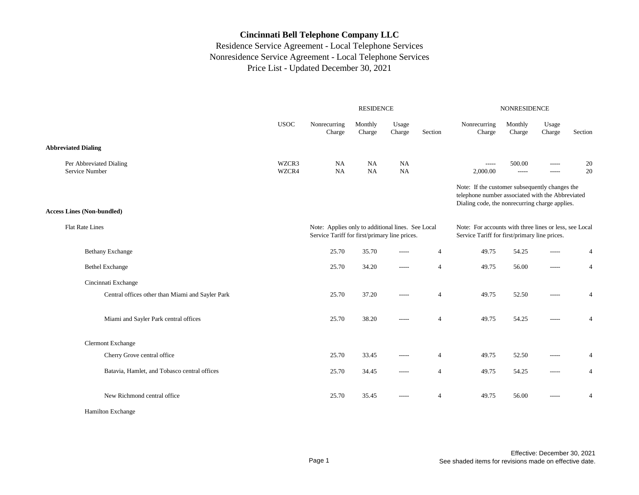|                                                  |                |                                                                                                    | <b>RESIDENCE</b>  |                 |                | <b>NONRESIDENCE</b>                                                                                                                                  |                   |                 |                |
|--------------------------------------------------|----------------|----------------------------------------------------------------------------------------------------|-------------------|-----------------|----------------|------------------------------------------------------------------------------------------------------------------------------------------------------|-------------------|-----------------|----------------|
|                                                  | <b>USOC</b>    | Nonrecurring<br>Charge                                                                             | Monthly<br>Charge | Usage<br>Charge | Section        | Nonrecurring<br>Charge                                                                                                                               | Monthly<br>Charge | Usage<br>Charge | Section        |
| <b>Abbreviated Dialing</b>                       |                |                                                                                                    |                   |                 |                |                                                                                                                                                      |                   |                 |                |
| Per Abbreviated Dialing<br>Service Number        | WZCR3<br>WZCR4 | NA<br><b>NA</b>                                                                                    | NA<br>NA          | NA<br><b>NA</b> |                | $- - - - -$<br>2,000.00                                                                                                                              | 500.00<br>$-----$ | -----<br>-----  | 20<br>20       |
|                                                  |                |                                                                                                    |                   |                 |                | Note: If the customer subsequently changes the<br>telephone number associated with the Abbreviated<br>Dialing code, the nonrecurring charge applies. |                   |                 |                |
| <b>Access Lines (Non-bundled)</b>                |                |                                                                                                    |                   |                 |                |                                                                                                                                                      |                   |                 |                |
| <b>Flat Rate Lines</b>                           |                | Note: Applies only to additional lines. See Local<br>Service Tariff for first/primary line prices. |                   |                 |                | Note: For accounts with three lines or less, see Local<br>Service Tariff for first/primary line prices.                                              |                   |                 |                |
| <b>Bethany Exchange</b>                          |                | 25.70                                                                                              | 35.70             | -----           | $\overline{4}$ | 49.75                                                                                                                                                | 54.25             | -----           | 4              |
| <b>Bethel Exchange</b>                           |                | 25.70                                                                                              | 34.20             | $-----$         | $\overline{4}$ | 49.75                                                                                                                                                | 56.00             | $\cdots$        | $\overline{4}$ |
| Cincinnati Exchange                              |                |                                                                                                    |                   |                 |                |                                                                                                                                                      |                   |                 |                |
| Central offices other than Miami and Sayler Park |                | 25.70                                                                                              | 37.20             | -----           | $\overline{4}$ | 49.75                                                                                                                                                | 52.50             | -----           | $\overline{4}$ |
| Miami and Sayler Park central offices            |                | 25.70                                                                                              | 38.20             | $- - - - -$     | $\overline{4}$ | 49.75                                                                                                                                                | 54.25             | $- - - - -$     | $\overline{4}$ |
| <b>Clermont Exchange</b>                         |                |                                                                                                    |                   |                 |                |                                                                                                                                                      |                   |                 |                |
| Cherry Grove central office                      |                | 25.70                                                                                              | 33.45             | $- - - - -$     | $\overline{4}$ | 49.75                                                                                                                                                | 52.50             | -----           | $\overline{4}$ |
| Batavia, Hamlet, and Tobasco central offices     |                | 25.70                                                                                              | 34.45             | $- - - - -$     | $\overline{4}$ | 49.75                                                                                                                                                | 54.25             | -----           | $\overline{4}$ |
| New Richmond central office                      |                | 25.70                                                                                              | 35.45             | $-----$         | $\overline{4}$ | 49.75                                                                                                                                                | 56.00             | -----           | $\overline{4}$ |
| Hamilton Exchange                                |                |                                                                                                    |                   |                 |                |                                                                                                                                                      |                   |                 |                |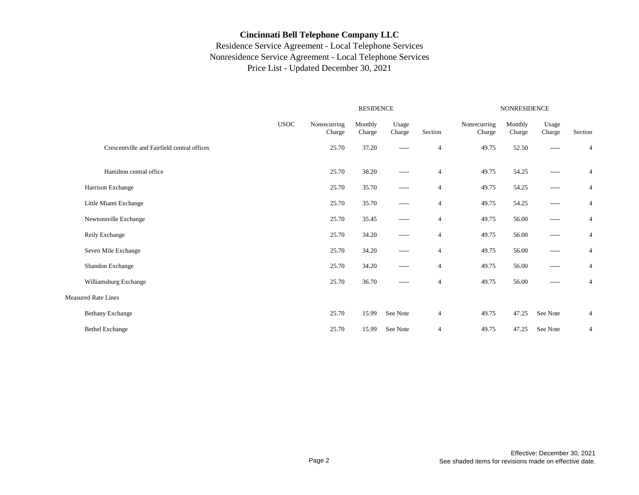|                                             | <b>RESIDENCE</b> |                        |                   |                 |                |                        | NONRESIDENCE      |                 |                |  |  |
|---------------------------------------------|------------------|------------------------|-------------------|-----------------|----------------|------------------------|-------------------|-----------------|----------------|--|--|
|                                             | <b>USOC</b>      | Nonrecurring<br>Charge | Monthly<br>Charge | Usage<br>Charge | Section        | Nonrecurring<br>Charge | Monthly<br>Charge | Usage<br>Charge | Section        |  |  |
| Crescentville and Fairfield central offices |                  | 25.70                  | 37.20             | -----           | $\overline{4}$ | 49.75                  | 52.50             | -----           | 4              |  |  |
| Hamilton central office                     |                  | 25.70                  | 38.20             | -----           | $\overline{4}$ | 49.75                  | 54.25             | $------$        | 4              |  |  |
| Harrison Exchange                           |                  | 25.70                  | 35.70             | $- - - - -$     | $\overline{4}$ | 49.75                  | 54.25             | -----           | 4              |  |  |
| Little Miami Exchange                       |                  | 25.70                  | 35.70             | $- - - - -$     | $\overline{4}$ | 49.75                  | 54.25             | $- - - - -$     | 4              |  |  |
| Newtonsville Exchange                       |                  | 25.70                  | 35.45             | -----           | $\overline{4}$ | 49.75                  | 56.00             | $-----$         | 4              |  |  |
| Reily Exchange                              |                  | 25.70                  | 34.20             | $- - - - -$     | $\overline{4}$ | 49.75                  | 56.00             | -----           | $\overline{4}$ |  |  |
| Seven Mile Exchange                         |                  | 25.70                  | 34.20             | -----           | $\overline{4}$ | 49.75                  | 56.00             | -----           | $\overline{4}$ |  |  |
| Shandon Exchange                            |                  | 25.70                  | 34.20             | -----           | $\overline{4}$ | 49.75                  | 56.00             | -----           | $\overline{4}$ |  |  |
| Williamsburg Exchange                       |                  | 25.70                  | 36.70             | $- - - - -$     | $\overline{4}$ | 49.75                  | 56.00             | $- - - - -$     | $\overline{4}$ |  |  |
| <b>Measured Rate Lines</b>                  |                  |                        |                   |                 |                |                        |                   |                 |                |  |  |
| <b>Bethany Exchange</b>                     |                  | 25.70                  | 15.99             | See Note        | $\overline{4}$ | 49.75                  | 47.25             | See Note        | 4              |  |  |
| <b>Bethel Exchange</b>                      |                  | 25.70                  | 15.99             | See Note        | $\overline{4}$ | 49.75                  | 47.25             | See Note        | $\overline{4}$ |  |  |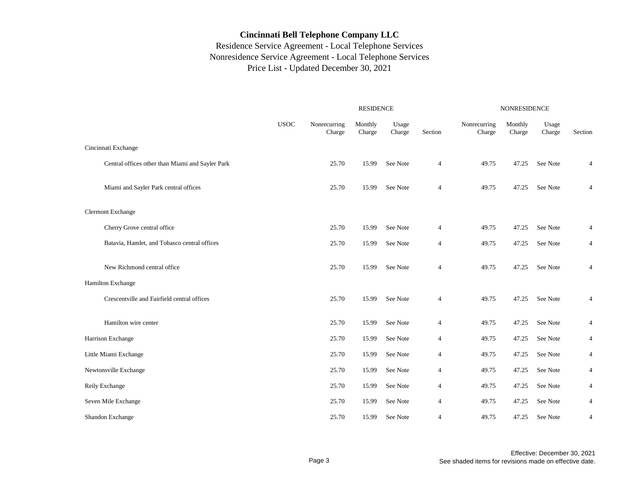|                                                  | <b>RESIDENCE</b> |                        |                   |                 |                | <b>NONRESIDENCE</b>    |                   |                 |         |  |
|--------------------------------------------------|------------------|------------------------|-------------------|-----------------|----------------|------------------------|-------------------|-----------------|---------|--|
|                                                  | <b>USOC</b>      | Nonrecurring<br>Charge | Monthly<br>Charge | Usage<br>Charge | Section        | Nonrecurring<br>Charge | Monthly<br>Charge | Usage<br>Charge | Section |  |
| Cincinnati Exchange                              |                  |                        |                   |                 |                |                        |                   |                 |         |  |
| Central offices other than Miami and Sayler Park |                  | 25.70                  | 15.99             | See Note        | $\overline{4}$ | 49.75                  | 47.25             | See Note        | 4       |  |
| Miami and Sayler Park central offices            |                  | 25.70                  | 15.99             | See Note        | 4              | 49.75                  | 47.25             | See Note        | 4       |  |
| <b>Clermont Exchange</b>                         |                  |                        |                   |                 |                |                        |                   |                 |         |  |
| Cherry Grove central office                      |                  | 25.70                  | 15.99             | See Note        | 4              | 49.75                  | 47.25             | See Note        | 4       |  |
| Batavia, Hamlet, and Tobasco central offices     |                  | 25.70                  | 15.99             | See Note        | $\overline{4}$ | 49.75                  | 47.25             | See Note        | 4       |  |
| New Richmond central office                      |                  | 25.70                  | 15.99             | See Note        | $\overline{4}$ | 49.75                  | 47.25             | See Note        | 4       |  |
| Hamilton Exchange                                |                  |                        |                   |                 |                |                        |                   |                 |         |  |
| Crescentville and Fairfield central offices      |                  | 25.70                  | 15.99             | See Note        | $\overline{4}$ | 49.75                  | 47.25             | See Note        | 4       |  |
| Hamilton wire center                             |                  | 25.70                  | 15.99             | See Note        | $\overline{4}$ | 49.75                  | 47.25             | See Note        | 4       |  |
| Harrison Exchange                                |                  | 25.70                  | 15.99             | See Note        | $\overline{4}$ | 49.75                  | 47.25             | See Note        | 4       |  |
| Little Miami Exchange                            |                  | 25.70                  | 15.99             | See Note        | $\overline{4}$ | 49.75                  | 47.25             | See Note        | 4       |  |
| Newtonsville Exchange                            |                  | 25.70                  | 15.99             | See Note        | $\overline{4}$ | 49.75                  | 47.25             | See Note        | 4       |  |
| Reily Exchange                                   |                  | 25.70                  | 15.99             | See Note        | $\overline{4}$ | 49.75                  | 47.25             | See Note        | 4       |  |
| Seven Mile Exchange                              |                  | 25.70                  | 15.99             | See Note        | $\overline{4}$ | 49.75                  | 47.25             | See Note        | 4       |  |
| Shandon Exchange                                 |                  | 25.70                  | 15.99             | See Note        | $\overline{4}$ | 49.75                  | 47.25             | See Note        | 4       |  |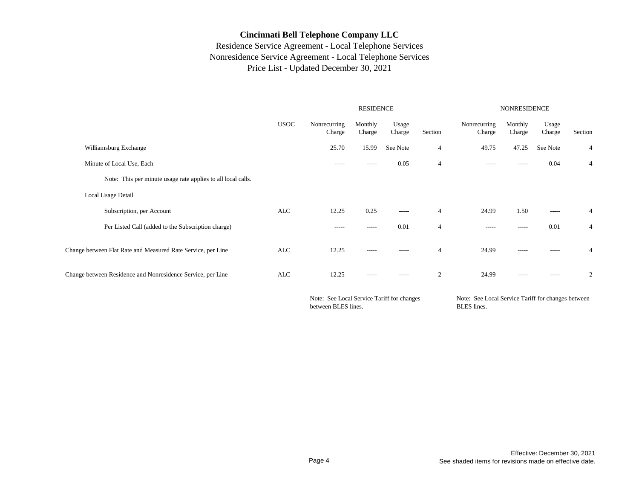## Residence Service Agreement - Local Telephone Services Nonresidence Service Agreement - Local Telephone Services Price List - Updated December 30, 2021

|                                                              |             |                        | <b>RESIDENCE</b>  |                 |                | <b>NONRESIDENCE</b>    |                   |                 |                |  |
|--------------------------------------------------------------|-------------|------------------------|-------------------|-----------------|----------------|------------------------|-------------------|-----------------|----------------|--|
|                                                              | <b>USOC</b> | Nonrecurring<br>Charge | Monthly<br>Charge | Usage<br>Charge | Section        | Nonrecurring<br>Charge | Monthly<br>Charge | Usage<br>Charge | Section        |  |
| Williamsburg Exchange                                        |             | 25.70                  | 15.99             | See Note        | 4              | 49.75                  | 47.25             | See Note        | 4              |  |
| Minute of Local Use, Each                                    |             | $- - - - -$            | -----             | 0.05            | $\overline{4}$ | $- - - - -$            | $- - - - -$       | 0.04            | 4              |  |
| Note: This per minute usage rate applies to all local calls. |             |                        |                   |                 |                |                        |                   |                 |                |  |
| Local Usage Detail                                           |             |                        |                   |                 |                |                        |                   |                 |                |  |
| Subscription, per Account                                    | ALC         | 12.25                  | 0.25              | -----           | $\overline{4}$ | 24.99                  | 1.50              | $-----$         | 4              |  |
| Per Listed Call (added to the Subscription charge)           |             | -----                  | -----             | 0.01            | $\overline{4}$ | $- - - - -$            | $- - - - -$       | 0.01            | 4              |  |
| Change between Flat Rate and Measured Rate Service, per Line | ALC         | 12.25                  | $- - - - -$       | -----           | $\overline{4}$ | 24.99                  | $- - - - -$       | -----           | 4              |  |
| Change between Residence and Nonresidence Service, per Line  | ALC         | 12.25                  | $- - - - -$       | $- - - - -$     | 2              | 24.99                  | $- - - - -$       | $- - - - -$     | $\mathfrak{2}$ |  |
|                                                              |             |                        |                   |                 |                |                        |                   |                 |                |  |

Note: See Local Service Tariff for changes between BLES lines.

Note: See Local Service Tariff for changes between BLES lines.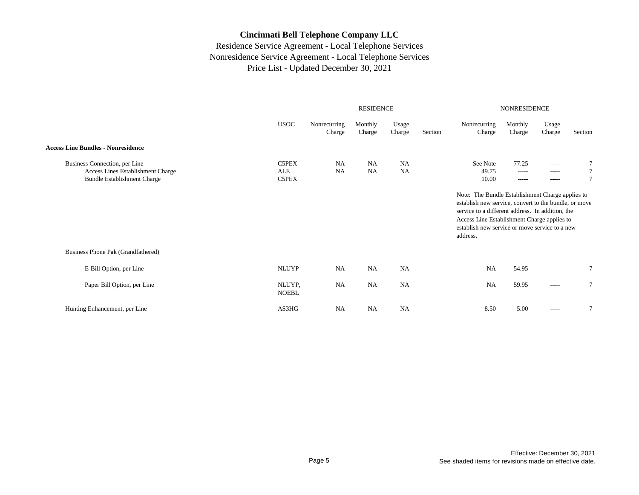|                                                                                                          |                        |                        | <b>RESIDENCE</b>  |                        |         | <b>NONRESIDENCE</b>                                                                                                                                                                                                                                                                          |                                     |                                           |         |
|----------------------------------------------------------------------------------------------------------|------------------------|------------------------|-------------------|------------------------|---------|----------------------------------------------------------------------------------------------------------------------------------------------------------------------------------------------------------------------------------------------------------------------------------------------|-------------------------------------|-------------------------------------------|---------|
|                                                                                                          | <b>USOC</b>            | Nonrecurring<br>Charge | Monthly<br>Charge | Usage<br>Charge        | Section | Nonrecurring<br>Charge                                                                                                                                                                                                                                                                       | Monthly<br>Charge                   | Usage<br>Charge                           | Section |
| <b>Access Line Bundles - Nonresidence</b>                                                                |                        |                        |                   |                        |         |                                                                                                                                                                                                                                                                                              |                                     |                                           |         |
| Business Connection, per Line<br>Access Lines Establishment Charge<br><b>Bundle Establishment Charge</b> | C5PEX<br>ALE<br>C5PEX  | NA<br><b>NA</b>        | NA<br>NA          | <b>NA</b><br><b>NA</b> |         | See Note<br>49.75<br>10.00<br>Note: The Bundle Establishment Charge applies to<br>establish new service, convert to the bundle, or move<br>service to a different address. In addition, the<br>Access Line Establishment Charge applies to<br>establish new service or move service to a new | 77.25<br>$- - - - -$<br>$- - - - -$ | $- - - - -$<br>$- - - - -$<br>$- - - - -$ |         |
|                                                                                                          |                        |                        |                   |                        |         | address.                                                                                                                                                                                                                                                                                     |                                     |                                           |         |
| Business Phone Pak (Grandfathered)                                                                       |                        |                        |                   |                        |         |                                                                                                                                                                                                                                                                                              |                                     |                                           |         |
| E-Bill Option, per Line                                                                                  | <b>NLUYP</b>           | <b>NA</b>              | <b>NA</b>         | <b>NA</b>              |         | <b>NA</b>                                                                                                                                                                                                                                                                                    | 54.95                               | $- - - - -$                               | 7       |
| Paper Bill Option, per Line                                                                              | NLUYP,<br><b>NOEBL</b> | <b>NA</b>              | <b>NA</b>         | NA                     |         | <b>NA</b>                                                                                                                                                                                                                                                                                    | 59.95                               | $-----$                                   | 7       |
| Hunting Enhancement, per Line                                                                            | AS3HG                  | <b>NA</b>              | <b>NA</b>         | NA                     |         | 8.50                                                                                                                                                                                                                                                                                         | 5.00                                | $-----$                                   | 7       |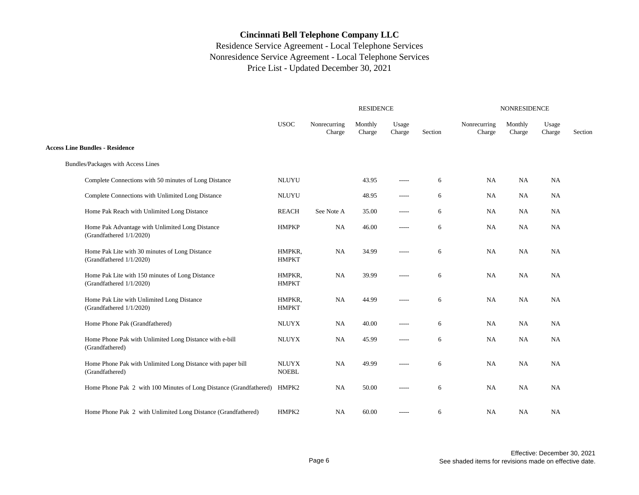|                                                                                | <b>RESIDENCE</b>             |                        |                   |                 |         | NONRESIDENCE           |                   |                         |         |  |
|--------------------------------------------------------------------------------|------------------------------|------------------------|-------------------|-----------------|---------|------------------------|-------------------|-------------------------|---------|--|
|                                                                                | <b>USOC</b>                  | Nonrecurring<br>Charge | Monthly<br>Charge | Usage<br>Charge | Section | Nonrecurring<br>Charge | Monthly<br>Charge | Usage<br>${\it Charge}$ | Section |  |
| <b>Access Line Bundles - Residence</b>                                         |                              |                        |                   |                 |         |                        |                   |                         |         |  |
| Bundles/Packages with Access Lines                                             |                              |                        |                   |                 |         |                        |                   |                         |         |  |
| Complete Connections with 50 minutes of Long Distance                          | <b>NLUYU</b>                 |                        | 43.95             | -----           | 6       | NA                     | NA                | NA                      |         |  |
| Complete Connections with Unlimited Long Distance                              | <b>NLUYU</b>                 |                        | 48.95             | -----           | 6       | <b>NA</b>              | NA                | <b>NA</b>               |         |  |
| Home Pak Reach with Unlimited Long Distance                                    | <b>REACH</b>                 | See Note A             | 35.00             | $- - - - -$     | 6       | NA                     | NA                | NA                      |         |  |
| Home Pak Advantage with Unlimited Long Distance<br>(Grandfathered 1/1/2020)    | <b>HMPKP</b>                 | NA                     | 46.00             | -----           | 6       | NA                     | NA                | <b>NA</b>               |         |  |
| Home Pak Lite with 30 minutes of Long Distance<br>(Grandfathered 1/1/2020)     | HMPKR,<br><b>HMPKT</b>       | NA                     | 34.99             | $- - - - -$     | 6       | <b>NA</b>              | NA                | <b>NA</b>               |         |  |
| Home Pak Lite with 150 minutes of Long Distance<br>(Grandfathered 1/1/2020)    | HMPKR,<br><b>HMPKT</b>       | NA                     | 39.99             | -----           | 6       | NA                     | NA                | NA                      |         |  |
| Home Pak Lite with Unlimited Long Distance<br>(Grandfathered 1/1/2020)         | HMPKR,<br><b>HMPKT</b>       | NA                     | 44.99             | -----           | 6       | <b>NA</b>              | NA                | <b>NA</b>               |         |  |
| Home Phone Pak (Grandfathered)                                                 | <b>NLUYX</b>                 | NA                     | 40.00             | -----           | 6       | <b>NA</b>              | NA                | <b>NA</b>               |         |  |
| Home Phone Pak with Unlimited Long Distance with e-bill<br>(Grandfathered)     | <b>NLUYX</b>                 | NA                     | 45.99             | -----           | 6       | NA                     | NA                | <b>NA</b>               |         |  |
| Home Phone Pak with Unlimited Long Distance with paper bill<br>(Grandfathered) | <b>NLUYX</b><br><b>NOEBL</b> | NA                     | 49.99             | -----           | 6       | <b>NA</b>              | NA                | <b>NA</b>               |         |  |
| Home Phone Pak 2 with 100 Minutes of Long Distance (Grandfathered)             | HMPK2                        | NA                     | 50.00             | $- - - - -$     | 6       | NA                     | NA                | <b>NA</b>               |         |  |
| Home Phone Pak 2 with Unlimited Long Distance (Grandfathered)                  | HMPK2                        | NA                     | 60.00             | -----           | 6       | NA                     | <b>NA</b>         | <b>NA</b>               |         |  |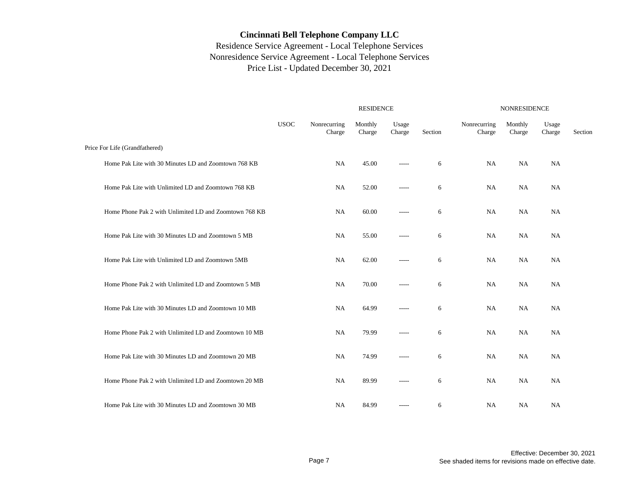|                                                        |             |                        | <b>RESIDENCE</b>  | <b>NONRESIDENCE</b> |         |                        |                   |                 |         |
|--------------------------------------------------------|-------------|------------------------|-------------------|---------------------|---------|------------------------|-------------------|-----------------|---------|
|                                                        | <b>USOC</b> | Nonrecurring<br>Charge | Monthly<br>Charge | Usage<br>Charge     | Section | Nonrecurring<br>Charge | Monthly<br>Charge | Usage<br>Charge | Section |
| Price For Life (Grandfathered)                         |             |                        |                   |                     |         |                        |                   |                 |         |
| Home Pak Lite with 30 Minutes LD and Zoomtown 768 KB   |             | NA                     | 45.00             | -----               | 6       | <b>NA</b>              | <b>NA</b>         | <b>NA</b>       |         |
| Home Pak Lite with Unlimited LD and Zoomtown 768 KB    |             | NA                     | 52.00             | -----               | 6       | <b>NA</b>              | <b>NA</b>         | <b>NA</b>       |         |
| Home Phone Pak 2 with Unlimited LD and Zoomtown 768 KB |             | NA                     | 60.00             | -----               | 6       | <b>NA</b>              | <b>NA</b>         | <b>NA</b>       |         |
| Home Pak Lite with 30 Minutes LD and Zoomtown 5 MB     |             | <b>NA</b>              | 55.00             | -----               | 6       | <b>NA</b>              | <b>NA</b>         | <b>NA</b>       |         |
| Home Pak Lite with Unlimited LD and Zoomtown 5MB       |             | NA                     | 62.00             | -----               | 6       | NA                     | <b>NA</b>         | <b>NA</b>       |         |
| Home Phone Pak 2 with Unlimited LD and Zoomtown 5 MB   |             | NA                     | 70.00             | -----               | 6       | NA                     | <b>NA</b>         | <b>NA</b>       |         |
| Home Pak Lite with 30 Minutes LD and Zoomtown 10 MB    |             | NA                     | 64.99             | -----               | 6       | <b>NA</b>              | NA                | <b>NA</b>       |         |
| Home Phone Pak 2 with Unlimited LD and Zoomtown 10 MB  |             | NA                     | 79.99             | -----               | 6       | NA                     | <b>NA</b>         | <b>NA</b>       |         |
| Home Pak Lite with 30 Minutes LD and Zoomtown 20 MB    |             | NA                     | 74.99             | -----               | 6       | NA                     | <b>NA</b>         | <b>NA</b>       |         |
| Home Phone Pak 2 with Unlimited LD and Zoomtown 20 MB  |             | NA                     | 89.99             | -----               | 6       | NA                     | <b>NA</b>         | <b>NA</b>       |         |
| Home Pak Lite with 30 Minutes LD and Zoomtown 30 MB    |             | <b>NA</b>              | 84.99             | -----               | 6       | <b>NA</b>              | NA                | <b>NA</b>       |         |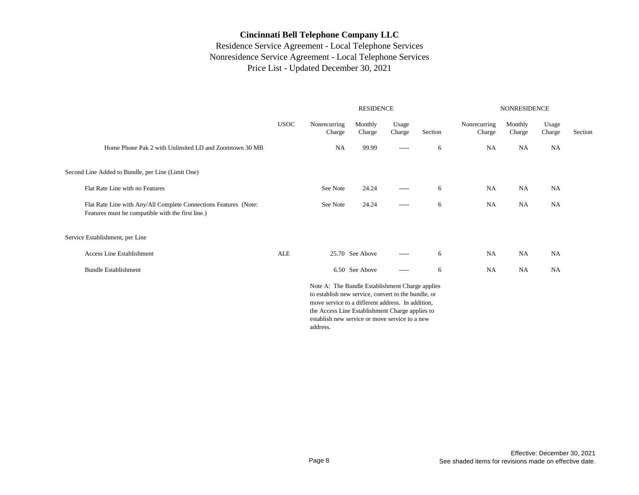|                                                                                                                       | <b>RESIDENCE</b> |                                                                                                                                                                                                                                                                              |                   |                 |         | <b>NONRESIDENCE</b>    |                   |                 |         |  |
|-----------------------------------------------------------------------------------------------------------------------|------------------|------------------------------------------------------------------------------------------------------------------------------------------------------------------------------------------------------------------------------------------------------------------------------|-------------------|-----------------|---------|------------------------|-------------------|-----------------|---------|--|
|                                                                                                                       | <b>USOC</b>      | Nonrecurring<br>Charge                                                                                                                                                                                                                                                       | Monthly<br>Charge | Usage<br>Charge | Section | Nonrecurring<br>Charge | Monthly<br>Charge | Usage<br>Charge | Section |  |
| Home Phone Pak 2 with Unlimited LD and Zoomtown 30 MB                                                                 |                  | NA                                                                                                                                                                                                                                                                           | 99.99             | $-----$         | 6       | <b>NA</b>              | <b>NA</b>         | NA              |         |  |
| Second Line Added to Bundle, per Line (Limit One)                                                                     |                  |                                                                                                                                                                                                                                                                              |                   |                 |         |                        |                   |                 |         |  |
| Flat Rate Line with no Features                                                                                       |                  | See Note                                                                                                                                                                                                                                                                     | 24.24             | $- - - - -$     | 6       | NA                     | NA                | NA              |         |  |
| Flat Rate Line with Any/All Complete Connections Features (Note:<br>Features must be compatible with the first line.) |                  | See Note                                                                                                                                                                                                                                                                     | 24.24             | $- - - - -$     | 6       | NA                     | <b>NA</b>         | NA              |         |  |
| Service Establishment, per Line                                                                                       |                  |                                                                                                                                                                                                                                                                              |                   |                 |         |                        |                   |                 |         |  |
| <b>Access Line Establishment</b>                                                                                      | <b>ALE</b>       |                                                                                                                                                                                                                                                                              | 25.70 See Above   | $- - - - -$     | 6       | <b>NA</b>              | <b>NA</b>         | NA              |         |  |
| <b>Bundle Establishment</b>                                                                                           |                  |                                                                                                                                                                                                                                                                              | 6.50 See Above    | $-----$         | 6       | <b>NA</b>              | <b>NA</b>         | <b>NA</b>       |         |  |
|                                                                                                                       |                  | Note A: The Bundle Establishment Charge applies<br>to establish new service, convert to the bundle, or<br>move service to a different address. In addition,<br>the Access Line Establishment Charge applies to<br>establish new service or move service to a new<br>address. |                   |                 |         |                        |                   |                 |         |  |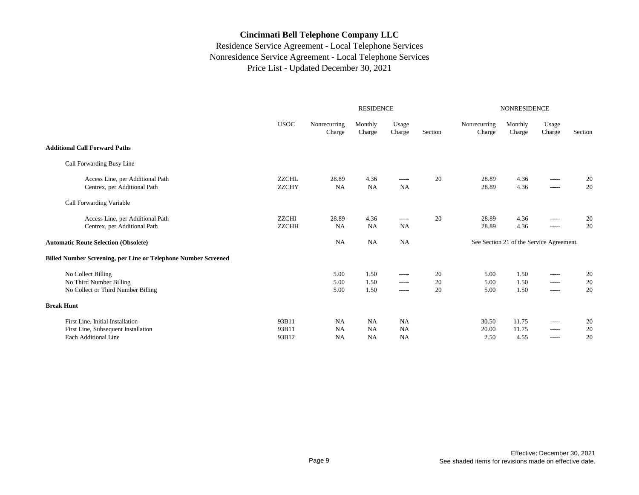|                                                                                                 |                              |                              | <b>RESIDENCE</b>     |                                     |                | <b>NONRESIDENCE</b>    |                                          |                                        |                |
|-------------------------------------------------------------------------------------------------|------------------------------|------------------------------|----------------------|-------------------------------------|----------------|------------------------|------------------------------------------|----------------------------------------|----------------|
|                                                                                                 | <b>USOC</b>                  | Nonrecurring<br>Charge       | Monthly<br>Charge    | Usage<br>Charge                     | Section        | Nonrecurring<br>Charge | Monthly<br>Charge                        | Usage<br>Charge                        | Section        |
| <b>Additional Call Forward Paths</b>                                                            |                              |                              |                      |                                     |                |                        |                                          |                                        |                |
| Call Forwarding Busy Line                                                                       |                              |                              |                      |                                     |                |                        |                                          |                                        |                |
| Access Line, per Additional Path<br>Centrex, per Additional Path                                | <b>ZZCHL</b><br><b>ZZCHY</b> | 28.89<br><b>NA</b>           | 4.36<br><b>NA</b>    | $- - - - -$<br><b>NA</b>            | 20             | 28.89<br>28.89         | 4.36<br>4.36                             | $- - - - -$<br>$- - - - -$             | 20<br>20       |
| Call Forwarding Variable                                                                        |                              |                              |                      |                                     |                |                        |                                          |                                        |                |
| Access Line, per Additional Path<br>Centrex, per Additional Path                                | ZZCHI<br><b>ZZCHH</b>        | 28.89<br><b>NA</b>           | 4.36<br><b>NA</b>    | $- - - - -$<br><b>NA</b>            | 20             | 28.89<br>28.89         | 4.36<br>4.36                             | $\cdots$<br>$- - - - -$                | 20<br>20       |
| <b>Automatic Route Selection (Obsolete)</b>                                                     |                              | <b>NA</b>                    | NA                   | <b>NA</b>                           |                |                        | See Section 21 of the Service Agreement. |                                        |                |
| <b>Billed Number Screening, per Line or Telephone Number Screened</b>                           |                              |                              |                      |                                     |                |                        |                                          |                                        |                |
| No Collect Billing<br>No Third Number Billing<br>No Collect or Third Number Billing             |                              | 5.00<br>5.00<br>5.00         | 1.50<br>1.50<br>1.50 | -----<br>-----<br>$-----$           | 20<br>20<br>20 | 5.00<br>5.00<br>5.00   | 1.50<br>1.50<br>1.50                     | $- - - - -$<br>$-----$<br>$- - - - -$  | 20<br>20<br>20 |
| <b>Break Hunt</b>                                                                               |                              |                              |                      |                                     |                |                        |                                          |                                        |                |
| First Line, Initial Installation<br>First Line, Subsequent Installation<br>Each Additional Line | 93B11<br>93B11<br>93B12      | NA<br><b>NA</b><br><b>NA</b> | NA<br>NA<br>NA       | <b>NA</b><br><b>NA</b><br><b>NA</b> |                | 30.50<br>20.00<br>2.50 | 11.75<br>11.75<br>4.55                   | $\cdots$<br>$- - - - -$<br>$- - - - -$ | 20<br>20<br>20 |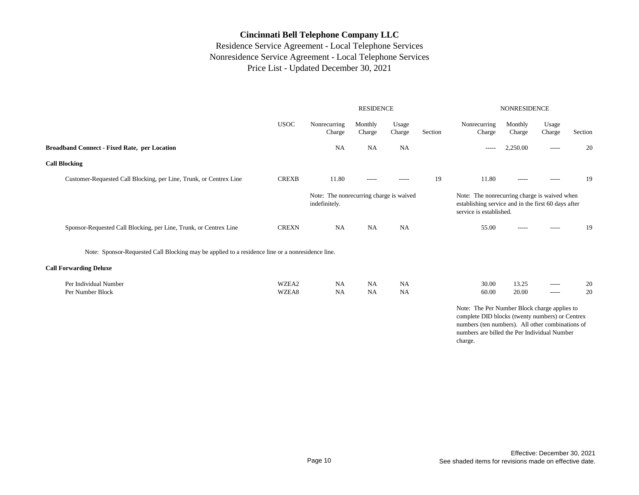|                                                                                                  |                |                                                          | <b>RESIDENCE</b>  |                        |         | <b>NONRESIDENCE</b>                                                                                                                                                                                            |                   |                        |          |  |
|--------------------------------------------------------------------------------------------------|----------------|----------------------------------------------------------|-------------------|------------------------|---------|----------------------------------------------------------------------------------------------------------------------------------------------------------------------------------------------------------------|-------------------|------------------------|----------|--|
|                                                                                                  | <b>USOC</b>    | Nonrecurring<br>Charge                                   | Monthly<br>Charge | Usage<br>Charge        | Section | Nonrecurring<br>Charge                                                                                                                                                                                         | Monthly<br>Charge | Usage<br>Charge        | Section  |  |
| <b>Broadband Connect - Fixed Rate, per Location</b>                                              |                | <b>NA</b>                                                | NA                | <b>NA</b>              |         | -----                                                                                                                                                                                                          | 2,250.00          | -----                  | 20       |  |
| <b>Call Blocking</b>                                                                             |                |                                                          |                   |                        |         |                                                                                                                                                                                                                |                   |                        |          |  |
| Customer-Requested Call Blocking, per Line, Trunk, or Centrex Line                               | <b>CREXB</b>   | 11.80                                                    | $- - - - -$       | -----                  | 19      | 11.80                                                                                                                                                                                                          | $- - - - -$       | $- - - - -$            | 19       |  |
|                                                                                                  |                | Note: The nonrecurring charge is waived<br>indefinitely. |                   |                        |         | Note: The nonrecurring charge is waived when<br>establishing service and in the first 60 days after<br>service is established.                                                                                 |                   |                        |          |  |
| Sponsor-Requested Call Blocking, per Line, Trunk, or Centrex Line                                | <b>CREXN</b>   | <b>NA</b>                                                | <b>NA</b>         | <b>NA</b>              |         | 55.00                                                                                                                                                                                                          | $- - - - -$       | $-----$                | 19       |  |
| Note: Sponsor-Requested Call Blocking may be applied to a residence line or a nonresidence line. |                |                                                          |                   |                        |         |                                                                                                                                                                                                                |                   |                        |          |  |
| <b>Call Forwarding Deluxe</b>                                                                    |                |                                                          |                   |                        |         |                                                                                                                                                                                                                |                   |                        |          |  |
| Per Individual Number<br>Per Number Block                                                        | WZEA2<br>WZEA8 | <b>NA</b><br><b>NA</b>                                   | NA<br>NA          | <b>NA</b><br><b>NA</b> |         | 30.00<br>60.00                                                                                                                                                                                                 | 13.25<br>20.00    | $-----$<br>$- - - - -$ | 20<br>20 |  |
|                                                                                                  |                |                                                          |                   |                        |         | Note: The Per Number Block charge applies to<br>complete DID blocks (twenty numbers) or Centrex<br>numbers (ten numbers). All other combinations of<br>numbers are billed the Per Individual Number<br>charge. |                   |                        |          |  |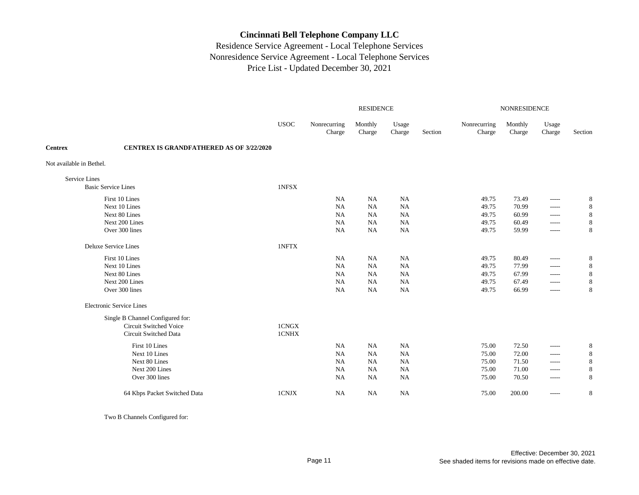## Residence Service Agreement - Local Telephone Services Nonresidence Service Agreement - Local Telephone Services Price List - Updated December 30, 2021

|                          |                                                 | <b>RESIDENCE</b> |                        |                   |                 |         | <b>NONRESIDENCE</b>    |                   |                 |         |  |
|--------------------------|-------------------------------------------------|------------------|------------------------|-------------------|-----------------|---------|------------------------|-------------------|-----------------|---------|--|
|                          |                                                 | <b>USOC</b>      | Nonrecurring<br>Charge | Monthly<br>Charge | Usage<br>Charge | Section | Nonrecurring<br>Charge | Monthly<br>Charge | Usage<br>Charge | Section |  |
| <b>Centrex</b>           | <b>CENTREX IS GRANDFATHERED AS OF 3/22/2020</b> |                  |                        |                   |                 |         |                        |                   |                 |         |  |
| Not available in Bethel. |                                                 |                  |                        |                   |                 |         |                        |                   |                 |         |  |
| Service Lines            |                                                 |                  |                        |                   |                 |         |                        |                   |                 |         |  |
|                          | <b>Basic Service Lines</b>                      | 1NFSX            |                        |                   |                 |         |                        |                   |                 |         |  |
|                          | First 10 Lines                                  |                  | NA                     | <b>NA</b>         | <b>NA</b>       |         | 49.75                  | 73.49             | -----           | 8       |  |
|                          | Next 10 Lines                                   |                  | <b>NA</b>              | <b>NA</b>         | <b>NA</b>       |         | 49.75                  | 70.99             | -----           | 8       |  |
|                          | Next 80 Lines                                   |                  | <b>NA</b>              | <b>NA</b>         | <b>NA</b>       |         | 49.75                  | 60.99             | $-----$         | 8       |  |
|                          | Next 200 Lines                                  |                  | <b>NA</b>              | <b>NA</b>         | <b>NA</b>       |         | 49.75                  | 60.49             | $-----$         | 8       |  |
|                          | Over 300 lines                                  |                  | <b>NA</b>              | NA                | NA              |         | 49.75                  | 59.99             | -----           | 8       |  |
|                          | <b>Deluxe Service Lines</b>                     | 1NFTX            |                        |                   |                 |         |                        |                   |                 |         |  |
|                          | First 10 Lines                                  |                  | NA                     | <b>NA</b>         | <b>NA</b>       |         | 49.75                  | 80.49             | -----           | 8       |  |
|                          | Next 10 Lines                                   |                  | <b>NA</b>              | NA                | <b>NA</b>       |         | 49.75                  | 77.99             | -----           | 8       |  |
|                          | Next 80 Lines                                   |                  | <b>NA</b>              | NA                | <b>NA</b>       |         | 49.75                  | 67.99             | -----           | 8       |  |
|                          | Next 200 Lines                                  |                  | <b>NA</b>              | NA                | NA              |         | 49.75                  | 67.49             | -----           | 8       |  |
|                          | Over 300 lines                                  |                  | <b>NA</b>              | NA                | NA              |         | 49.75                  | 66.99             | -----           | 8       |  |
|                          | <b>Electronic Service Lines</b>                 |                  |                        |                   |                 |         |                        |                   |                 |         |  |
|                          | Single B Channel Configured for:                |                  |                        |                   |                 |         |                        |                   |                 |         |  |
|                          | Circuit Switched Voice                          | 1CNGX            |                        |                   |                 |         |                        |                   |                 |         |  |
|                          | Circuit Switched Data                           | 1CNHX            |                        |                   |                 |         |                        |                   |                 |         |  |
|                          | First 10 Lines                                  |                  | NA                     | <b>NA</b>         | <b>NA</b>       |         | 75.00                  | 72.50             | -----           | 8       |  |
|                          | Next 10 Lines                                   |                  | <b>NA</b>              | NA                | NA              |         | 75.00                  | 72.00             | -----           | 8       |  |
|                          | Next 80 Lines                                   |                  | <b>NA</b>              | NA                | <b>NA</b>       |         | 75.00                  | 71.50             | -----           | 8       |  |
|                          | Next 200 Lines                                  |                  | <b>NA</b>              | NA                | NA              |         | 75.00                  | 71.00             | $- - - - -$     | 8       |  |
|                          | Over 300 lines                                  |                  | <b>NA</b>              | NA                | NA              |         | 75.00                  | 70.50             | -----           | 8       |  |
|                          | 64 Kbps Packet Switched Data                    | 1CNJX            | NA                     | <b>NA</b>         | <b>NA</b>       |         | 75.00                  | 200.00            | -----           | 8       |  |

Two B Channels Configured for: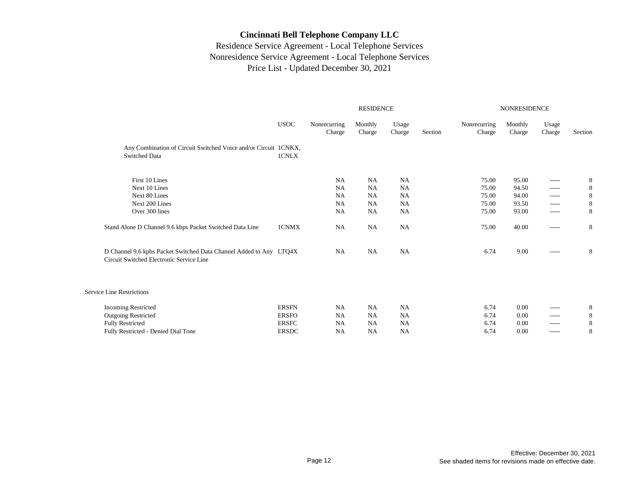|                                                                                                                | <b>RESIDENCE</b> |                        |                   |                 |         | NONRESIDENCE           |                   |                 |         |  |  |
|----------------------------------------------------------------------------------------------------------------|------------------|------------------------|-------------------|-----------------|---------|------------------------|-------------------|-----------------|---------|--|--|
|                                                                                                                | <b>USOC</b>      | Nonrecurring<br>Charge | Monthly<br>Charge | Usage<br>Charge | Section | Nonrecurring<br>Charge | Monthly<br>Charge | Usage<br>Charge | Section |  |  |
| Any Combination of Circuit Switched Voice and/or Circuit 1CNKX,<br><b>Switched Data</b>                        | 1CNLX            |                        |                   |                 |         |                        |                   |                 |         |  |  |
| First 10 Lines                                                                                                 |                  | <b>NA</b>              | <b>NA</b>         | NA              |         | 75.00                  | 95.00             | -----           | 8       |  |  |
| Next 10 Lines                                                                                                  |                  | <b>NA</b>              | <b>NA</b>         | <b>NA</b>       |         | 75.00                  | 94.50             | $- - - - -$     | 8       |  |  |
| Next 80 Lines                                                                                                  |                  | <b>NA</b>              | <b>NA</b>         | <b>NA</b>       |         | 75.00                  | 94.00             | $-----$         | 8       |  |  |
| Next 200 Lines                                                                                                 |                  | <b>NA</b>              | <b>NA</b>         | NA              |         | 75.00                  | 93.50             | -----           | 8       |  |  |
| Over 300 lines                                                                                                 |                  | <b>NA</b>              | <b>NA</b>         | NA              |         | 75.00                  | 93.00             | $- - - - -$     | 8       |  |  |
| Stand Alone D Channel 9.6 kbps Packet Switched Data Line                                                       | 1CNMX            | NA                     | <b>NA</b>         | NA              |         | 75.00                  | 40.00             | $--- - - -$     | 8       |  |  |
| D Channel 9.6 kpbs Packet Switched Data Channel Added to Any LTQ4X<br>Circuit Switched Electronic Service Line |                  | <b>NA</b>              | <b>NA</b>         | NA              |         | 6.74                   | 9.00              | $-----$         | 8       |  |  |
| <b>Service Line Restrictions</b>                                                                               |                  |                        |                   |                 |         |                        |                   |                 |         |  |  |
| <b>Incoming Restricted</b>                                                                                     | <b>ERSFN</b>     | <b>NA</b>              | <b>NA</b>         | <b>NA</b>       |         | 6.74                   | 0.00              | -----           | 8       |  |  |
| <b>Outgoing Restricted</b>                                                                                     | <b>ERSFO</b>     | <b>NA</b>              | <b>NA</b>         | NA              |         | 6.74                   | 0.00              | $-----$         | 8       |  |  |
| <b>Fully Restricted</b>                                                                                        | <b>ERSFC</b>     | <b>NA</b>              | <b>NA</b>         | NA              |         | 6.74                   | 0.00              | -----           | 8       |  |  |
| Fully Restricted - Denied Dial Tone                                                                            | <b>ERSDC</b>     | <b>NA</b>              | NA                | <b>NA</b>       |         | 6.74                   | 0.00              | -----           | 8       |  |  |
|                                                                                                                |                  |                        |                   |                 |         |                        |                   |                 |         |  |  |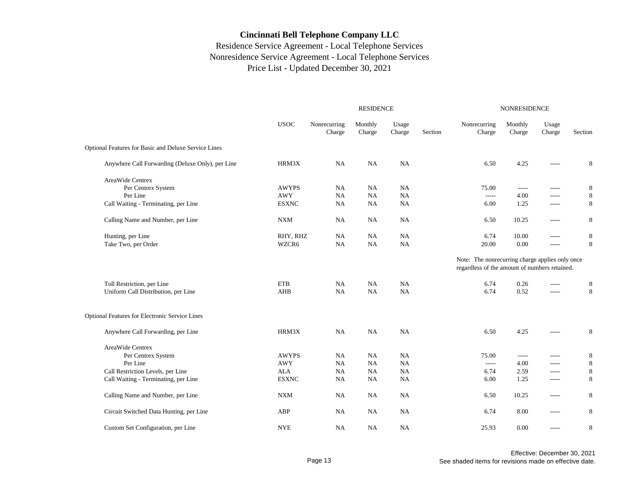|                                                       |              |                        | <b>RESIDENCE</b>  |                 | <b>NONRESIDENCE</b> |                                                                                                  |                   |                 |         |
|-------------------------------------------------------|--------------|------------------------|-------------------|-----------------|---------------------|--------------------------------------------------------------------------------------------------|-------------------|-----------------|---------|
|                                                       | <b>USOC</b>  | Nonrecurring<br>Charge | Monthly<br>Charge | Usage<br>Charge | Section             | Nonrecurring<br>Charge                                                                           | Monthly<br>Charge | Usage<br>Charge | Section |
| Optional Features for Basic and Deluxe Service Lines  |              |                        |                   |                 |                     |                                                                                                  |                   |                 |         |
| Anywhere Call Forwarding (Deluxe Only), per Line      | HRM3X        | <b>NA</b>              | NA                | <b>NA</b>       |                     | 6.50                                                                                             | 4.25              | -----           | 8       |
| AreaWide Centrex                                      |              |                        |                   |                 |                     |                                                                                                  |                   |                 |         |
| Per Centrex System                                    | <b>AWYPS</b> | NA                     | NA                | NA              |                     | 75.00                                                                                            | $- - - - -$       | -----           | 8       |
| Per Line                                              | <b>AWY</b>   | NA                     | NA                | NA              |                     |                                                                                                  | 4.00              | -----           | 8       |
| Call Waiting - Terminating, per Line                  | <b>ESXNC</b> | <b>NA</b>              | NA                | NA              |                     | 6.00                                                                                             | 1.25              | -----           | 8       |
| Calling Name and Number, per Line                     | <b>NXM</b>   | NA                     | NA                | <b>NA</b>       |                     | 6.50                                                                                             | 10.25             | -----           | 8       |
| Hunting, per Line                                     | RHY, RHZ     | NA                     | NA                | <b>NA</b>       |                     | 6.74                                                                                             | 10.00             | -----           | 8       |
| Take Two, per Order                                   | WZCR6        | NA                     | NA                | NA              |                     | 20.00                                                                                            | 0.00              | -----           | 8       |
|                                                       |              |                        |                   |                 |                     | Note: The nonrecurring charge applies only once<br>regardless of the amount of numbers retained. |                   |                 |         |
| Toll Restriction, per Line                            | <b>ETB</b>   | NA                     | <b>NA</b>         | NA              |                     | 6.74                                                                                             | 0.26              | -----           | 8       |
| Uniform Call Distribution, per Line                   | AHB          | NA                     | NA                | NA              |                     | 6.74                                                                                             | 0.52              | -----           | 8       |
| <b>Optional Features for Electronic Service Lines</b> |              |                        |                   |                 |                     |                                                                                                  |                   |                 |         |
| Anywhere Call Forwarding, per Line                    | HRM3X        | NA                     | NA                | <b>NA</b>       |                     | 6.50                                                                                             | 4.25              | -----           | 8       |
| AreaWide Centrex                                      |              |                        |                   |                 |                     |                                                                                                  |                   |                 |         |
| Per Centrex System                                    | <b>AWYPS</b> | NA                     | NA                | <b>NA</b>       |                     | 75.00                                                                                            | -----             | -----           | 8       |
| Per Line                                              | <b>AWY</b>   | NA                     | NA                | NA              |                     | $1 - 1 - 1 - 1 = 0$                                                                              | 4.00              | -----           | 8       |
| Call Restriction Levels, per Line                     | <b>ALA</b>   | NA                     | NA                | NA              |                     | 6.74                                                                                             | 2.59              | -----           | $\,8\,$ |
| Call Waiting - Terminating, per Line                  | <b>ESXNC</b> | NA                     | NA                | NA              |                     | 6.00                                                                                             | 1.25              | -----           | 8       |
| Calling Name and Number, per Line                     | <b>NXM</b>   | <b>NA</b>              | NA                | NA              |                     | 6.50                                                                                             | 10.25             | -----           | 8       |
| Circuit Switched Data Hunting, per Line               | ABP          | <b>NA</b>              | <b>NA</b>         | <b>NA</b>       |                     | 6.74                                                                                             | 8.00              | -----           | 8       |
| Custom Set Configuration, per Line                    | <b>NYE</b>   | NA                     | NA                | NA              |                     | 25.93                                                                                            | 0.00              | $- - - - -$     | 8       |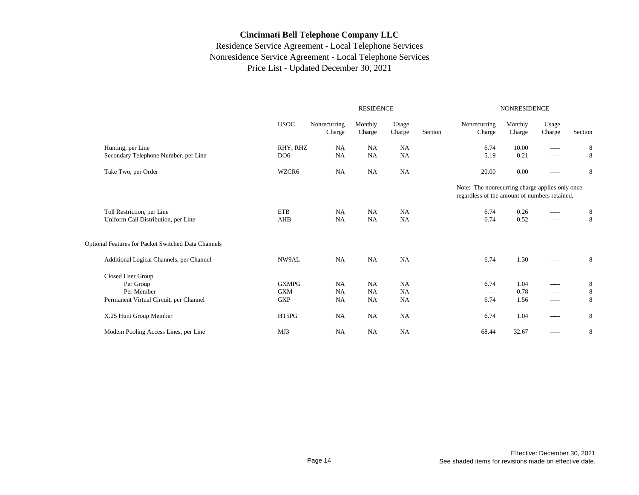|                                                     |                 | <b>RESIDENCE</b>       |                   |                 | <b>NONRESIDENCE</b> |                                                                                                  |                   |                 |         |
|-----------------------------------------------------|-----------------|------------------------|-------------------|-----------------|---------------------|--------------------------------------------------------------------------------------------------|-------------------|-----------------|---------|
|                                                     | <b>USOC</b>     | Nonrecurring<br>Charge | Monthly<br>Charge | Usage<br>Charge | Section             | Nonrecurring<br>Charge                                                                           | Monthly<br>Charge | Usage<br>Charge | Section |
| Hunting, per Line                                   | RHY, RHZ        | <b>NA</b>              | <b>NA</b>         | <b>NA</b>       |                     | 6.74                                                                                             | 10.00             | -----           | 8       |
| Secondary Telephone Number, per Line                | DO <sub>6</sub> | <b>NA</b>              | NA                | NA              |                     | 5.19                                                                                             | 0.21              | -----           | 8       |
| Take Two, per Order                                 | WZCR6           | <b>NA</b>              | <b>NA</b>         | <b>NA</b>       |                     | 20.00                                                                                            | 0.00              | -----           | 8       |
|                                                     |                 |                        |                   |                 |                     | Note: The nonrecurring charge applies only once<br>regardless of the amount of numbers retained. |                   |                 |         |
| Toll Restriction, per Line                          | ETB             | NA                     | <b>NA</b>         | <b>NA</b>       |                     | 6.74                                                                                             | 0.26              | -----           | 8       |
| Uniform Call Distribution, per Line                 | AHB             | <b>NA</b>              | <b>NA</b>         | <b>NA</b>       |                     | 6.74                                                                                             | 0.52              | -----           | 8       |
| Optional Features for Packet Switched Data Channels |                 |                        |                   |                 |                     |                                                                                                  |                   |                 |         |
| Additional Logical Channels, per Channel            | NW9AL           | <b>NA</b>              | NA                | NA              |                     | 6.74                                                                                             | 1.30              | ------          | 8       |
| Closed User Group                                   |                 |                        |                   |                 |                     |                                                                                                  |                   |                 |         |
| Per Group                                           | <b>GXMPG</b>    | <b>NA</b>              | <b>NA</b>         | <b>NA</b>       |                     | 6.74                                                                                             | 1.04              | -----           | 8       |
| Per Member                                          | <b>GXM</b>      | <b>NA</b>              | <b>NA</b>         | <b>NA</b>       |                     | $-----$                                                                                          | 0.78              | -----           | 8       |
| Permanent Virtual Circuit, per Channel              | <b>GXP</b>      | <b>NA</b>              | <b>NA</b>         | NA              |                     | 6.74                                                                                             | 1.56              | -----           | 8       |
| X.25 Hunt Group Member                              | HT5PG           | <b>NA</b>              | <b>NA</b>         | NA              |                     | 6.74                                                                                             | 1.04              | -----           | 8       |
| Modem Pooling Access Lines, per Line                | MJ3             | <b>NA</b>              | <b>NA</b>         | <b>NA</b>       |                     | 68.44                                                                                            | 32.67             | -----           | 8       |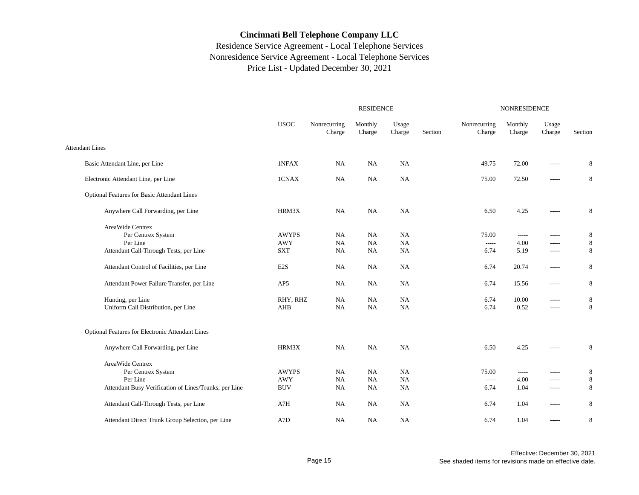|                                                       | <b>RESIDENCE</b> |                        |                   |                 |         |                        | NONRESIDENCE      |                 |             |  |  |
|-------------------------------------------------------|------------------|------------------------|-------------------|-----------------|---------|------------------------|-------------------|-----------------|-------------|--|--|
|                                                       | <b>USOC</b>      | Nonrecurring<br>Charge | Monthly<br>Charge | Usage<br>Charge | Section | Nonrecurring<br>Charge | Monthly<br>Charge | Usage<br>Charge | Section     |  |  |
| <b>Attendant Lines</b>                                |                  |                        |                   |                 |         |                        |                   |                 |             |  |  |
| Basic Attendant Line, per Line                        | 1NFAX            | NA                     | NA                | NA              |         | 49.75                  | 72.00             | -----           | 8           |  |  |
| Electronic Attendant Line, per Line                   | 1CNAX            | <b>NA</b>              | NA                | NA              |         | 75.00                  | 72.50             | $- - - - -$     | 8           |  |  |
| Optional Features for Basic Attendant Lines           |                  |                        |                   |                 |         |                        |                   |                 |             |  |  |
| Anywhere Call Forwarding, per Line                    | HRM3X            | NA                     | NA                | NA              |         | 6.50                   | 4.25              | -----           | $\,$ 8 $\,$ |  |  |
| AreaWide Centrex                                      |                  |                        |                   |                 |         |                        |                   |                 |             |  |  |
| Per Centrex System                                    | <b>AWYPS</b>     | NA                     | NA                | NA              |         | 75.00                  | $-----$           | $-----$         | 8           |  |  |
| Per Line                                              | <b>AWY</b>       | <b>NA</b>              | $_{\rm NA}$       | <b>NA</b>       |         | $-----$                | 4.00              | $-----$         | $\,$ 8 $\,$ |  |  |
| Attendant Call-Through Tests, per Line                | <b>SXT</b>       | <b>NA</b>              | <b>NA</b>         | <b>NA</b>       |         | 6.74                   | 5.19              | $- - - - -$     | 8           |  |  |
| Attendant Control of Facilities, per Line             | E <sub>2</sub> S | <b>NA</b>              | <b>NA</b>         | NA              |         | 6.74                   | 20.74             | $- - - - -$     | 8           |  |  |
| Attendant Power Failure Transfer, per Line            | AP <sub>5</sub>  | NA                     | NA                | <b>NA</b>       |         | 6.74                   | 15.56             | $- - - - -$     | 8           |  |  |
| Hunting, per Line                                     | RHY, RHZ         | NA                     | NA                | NA              |         | 6.74                   | 10.00             | $- - - - -$     | 8           |  |  |
| Uniform Call Distribution, per Line                   | AHB              | <b>NA</b>              | NA                | NA              |         | 6.74                   | 0.52              | $-----$         | $\,8\,$     |  |  |
| Optional Features for Electronic Attendant Lines      |                  |                        |                   |                 |         |                        |                   |                 |             |  |  |
| Anywhere Call Forwarding, per Line                    | HRM3X            | NA                     | NA                | NA              |         | 6.50                   | 4.25              | $- - - - -$     | $\,8\,$     |  |  |
| AreaWide Centrex                                      |                  |                        |                   |                 |         |                        |                   |                 |             |  |  |
| Per Centrex System                                    | <b>AWYPS</b>     | NA                     | NA                | NA              |         | 75.00                  | $- - - - -$       | $- - - - -$     | $\,$ 8 $\,$ |  |  |
| Per Line                                              | <b>AWY</b>       | <b>NA</b>              | NA                | <b>NA</b>       |         |                        | 4.00              | $- - - - -$     | $\,$ 8 $\,$ |  |  |
| Attendant Busy Verification of Lines/Trunks, per Line | <b>BUV</b>       | <b>NA</b>              | NA                | <b>NA</b>       |         | 6.74                   | 1.04              | $- - - - -$     | 8           |  |  |
| Attendant Call-Through Tests, per Line                | A7H              | <b>NA</b>              | NA                | NA              |         | 6.74                   | 1.04              | $- - - - -$     | 8           |  |  |
| Attendant Direct Trunk Group Selection, per Line      | A7D              | NA                     | NA                | NA              |         | 6.74                   | 1.04              | $--- -$         | $\,$ 8 $\,$ |  |  |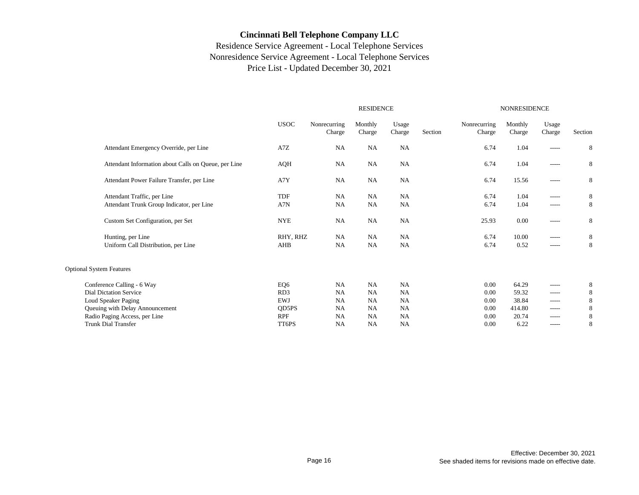|                                                      |                 |                        | <b>RESIDENCE</b>  |                 | NONRESIDENCE |                        |                   |                 |         |
|------------------------------------------------------|-----------------|------------------------|-------------------|-----------------|--------------|------------------------|-------------------|-----------------|---------|
|                                                      | <b>USOC</b>     | Nonrecurring<br>Charge | Monthly<br>Charge | Usage<br>Charge | Section      | Nonrecurring<br>Charge | Monthly<br>Charge | Usage<br>Charge | Section |
| Attendant Emergency Override, per Line               | A7Z             | <b>NA</b>              | NA                | NA              |              | 6.74                   | 1.04              | $- - - - -$     | 8       |
| Attendant Information about Calls on Queue, per Line | AQH             | <b>NA</b>              | <b>NA</b>         | NA              |              | 6.74                   | 1.04              | $-----$         | 8       |
| Attendant Power Failure Transfer, per Line           | A7Y             | <b>NA</b>              | NA                | NA              |              | 6.74                   | 15.56             | $-----$         | 8       |
| Attendant Traffic, per Line                          | TDF             | <b>NA</b>              | <b>NA</b>         | <b>NA</b>       |              | 6.74                   | 1.04              | $-----$         | 8       |
| Attendant Trunk Group Indicator, per Line            | A7N             | NA                     | NA                | NA              |              | 6.74                   | 1.04              | $-----$         | 8       |
| Custom Set Configuration, per Set                    | <b>NYE</b>      | <b>NA</b>              | <b>NA</b>         | NA              |              | 25.93                  | 0.00              | $-----$         | 8       |
| Hunting, per Line                                    | RHY, RHZ        | <b>NA</b>              | <b>NA</b>         | <b>NA</b>       |              | 6.74                   | 10.00             | $-----$         | 8       |
| Uniform Call Distribution, per Line                  | AHB             | NA                     | <b>NA</b>         | NA              |              | 6.74                   | 0.52              | $- - - - -$     | 8       |
| <b>Optional System Features</b>                      |                 |                        |                   |                 |              |                        |                   |                 |         |
| Conference Calling - 6 Way                           | EQ6             | <b>NA</b>              | <b>NA</b>         | NA              |              | 0.00                   | 64.29             | $-----$         | 8       |
| <b>Dial Dictation Service</b>                        | RD <sub>3</sub> | <b>NA</b>              | <b>NA</b>         | <b>NA</b>       |              | 0.00                   | 59.32             | $- - - - -$     | 8       |
| Loud Speaker Paging                                  | <b>EWJ</b>      | NA                     | <b>NA</b>         | <b>NA</b>       |              | 0.00                   | 38.84             | $-----$         | 8       |
| Queuing with Delay Announcement                      | QD5PS           | <b>NA</b>              | <b>NA</b>         | NA              |              | 0.00                   | 414.80            | $- - - - -$     | 8       |
| Radio Paging Access, per Line                        | <b>RPF</b>      | <b>NA</b>              | <b>NA</b>         | <b>NA</b>       |              | 0.00                   | 20.74             | $- - - - -$     | 8       |
| <b>Trunk Dial Transfer</b>                           | TT6PS           | <b>NA</b>              | <b>NA</b>         | <b>NA</b>       |              | 0.00                   | 6.22              | $- - - - -$     | 8       |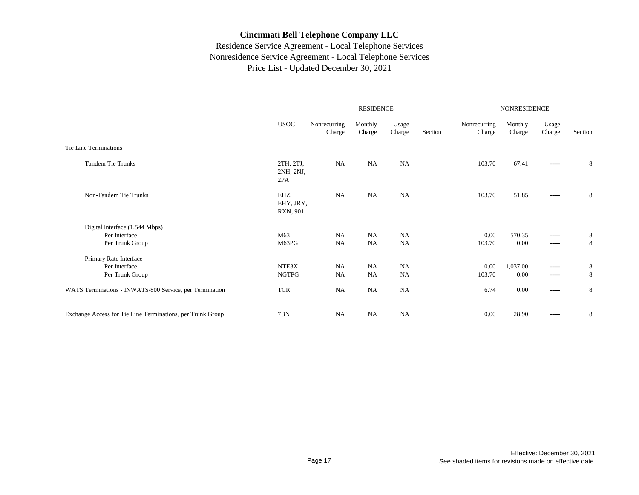|                                                                    |                               |                        | <b>RESIDENCE</b>       |                        | NONRESIDENCE |                        |                   |                        |         |
|--------------------------------------------------------------------|-------------------------------|------------------------|------------------------|------------------------|--------------|------------------------|-------------------|------------------------|---------|
|                                                                    | <b>USOC</b>                   | Nonrecurring<br>Charge | Monthly<br>Charge      | Usage<br>Charge        | Section      | Nonrecurring<br>Charge | Monthly<br>Charge | Usage<br>Charge        | Section |
| Tie Line Terminations                                              |                               |                        |                        |                        |              |                        |                   |                        |         |
| <b>Tandem Tie Trunks</b>                                           | 2TH, 2TJ,<br>2NH, 2NJ,<br>2PA | NA                     | <b>NA</b>              | <b>NA</b>              |              | 103.70                 | 67.41             | $--- - - -$            | 8       |
| Non-Tandem Tie Trunks                                              | EHZ,<br>EHY, JRY,<br>RXN, 901 | NA                     | <b>NA</b>              | <b>NA</b>              |              | 103.70                 | 51.85             | $- - - - -$            | 8       |
| Digital Interface (1.544 Mbps)<br>Per Interface<br>Per Trunk Group | M63<br>M63PG                  | <b>NA</b><br><b>NA</b> | <b>NA</b><br><b>NA</b> | <b>NA</b><br><b>NA</b> |              | 0.00<br>103.70         | 570.35<br>0.00    | $-----$<br>$- - - - -$ | 8<br>8  |
| Primary Rate Interface<br>Per Interface<br>Per Trunk Group         | NTE3X<br><b>NGTPG</b>         | <b>NA</b><br><b>NA</b> | <b>NA</b><br><b>NA</b> | <b>NA</b><br><b>NA</b> |              | 0.00<br>103.70         | 1,037.00<br>0.00  | $-----$<br>$------$    | 8<br>8  |
| WATS Terminations - INWATS/800 Service, per Termination            | <b>TCR</b>                    | NA                     | <b>NA</b>              | NA                     |              | 6.74                   | 0.00              | $- - - - -$            | 8       |
| Exchange Access for Tie Line Terminations, per Trunk Group         | 7BN                           | <b>NA</b>              | <b>NA</b>              | <b>NA</b>              |              | 0.00                   | 28.90             | $- - - - -$            | 8       |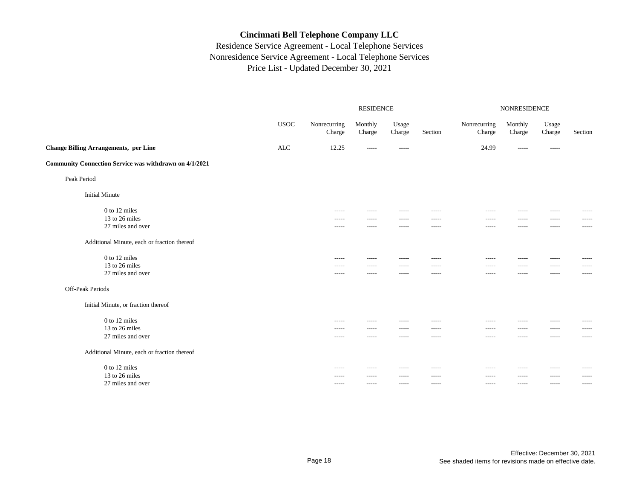|                                                        |              |                        | <b>RESIDENCE</b>  |                 | NONRESIDENCE |                        |                   |                 |             |
|--------------------------------------------------------|--------------|------------------------|-------------------|-----------------|--------------|------------------------|-------------------|-----------------|-------------|
|                                                        | <b>USOC</b>  | Nonrecurring<br>Charge | Monthly<br>Charge | Usage<br>Charge | Section      | Nonrecurring<br>Charge | Monthly<br>Charge | Usage<br>Charge | Section     |
| <b>Change Billing Arrangements, per Line</b>           | $\mbox{ALC}$ | 12.25                  | $- - - - -$       | $- - - - -$     |              | 24.99                  | $- - - - -$       | $- - - - -$     |             |
| Community Connection Service was withdrawn on 4/1/2021 |              |                        |                   |                 |              |                        |                   |                 |             |
| Peak Period                                            |              |                        |                   |                 |              |                        |                   |                 |             |
| <b>Initial Minute</b>                                  |              |                        |                   |                 |              |                        |                   |                 |             |
| 0 to 12 miles                                          |              | -----                  |                   |                 | -----        |                        | -----             | -----           | -----       |
| 13 to 26 miles                                         |              | -----                  | -----             | -----           | -----        | -----                  | -----             | -----           | -----       |
| 27 miles and over                                      |              | -----                  | $- - - - -$       | -----           | -----        | $- - - - -$            | -----             | -----           | $- - - - -$ |
| Additional Minute, each or fraction thereof            |              |                        |                   |                 |              |                        |                   |                 |             |
| 0 to 12 miles                                          |              | $- - - - -$            | $- - - - -$       | $- - - - -$     | -----        | $- - - - -$            | -----             | $- - - - -$     | $- - - - -$ |
| 13 to 26 miles                                         |              | $- - - - -$            | $- - - - -$       | -----           | $- - - - -$  | -----                  | -----             | $- - - - -$     | -----       |
| 27 miles and over                                      |              | -----                  | $- - - - -$       | -----           | -----        | $- - - - -$            | -----             | -----           | -----       |
| Off-Peak Periods                                       |              |                        |                   |                 |              |                        |                   |                 |             |
| Initial Minute, or fraction thereof                    |              |                        |                   |                 |              |                        |                   |                 |             |
| 0 to 12 miles                                          |              | $- - - - -$            | -----             | -----           | -----        | $- - - - -$            | -----             | $- - - - -$     | -----       |
| 13 to 26 miles                                         |              | -----                  | $- - - - -$       | -----           | $- - - - -$  | $- - - - -$            | -----             | $- - - - -$     | -----       |
| 27 miles and over                                      |              | -----                  | $- - - - -$       | -----           | -----        | $- - - - -$            | -----             | $- - - - -$     | -----       |
| Additional Minute, each or fraction thereof            |              |                        |                   |                 |              |                        |                   |                 |             |
| 0 to 12 miles                                          |              | -----                  | $- - - - -$       | -----           | $- - - - -$  | $- - - - -$            | -----             | $- - - - -$     | -----       |
| 13 to 26 miles                                         |              | -----                  | -----             | -----           | $- - - - -$  | -----                  | -----             | -----           | -----       |
| 27 miles and over                                      |              | -----                  | -----             | -----           | -----        | -----                  | -----             | $- - - - -$     | -----       |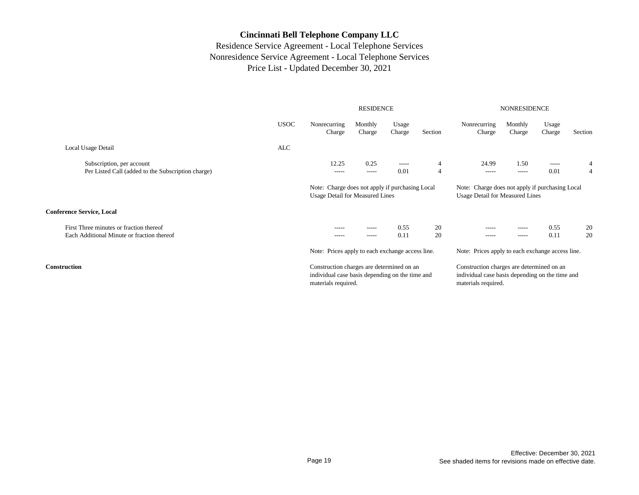|                                                                                       |                                                                                                                                                                                 |                                                                                                                     | <b>RESIDENCE</b>    |                     |                                  | <b>NONRESIDENCE</b>                                                                                                 |                      |                 |          |
|---------------------------------------------------------------------------------------|---------------------------------------------------------------------------------------------------------------------------------------------------------------------------------|---------------------------------------------------------------------------------------------------------------------|---------------------|---------------------|----------------------------------|---------------------------------------------------------------------------------------------------------------------|----------------------|-----------------|----------|
|                                                                                       | <b>USOC</b>                                                                                                                                                                     | Nonrecurring<br>Charge                                                                                              | Monthly<br>Charge   | Usage<br>Charge     | Section                          | Nonrecurring<br>Charge                                                                                              | Monthly<br>Charge    | Usage<br>Charge | Section  |
| Local Usage Detail                                                                    | <b>ALC</b>                                                                                                                                                                      |                                                                                                                     |                     |                     |                                  |                                                                                                                     |                      |                 |          |
| Subscription, per account<br>Per Listed Call (added to the Subscription charge)       |                                                                                                                                                                                 | 12.25<br>$- - - - -$                                                                                                | 0.25<br>$- - - - -$ | $- - - - -$<br>0.01 | $\overline{4}$<br>$\overline{4}$ | 24.99<br>$- - - - -$                                                                                                | 1.50<br>$- - - - -$  | -----<br>0.01   | 4<br>4   |
|                                                                                       | Note: Charge does not apply if purchasing Local<br>Note: Charge does not apply if purchasing Local<br><b>Usage Detail for Measured Lines</b><br>Usage Detail for Measured Lines |                                                                                                                     |                     |                     |                                  |                                                                                                                     |                      |                 |          |
| <b>Conference Service, Local</b>                                                      |                                                                                                                                                                                 |                                                                                                                     |                     |                     |                                  |                                                                                                                     |                      |                 |          |
| First Three minutes or fraction thereof<br>Each Additional Minute or fraction thereof |                                                                                                                                                                                 | -----<br>$- - - - -$                                                                                                | -----<br>-----      | 0.55<br>0.11        | 20<br>20                         | -----<br>$- - - - -$                                                                                                | -----<br>$- - - - -$ | 0.55<br>0.11    | 20<br>20 |
|                                                                                       |                                                                                                                                                                                 | Note: Prices apply to each exchange access line.                                                                    |                     |                     |                                  | Note: Prices apply to each exchange access line.                                                                    |                      |                 |          |
| <b>Construction</b>                                                                   |                                                                                                                                                                                 | Construction charges are determined on an<br>individual case basis depending on the time and<br>materials required. |                     |                     |                                  | Construction charges are determined on an<br>individual case basis depending on the time and<br>materials required. |                      |                 |          |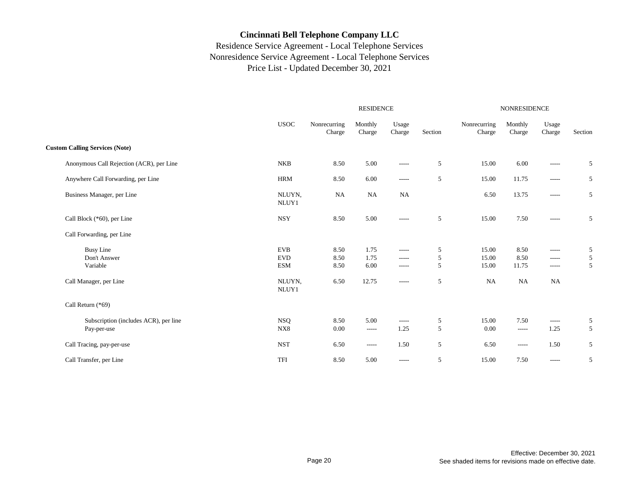|                                                      |                                        |                        | <b>RESIDENCE</b>     |                                       | <b>NONRESIDENCE</b> |                         |                       |                                |             |
|------------------------------------------------------|----------------------------------------|------------------------|----------------------|---------------------------------------|---------------------|-------------------------|-----------------------|--------------------------------|-------------|
|                                                      | <b>USOC</b>                            | Nonrecurring<br>Charge | Monthly<br>Charge    | Usage<br>Charge                       | Section             | Nonrecurring<br>Charge  | Monthly<br>Charge     | Usage<br>Charge                | Section     |
| <b>Custom Calling Services (Note)</b>                |                                        |                        |                      |                                       |                     |                         |                       |                                |             |
| Anonymous Call Rejection (ACR), per Line             | <b>NKB</b>                             | 8.50                   | 5.00                 | -----                                 | 5                   | 15.00                   | 6.00                  | $- - - - -$                    | 5           |
| Anywhere Call Forwarding, per Line                   | <b>HRM</b>                             | 8.50                   | 6.00                 | $\cdots$                              | 5                   | 15.00                   | 11.75                 | $\cdots$                       | 5           |
| Business Manager, per Line                           | NLUYN,<br>NLUY1                        | <b>NA</b>              | NA                   | <b>NA</b>                             |                     | 6.50                    | 13.75                 | $- - - - -$                    | 5           |
| Call Block (*60), per Line                           | <b>NSY</b>                             | 8.50                   | 5.00                 | $- - - - -$                           | 5                   | 15.00                   | 7.50                  | $\cdots$                       | 5           |
| Call Forwarding, per Line                            |                                        |                        |                      |                                       |                     |                         |                       |                                |             |
| <b>Busy Line</b><br>Don't Answer<br>Variable         | <b>EVB</b><br><b>EVD</b><br><b>ESM</b> | 8.50<br>8.50<br>8.50   | 1.75<br>1.75<br>6.00 | $- - - - -$<br>$- - - - -$<br>$-----$ | 5<br>5<br>5         | 15.00<br>15.00<br>15.00 | 8.50<br>8.50<br>11.75 | $\cdots$<br>$-----$<br>$-----$ | 5<br>5<br>5 |
| Call Manager, per Line                               | NLUYN,<br>NLUY1                        | 6.50                   | 12.75                | $- - - - -$                           | 5                   | <b>NA</b>               | <b>NA</b>             | <b>NA</b>                      |             |
| Call Return (*69)                                    |                                        |                        |                      |                                       |                     |                         |                       |                                |             |
| Subscription (includes ACR), per line<br>Pay-per-use | <b>NSQ</b><br>NX8                      | 8.50<br>0.00           | 5.00<br>$- - - - -$  | -----<br>1.25                         | 5<br>$\sqrt{5}$     | 15.00<br>0.00           | 7.50<br>$- - - - -$   | $\cdots$<br>1.25               | 5<br>5      |
| Call Tracing, pay-per-use                            | <b>NST</b>                             | 6.50                   | -----                | 1.50                                  | 5                   | 6.50                    | $\cdots$              | 1.50                           | 5           |
| Call Transfer, per Line                              | TFI                                    | 8.50                   | 5.00                 | $-----$                               | 5                   | 15.00                   | 7.50                  | $-----$                        | 5           |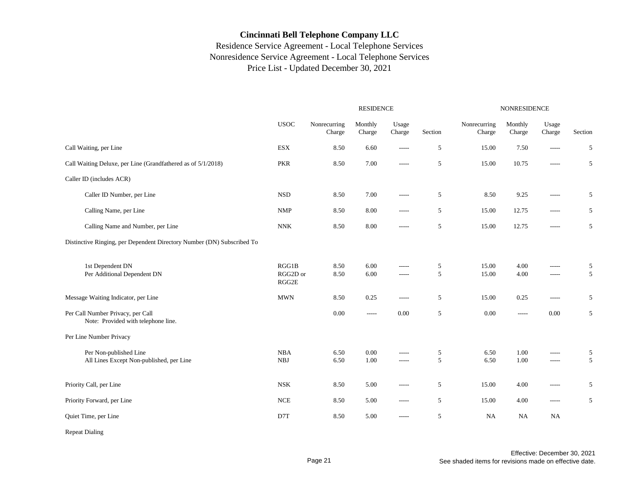## Residence Service Agreement - Local Telephone Services Nonresidence Service Agreement - Local Telephone Services Price List - Updated December 30, 2021

|                                                                          |                            |                        | <b>RESIDENCE</b>  |                      | <b>NONRESIDENCE</b> |                        |                   |                 |         |
|--------------------------------------------------------------------------|----------------------------|------------------------|-------------------|----------------------|---------------------|------------------------|-------------------|-----------------|---------|
|                                                                          | <b>USOC</b>                | Nonrecurring<br>Charge | Monthly<br>Charge | Usage<br>Charge      | Section             | Nonrecurring<br>Charge | Monthly<br>Charge | Usage<br>Charge | Section |
| Call Waiting, per Line                                                   | <b>ESX</b>                 | 8.50                   | 6.60              | -----                | 5                   | 15.00                  | 7.50              | -----           | 5       |
| Call Waiting Deluxe, per Line (Grandfathered as of 5/1/2018)             | <b>PKR</b>                 | 8.50                   | 7.00              | -----                | 5                   | 15.00                  | 10.75             | -----           | 5       |
| Caller ID (includes ACR)                                                 |                            |                        |                   |                      |                     |                        |                   |                 |         |
| Caller ID Number, per Line                                               | <b>NSD</b>                 | 8.50                   | 7.00              | -----                | 5                   | 8.50                   | 9.25              | -----           | 5       |
| Calling Name, per Line                                                   | <b>NMP</b>                 | 8.50                   | 8.00              | -----                | 5                   | 15.00                  | 12.75             | -----           | 5       |
| Calling Name and Number, per Line                                        | <b>NNK</b>                 | 8.50                   | 8.00              | -----                | 5                   | 15.00                  | 12.75             | -----           | 5       |
| Distinctive Ringing, per Dependent Directory Number (DN) Subscribed To   |                            |                        |                   |                      |                     |                        |                   |                 |         |
| 1st Dependent DN<br>Per Additional Dependent DN                          | RGG1B<br>RGG2D or<br>RGG2E | 8.50<br>8.50           | 6.00<br>6.00      | $- - - - -$<br>----- | 5<br>5              | 15.00<br>15.00         | 4.00<br>4.00      | -----<br>-----  | 5<br>5  |
| Message Waiting Indicator, per Line                                      | <b>MWN</b>                 | 8.50                   | 0.25              | -----                | 5                   | 15.00                  | 0.25              | -----           | 5       |
| Per Call Number Privacy, per Call<br>Note: Provided with telephone line. |                            | 0.00                   | -----             | 0.00                 | 5                   | 0.00                   | $- - - - -$       | 0.00            | 5       |
| Per Line Number Privacy                                                  |                            |                        |                   |                      |                     |                        |                   |                 |         |
| Per Non-published Line<br>All Lines Except Non-published, per Line       | NBA<br><b>NBJ</b>          | 6.50<br>6.50           | 0.00<br>1.00      | -----<br>-----       | 5<br>5              | 6.50<br>6.50           | 1.00<br>1.00      | -----<br>-----  | 5<br>5  |
| Priority Call, per Line                                                  | <b>NSK</b>                 | 8.50                   | 5.00              | -----                | 5                   | 15.00                  | 4.00              | -----           | 5       |
| Priority Forward, per Line                                               | <b>NCE</b>                 | 8.50                   | 5.00              | -----                | 5                   | 15.00                  | 4.00              | -----           | 5       |
| Quiet Time, per Line                                                     | D7T                        | 8.50                   | 5.00              | -----                | 5                   | NA                     | <b>NA</b>         | NA              |         |

Repeat Dialing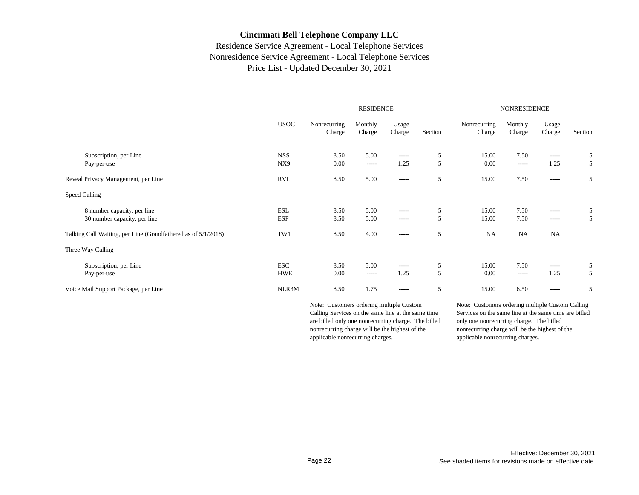#### Residence Service Agreement - Local Telephone Services Nonresidence Service Agreement - Local Telephone Services Price List - Updated December 30, 2021

|                                                               |             |                        | <b>RESIDENCE</b>  |                 | <b>NONRESIDENCE</b> |                        |                   |                 |         |
|---------------------------------------------------------------|-------------|------------------------|-------------------|-----------------|---------------------|------------------------|-------------------|-----------------|---------|
|                                                               | <b>USOC</b> | Nonrecurring<br>Charge | Monthly<br>Charge | Usage<br>Charge | Section             | Nonrecurring<br>Charge | Monthly<br>Charge | Usage<br>Charge | Section |
| Subscription, per Line                                        | <b>NSS</b>  | 8.50                   | 5.00              | $- - - - -$     | 5                   | 15.00                  | 7.50              | $- - - - -$     | 5       |
| Pay-per-use                                                   | NX9         | 0.00                   | $\cdots$          | 1.25            | 5                   | 0.00                   | $- - - - -$       | 1.25            | 5       |
| Reveal Privacy Management, per Line                           | RVL         | 8.50                   | 5.00              | $- - - - -$     | 5                   | 15.00                  | 7.50              | $- - - - -$     | 5       |
| Speed Calling                                                 |             |                        |                   |                 |                     |                        |                   |                 |         |
| 8 number capacity, per line                                   | ESL         | 8.50                   | 5.00              | $- - - - -$     | 5                   | 15.00                  | 7.50              | -----           | 5       |
| 30 number capacity, per line                                  | ESF         | 8.50                   | 5.00              | $- - - - -$     | 5                   | 15.00                  | 7.50              | $- - - - -$     | 5       |
| Talking Call Waiting, per Line (Grandfathered as of 5/1/2018) | TW1         | 8.50                   | 4.00              | $- - - - -$     | 5                   | NA                     | <b>NA</b>         | <b>NA</b>       |         |
| Three Way Calling                                             |             |                        |                   |                 |                     |                        |                   |                 |         |
| Subscription, per Line                                        | <b>ESC</b>  | 8.50                   | 5.00              | $- - - - -$     | 5                   | 15.00                  | 7.50              | $- - - - -$     | 5       |
| Pay-per-use                                                   | <b>HWE</b>  | 0.00                   | $- - - - -$       | 1.25            | 5                   | 0.00                   | $-----$           | 1.25            | 5       |
| Voice Mail Support Package, per Line                          | NLR3M       | 8.50                   | 1.75              | $- - - - -$     | 5                   | 15.00                  | 6.50              | $-----$         | 5       |

Note: Customers ordering multiple Custom Calling Services on the same line at the same time are billed only one nonrecurring charge. The billed nonrecurring charge will be the highest of the applicable nonrecurring charges.

Note: Customers ordering multiple Custom Calling Services on the same line at the same time are billed only one nonrecurring charge. The billed nonrecurring charge will be the highest of the applicable nonrecurring charges.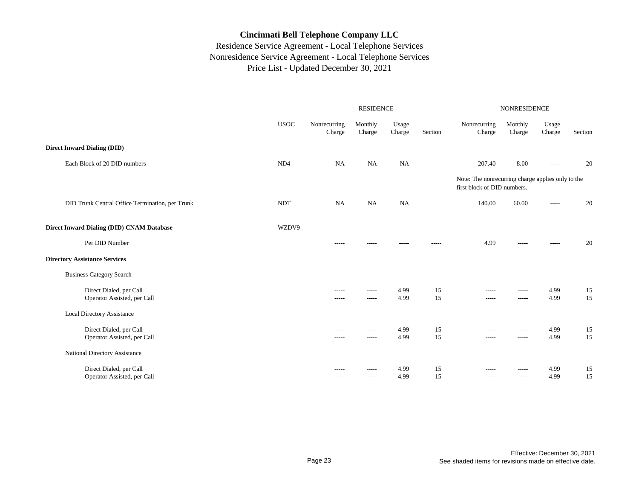|                                                 |                 |                        | <b>RESIDENCE</b>  |                 | NONRESIDENCE |                                                                                  |                   |                 |         |
|-------------------------------------------------|-----------------|------------------------|-------------------|-----------------|--------------|----------------------------------------------------------------------------------|-------------------|-----------------|---------|
|                                                 | <b>USOC</b>     | Nonrecurring<br>Charge | Monthly<br>Charge | Usage<br>Charge | Section      | Nonrecurring<br>Charge                                                           | Monthly<br>Charge | Usage<br>Charge | Section |
| <b>Direct Inward Dialing (DID)</b>              |                 |                        |                   |                 |              |                                                                                  |                   |                 |         |
| Each Block of 20 DID numbers                    | ND <sub>4</sub> | <b>NA</b>              | <b>NA</b>         | <b>NA</b>       |              | 207.40                                                                           | 8.00              | -----           | 20      |
|                                                 |                 |                        |                   |                 |              | Note: The nonrecurring charge applies only to the<br>first block of DID numbers. |                   |                 |         |
| DID Trunk Central Office Termination, per Trunk | <b>NDT</b>      | <b>NA</b>              | <b>NA</b>         | NA              |              | 140.00                                                                           | 60.00             | $\frac{1}{2}$   | 20      |
| Direct Inward Dialing (DID) CNAM Database       | WZDV9           |                        |                   |                 |              |                                                                                  |                   |                 |         |
| Per DID Number                                  |                 | $- - - - -$            | -----             | -----           | $- - - - -$  | 4.99                                                                             | $- - - - -$       | -----           | 20      |
| <b>Directory Assistance Services</b>            |                 |                        |                   |                 |              |                                                                                  |                   |                 |         |
| <b>Business Category Search</b>                 |                 |                        |                   |                 |              |                                                                                  |                   |                 |         |
| Direct Dialed, per Call                         |                 | $- - - - -$            | $- - - - -$       | 4.99            | 15           | $- - - - -$                                                                      | $- - - - -$       | 4.99            | 15      |
| Operator Assisted, per Call                     |                 | -----                  | $-----$           | 4.99            | 15           | -----                                                                            | $--- - -$         | 4.99            | 15      |
| <b>Local Directory Assistance</b>               |                 |                        |                   |                 |              |                                                                                  |                   |                 |         |
| Direct Dialed, per Call                         |                 | $- - - - -$            | $- - - - -$       | 4.99            | 15           | $- - - - -$                                                                      | $- - - - -$       | 4.99            | 15      |
| Operator Assisted, per Call                     |                 | -----                  | $-----$           | 4.99            | 15           | $- - - - -$                                                                      | $- - - - -$       | 4.99            | 15      |
| National Directory Assistance                   |                 |                        |                   |                 |              |                                                                                  |                   |                 |         |
| Direct Dialed, per Call                         |                 | -----                  | -----             | 4.99            | 15           | -----                                                                            | -----             | 4.99            | 15      |
| Operator Assisted, per Call                     |                 | $- - - - -$            | $- - - - -$       | 4.99            | 15           | $- - - - -$                                                                      | $- - - - -$       | 4.99            | 15      |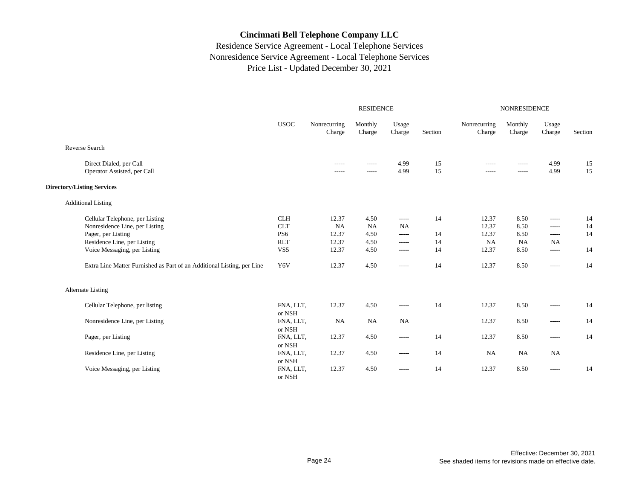|                                                                        |                     |                        | <b>RESIDENCE</b>  |                 | <b>NONRESIDENCE</b> |                        |                   |                 |         |
|------------------------------------------------------------------------|---------------------|------------------------|-------------------|-----------------|---------------------|------------------------|-------------------|-----------------|---------|
|                                                                        | <b>USOC</b>         | Nonrecurring<br>Charge | Monthly<br>Charge | Usage<br>Charge | Section             | Nonrecurring<br>Charge | Monthly<br>Charge | Usage<br>Charge | Section |
| Reverse Search                                                         |                     |                        |                   |                 |                     |                        |                   |                 |         |
| Direct Dialed, per Call                                                |                     | $- - - - -$            | $- - - - -$       | 4.99            | 15                  | $- - - - -$            | $- - - - -$       | 4.99            | 15      |
| Operator Assisted, per Call                                            |                     | $- - - - -$            | -----             | 4.99            | 15                  | -----                  | $- - - - -$       | 4.99            | 15      |
| <b>Directory/Listing Services</b>                                      |                     |                        |                   |                 |                     |                        |                   |                 |         |
| <b>Additional Listing</b>                                              |                     |                        |                   |                 |                     |                        |                   |                 |         |
| Cellular Telephone, per Listing                                        | <b>CLH</b>          | 12.37                  | 4.50              | $- - - - -$     | 14                  | 12.37                  | 8.50              | $- - - - -$     | 14      |
| Nonresidence Line, per Listing                                         | <b>CLT</b>          | NA                     | <b>NA</b>         | <b>NA</b>       |                     | 12.37                  | 8.50              | $- - - - -$     | 14      |
| Pager, per Listing                                                     | PS <sub>6</sub>     | 12.37                  | 4.50              | $-----$         | 14                  | 12.37                  | 8.50              | $\cdots$        | 14      |
| Residence Line, per Listing                                            | <b>RLT</b>          | 12.37                  | 4.50              | $-----$         | 14                  | NA                     | <b>NA</b>         | NA              |         |
| Voice Messaging, per Listing                                           | VS <sub>5</sub>     | 12.37                  | 4.50              | $- - - - -$     | 14                  | 12.37                  | 8.50              | $-----$         | 14      |
| Extra Line Matter Furnished as Part of an Additional Listing, per Line | Y6V                 | 12.37                  | 4.50              | $- - - - -$     | 14                  | 12.37                  | 8.50              | $-----$         | 14      |
| <b>Alternate Listing</b>                                               |                     |                        |                   |                 |                     |                        |                   |                 |         |
| Cellular Telephone, per listing                                        | FNA, LLT,<br>or NSH | 12.37                  | 4.50              | $\cdots$        | 14                  | 12.37                  | 8.50              | -----           | 14      |
| Nonresidence Line, per Listing                                         | FNA, LLT,<br>or NSH | NA                     | NA                | NA              |                     | 12.37                  | 8.50              | $- - - - -$     | 14      |
| Pager, per Listing                                                     | FNA, LLT,<br>or NSH | 12.37                  | 4.50              | $\cdots$        | 14                  | 12.37                  | 8.50              | $- - - - -$     | 14      |
| Residence Line, per Listing                                            | FNA, LLT,<br>or NSH | 12.37                  | 4.50              | $\cdots$        | 14                  | NA                     | NA                | <b>NA</b>       |         |
| Voice Messaging, per Listing                                           | FNA, LLT,<br>or NSH | 12.37                  | 4.50              | $- - - - -$     | 14                  | 12.37                  | 8.50              | $- - - - -$     | 14      |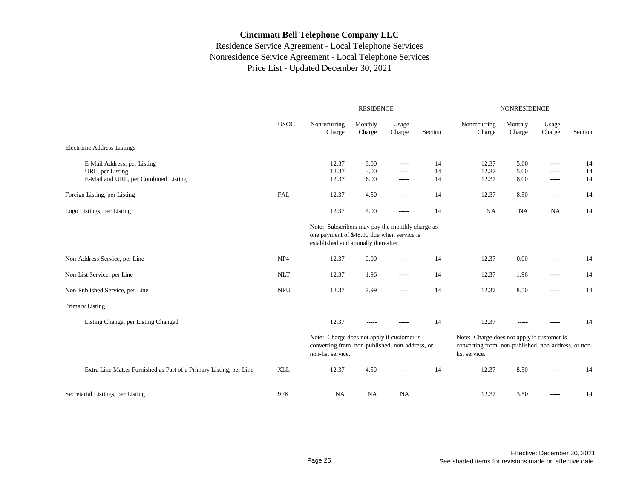|                                                                                         |                 |                                                                                                                                       | <b>RESIDENCE</b>     |                                   |                | <b>NONRESIDENCE</b>                                                                                                |                      |                         |                |  |
|-----------------------------------------------------------------------------------------|-----------------|---------------------------------------------------------------------------------------------------------------------------------------|----------------------|-----------------------------------|----------------|--------------------------------------------------------------------------------------------------------------------|----------------------|-------------------------|----------------|--|
|                                                                                         | <b>USOC</b>     | Nonrecurring<br>Charge                                                                                                                | Monthly<br>Charge    | Usage<br>Charge                   | Section        | Nonrecurring<br>Charge                                                                                             | Monthly<br>Charge    | Usage<br>Charge         | Section        |  |
| <b>Electronic Address Listings</b>                                                      |                 |                                                                                                                                       |                      |                                   |                |                                                                                                                    |                      |                         |                |  |
| E-Mail Address, per Listing<br>URL, per Listing<br>E-Mail and URL, per Combined Listing |                 | 12.37<br>12.37<br>12.37                                                                                                               | 3.00<br>3.00<br>6.00 | $-----$<br>$-----$<br>$- - - - -$ | 14<br>14<br>14 | 12.37<br>12.37<br>12.37                                                                                            | 5.00<br>5.00<br>8.00 | -----<br>-----<br>----- | 14<br>14<br>14 |  |
| Foreign Listing, per Listing                                                            | <b>FAL</b>      | 12.37                                                                                                                                 | 4.50                 | $- - - - -$                       | 14             | 12.37                                                                                                              | 8.50                 | -----                   | 14             |  |
| Logo Listings, per Listing                                                              |                 | 12.37                                                                                                                                 | 4.00                 | $- - - - -$                       | 14             | <b>NA</b>                                                                                                          | NA                   | <b>NA</b>               | 14             |  |
|                                                                                         |                 | Note: Subscribers may pay the monthly charge as<br>one payment of \$48.00 due when service is<br>established and annually thereafter. |                      |                                   |                |                                                                                                                    |                      |                         |                |  |
| Non-Address Service, per Line                                                           | NP <sub>4</sub> | 12.37                                                                                                                                 | 0.00                 | $- - - - -$                       | 14             | 12.37                                                                                                              | 0.00                 | -----                   | 14             |  |
| Non-List Service, per Line                                                              | <b>NLT</b>      | 12.37                                                                                                                                 | 1.96                 | -----                             | 14             | 12.37                                                                                                              | 1.96                 | -----                   | 14             |  |
| Non-Published Service, per Line                                                         | <b>NPU</b>      | 12.37                                                                                                                                 | 7.99                 | -----                             | 14             | 12.37                                                                                                              | 8.50                 | -----                   | 14             |  |
| <b>Primary Listing</b>                                                                  |                 |                                                                                                                                       |                      |                                   |                |                                                                                                                    |                      |                         |                |  |
| Listing Change, per Listing Changed                                                     |                 | 12.37                                                                                                                                 |                      |                                   | 14             | 12.37                                                                                                              |                      |                         | 14             |  |
|                                                                                         |                 | Note: Charge does not apply if customer is<br>converting from non-published, non-address, or<br>non-list service.                     |                      |                                   |                | Note: Charge does not apply if customer is<br>converting from non-published, non-address, or non-<br>list service. |                      |                         |                |  |
| Extra Line Matter Furnished as Part of a Primary Listing, per Line                      | <b>XLL</b>      | 12.37                                                                                                                                 | 4.50                 | -----                             | 14             | 12.37                                                                                                              | 8.50                 | -----                   | 14             |  |
| Secretarial Listings, per Listing                                                       | 9FK             | <b>NA</b>                                                                                                                             | <b>NA</b>            | NA                                |                | 12.37                                                                                                              | 3.50                 | -----                   | 14             |  |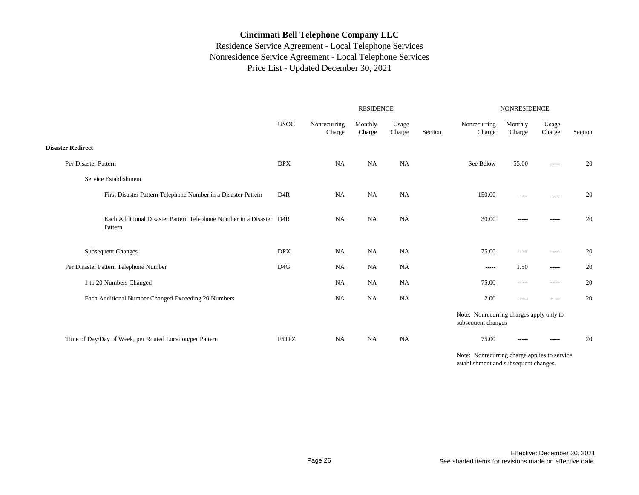## Residence Service Agreement - Local Telephone Services Nonresidence Service Agreement - Local Telephone Services Price List - Updated December 30, 2021

|                                                                                |                  |                        | <b>RESIDENCE</b>  |                 |         | NONRESIDENCE                                                   |                   |                 |         |  |
|--------------------------------------------------------------------------------|------------------|------------------------|-------------------|-----------------|---------|----------------------------------------------------------------|-------------------|-----------------|---------|--|
|                                                                                | <b>USOC</b>      | Nonrecurring<br>Charge | Monthly<br>Charge | Usage<br>Charge | Section | Nonrecurring<br>Charge                                         | Monthly<br>Charge | Usage<br>Charge | Section |  |
| <b>Disaster Redirect</b>                                                       |                  |                        |                   |                 |         |                                                                |                   |                 |         |  |
| Per Disaster Pattern                                                           | <b>DPX</b>       | <b>NA</b>              | <b>NA</b>         | NA              |         | See Below                                                      | 55.00             | -----           | 20      |  |
| Service Establishment                                                          |                  |                        |                   |                 |         |                                                                |                   |                 |         |  |
| First Disaster Pattern Telephone Number in a Disaster Pattern                  | D <sub>4</sub> R | <b>NA</b>              | NA                | NA              |         | 150.00                                                         | $- - - - -$       | -----           | 20      |  |
| Each Additional Disaster Pattern Telephone Number in a Disaster D4R<br>Pattern |                  | <b>NA</b>              | <b>NA</b>         | NA              |         | 30.00                                                          | $- - - - -$       | -----           | 20      |  |
| <b>Subsequent Changes</b>                                                      | <b>DPX</b>       | <b>NA</b>              | <b>NA</b>         | <b>NA</b>       |         | 75.00                                                          | $- - - - -$       | -----           | 20      |  |
| Per Disaster Pattern Telephone Number                                          | D <sub>4</sub> G | NA                     | NA                | NA              |         | -----                                                          | 1.50              | $- - - - -$     | 20      |  |
| 1 to 20 Numbers Changed                                                        |                  | NA                     | NA                | NA              |         | 75.00                                                          | $-----$           | -----           | 20      |  |
| Each Additional Number Changed Exceeding 20 Numbers                            |                  | NA                     | <b>NA</b>         | NA              |         | 2.00                                                           | $- - - - -$       | $-----$         | 20      |  |
|                                                                                |                  |                        |                   |                 |         | Note: Nonrecurring charges apply only to<br>subsequent changes |                   |                 |         |  |
| Time of Day/Day of Week, per Routed Location/per Pattern                       | F5TPZ            | NA                     | <b>NA</b>         | NA              |         | 75.00                                                          | $-----$           | -----           | 20      |  |
|                                                                                |                  |                        |                   |                 |         |                                                                |                   |                 |         |  |

Note: Nonrecurring charge applies to service establishment and subsequent changes.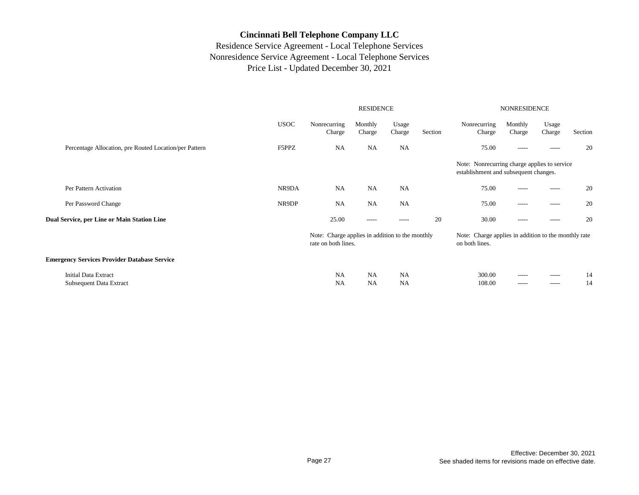|                                                        |             |                                                                        | <b>RESIDENCE</b>       |                        | <b>NONRESIDENCE</b> |                                                                                       |                   |                 |          |
|--------------------------------------------------------|-------------|------------------------------------------------------------------------|------------------------|------------------------|---------------------|---------------------------------------------------------------------------------------|-------------------|-----------------|----------|
|                                                        | <b>USOC</b> | Nonrecurring<br>Charge                                                 | Monthly<br>Charge      | Usage<br>Charge        | Section             | Nonrecurring<br>Charge                                                                | Monthly<br>Charge | Usage<br>Charge | Section  |
| Percentage Allocation, pre Routed Location/per Pattern | F5PPZ       | <b>NA</b>                                                              | <b>NA</b>              | <b>NA</b>              |                     | 75.00                                                                                 | $- - - - -$       | -----           | 20       |
|                                                        |             |                                                                        |                        |                        |                     | Note: Nonrecurring charge applies to service<br>establishment and subsequent changes. |                   |                 |          |
| Per Pattern Activation                                 | NR9DA       | <b>NA</b>                                                              | <b>NA</b>              | <b>NA</b>              |                     | 75.00                                                                                 | $- - - - -$       | $- - - - -$     | 20       |
| Per Password Change                                    | NR9DP       | <b>NA</b>                                                              | <b>NA</b>              | <b>NA</b>              |                     | 75.00                                                                                 | -----             | $- - - - -$     | 20       |
| Dual Service, per Line or Main Station Line            |             | 25.00                                                                  | $- - - - -$            | -----                  | 20                  | 30.00                                                                                 | $- - - - -$       | $- - - - -$     | 20       |
|                                                        |             | Note: Charge applies in addition to the monthly<br>rate on both lines. |                        |                        |                     | Note: Charge applies in addition to the monthly rate<br>on both lines.                |                   |                 |          |
| <b>Emergency Services Provider Database Service</b>    |             |                                                                        |                        |                        |                     |                                                                                       |                   |                 |          |
| <b>Initial Data Extract</b><br>Subsequent Data Extract |             | <b>NA</b><br><b>NA</b>                                                 | <b>NA</b><br><b>NA</b> | <b>NA</b><br><b>NA</b> |                     | 300.00<br>108.00                                                                      | -----<br>-----    | -----<br>-----  | 14<br>14 |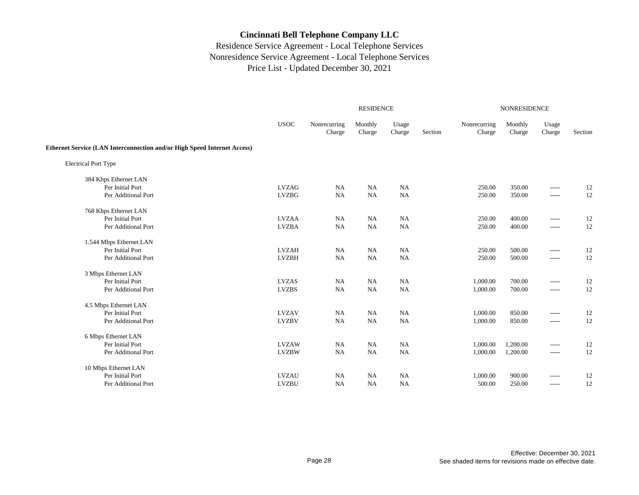|                                                                                 |              |                        | <b>RESIDENCE</b>  |                 |         | NONRESIDENCE           |                   |                 |         |  |
|---------------------------------------------------------------------------------|--------------|------------------------|-------------------|-----------------|---------|------------------------|-------------------|-----------------|---------|--|
|                                                                                 | <b>USOC</b>  | Nonrecurring<br>Charge | Monthly<br>Charge | Usage<br>Charge | Section | Nonrecurring<br>Charge | Monthly<br>Charge | Usage<br>Charge | Section |  |
| <b>Ethernet Service (LAN Interconnection and/or High Speed Internet Access)</b> |              |                        |                   |                 |         |                        |                   |                 |         |  |
| <b>Electrical Port Type</b>                                                     |              |                        |                   |                 |         |                        |                   |                 |         |  |
| 384 Kbps Ethernet LAN                                                           |              |                        |                   |                 |         |                        |                   |                 |         |  |
| Per Initial Port                                                                | <b>LVZAG</b> | <b>NA</b>              | NA                | <b>NA</b>       |         | 250.00                 | 350.00            | -----           | 12      |  |
| Per Additional Port                                                             | <b>LVZBG</b> | <b>NA</b>              | NA                | $_{\rm NA}$     |         | 250.00                 | 350.00            | -----           | 12      |  |
| 768 Kbps Ethernet LAN                                                           |              |                        |                   |                 |         |                        |                   |                 |         |  |
| Per Initial Port                                                                | <b>LVZAA</b> | <b>NA</b>              | <b>NA</b>         | NA              |         | 250.00                 | 400.00            | -----           | 12      |  |
| Per Additional Port                                                             | <b>LVZBA</b> | <b>NA</b>              | <b>NA</b>         | NA              |         | 250.00                 | 400.00            | -----           | 12      |  |
| 1.544 Mbps Ethernet LAN                                                         |              |                        |                   |                 |         |                        |                   |                 |         |  |
| Per Initial Port                                                                | <b>LVZAH</b> | <b>NA</b>              | NA                | <b>NA</b>       |         | 250.00                 | 500.00            | -----           | 12      |  |
| Per Additional Port                                                             | <b>LVZBH</b> | NA                     | <b>NA</b>         | NA              |         | 250.00                 | 500.00            | -----           | 12      |  |
| 3 Mbps Ethernet LAN                                                             |              |                        |                   |                 |         |                        |                   |                 |         |  |
| Per Initial Port                                                                | <b>LVZAS</b> | <b>NA</b>              | <b>NA</b>         | <b>NA</b>       |         | 1,000.00               | 700.00            | -----           | 12      |  |
| Per Additional Port                                                             | <b>LVZBS</b> | NA                     | <b>NA</b>         | NA              |         | 1,000.00               | 700.00            | -----           | 12      |  |
| 4.5 Mbps Ethernet LAN                                                           |              |                        |                   |                 |         |                        |                   |                 |         |  |
| Per Initial Port                                                                | <b>LVZAV</b> | NA                     | NA                | NA              |         | 1,000.00               | 850.00            | -----           | 12      |  |
| Per Additional Port                                                             | <b>LVZBV</b> | <b>NA</b>              | NA                | NA              |         | 1,000.00               | 850.00            | -----           | 12      |  |
| 6 Mbps Ethernet LAN                                                             |              |                        |                   |                 |         |                        |                   |                 |         |  |
| Per Initial Port                                                                | <b>LVZAW</b> | <b>NA</b>              | <b>NA</b>         | <b>NA</b>       |         | 1,000.00               | 1,200.00          | -----           | 12      |  |
| Per Additional Port                                                             | <b>LVZBW</b> | NA                     | <b>NA</b>         | NA              |         | 1,000.00               | 1,200.00          | -----           | 12      |  |
| 10 Mbps Ethernet LAN                                                            |              |                        |                   |                 |         |                        |                   |                 |         |  |
| Per Initial Port                                                                | <b>LVZAU</b> | NA                     | <b>NA</b>         | NA              |         | 1,000.00               | 900.00            | -----           | 12      |  |
| Per Additional Port                                                             | <b>LVZBU</b> | NA                     | <b>NA</b>         | <b>NA</b>       |         | 500.00                 | 250.00            | -----           | 12      |  |
|                                                                                 |              |                        |                   |                 |         |                        |                   |                 |         |  |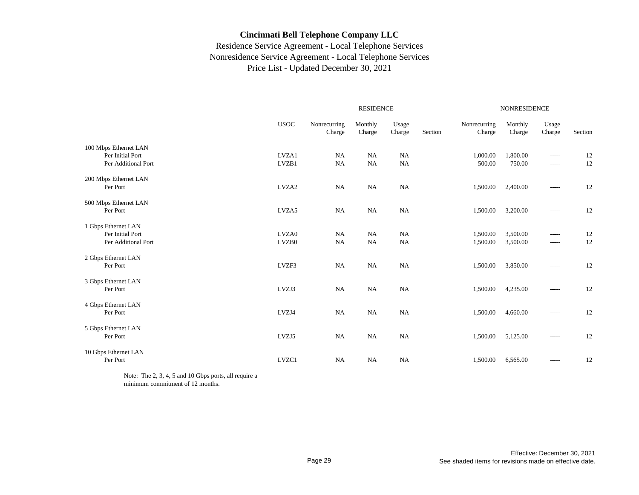## Residence Service Agreement - Local Telephone Services Nonresidence Service Agreement - Local Telephone Services Price List - Updated December 30, 2021

|                                           |             |                        | <b>RESIDENCE</b>  |                 |         | <b>NONRESIDENCE</b>    |                   |                 |         |  |
|-------------------------------------------|-------------|------------------------|-------------------|-----------------|---------|------------------------|-------------------|-----------------|---------|--|
|                                           | <b>USOC</b> | Nonrecurring<br>Charge | Monthly<br>Charge | Usage<br>Charge | Section | Nonrecurring<br>Charge | Monthly<br>Charge | Usage<br>Charge | Section |  |
| 100 Mbps Ethernet LAN<br>Per Initial Port | LVZA1       | NA                     | NA                | NA              |         | 1,000.00               | 1,800.00          | -----           | 12      |  |
| Per Additional Port                       | LVZB1       | NA                     | NA                | NA              |         | 500.00                 | 750.00            | -----           | 12      |  |
| 200 Mbps Ethernet LAN<br>Per Port         | LVZA2       | NA                     | NA                | NA              |         | 1,500.00               | 2,400.00          | -----           | 12      |  |
| 500 Mbps Ethernet LAN<br>Per Port         | LVZA5       | NA                     | NA                | NA              |         | 1,500.00               | 3,200.00          | -----           | 12      |  |
| 1 Gbps Ethernet LAN<br>Per Initial Port   | LVZA0       | NA                     | NA                | NA              |         | 1,500.00               | 3,500.00          | -----           | 12      |  |
| Per Additional Port                       | LVZB0       | <b>NA</b>              | NA                | NA              |         | 1,500.00               | 3,500.00          | -----           | 12      |  |
| 2 Gbps Ethernet LAN<br>Per Port           | LVZF3       | NA                     | NA                | NA              |         | 1,500.00               | 3,850.00          | -----           | 12      |  |
| 3 Gbps Ethernet LAN<br>Per Port           | LVZJ3       | NA                     | NA                | NA              |         | 1,500.00               | 4,235.00          | $- - - - -$     | 12      |  |
| 4 Gbps Ethernet LAN<br>Per Port           | LVZJ4       | NA                     | NA                | NA              |         | 1,500.00               | 4,660.00          | -----           | 12      |  |
| 5 Gbps Ethernet LAN<br>Per Port           | LVZJ5       | <b>NA</b>              | NA                | NA              |         | 1,500.00               | 5,125.00          | $- - - - -$     | 12      |  |
| 10 Gbps Ethernet LAN<br>Per Port          | LVZC1       | NA                     | NA                | NA              |         | 1,500.00               | 6,565.00          | -----           | 12      |  |

Note: The 2, 3, 4, 5 and 10 Gbps ports, all require a minimum commitment of 12 months.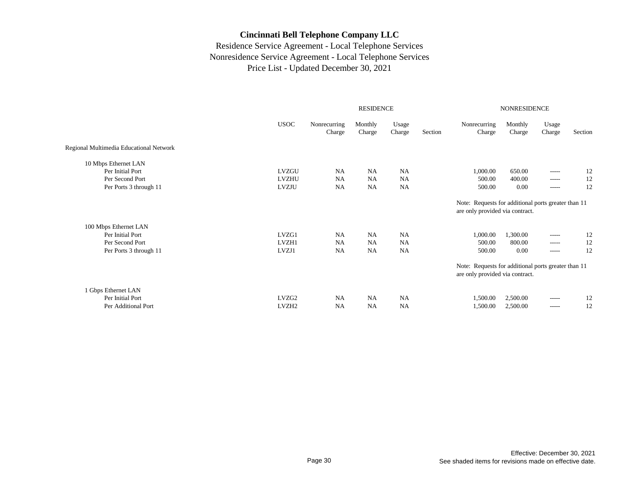|                                         |                   | <b>RESIDENCE</b>       |                   |                 |         |                                                                                        |                   | <b>NONRESIDENCE</b> |         |  |  |  |
|-----------------------------------------|-------------------|------------------------|-------------------|-----------------|---------|----------------------------------------------------------------------------------------|-------------------|---------------------|---------|--|--|--|
|                                         | <b>USOC</b>       | Nonrecurring<br>Charge | Monthly<br>Charge | Usage<br>Charge | Section | Nonrecurring<br>Charge                                                                 | Monthly<br>Charge | Usage<br>Charge     | Section |  |  |  |
| Regional Multimedia Educational Network |                   |                        |                   |                 |         |                                                                                        |                   |                     |         |  |  |  |
| 10 Mbps Ethernet LAN                    |                   |                        |                   |                 |         |                                                                                        |                   |                     |         |  |  |  |
| Per Initial Port                        | <b>LVZGU</b>      | NA                     | <b>NA</b>         | <b>NA</b>       |         | 1,000.00                                                                               | 650.00            | $- - - - -$         | 12      |  |  |  |
| Per Second Port                         | <b>LVZHU</b>      | NA                     | <b>NA</b>         | <b>NA</b>       |         | 500.00                                                                                 | 400.00            | $\cdots$            | 12      |  |  |  |
| Per Ports 3 through 11                  | LVZJU             | <b>NA</b>              | <b>NA</b>         | <b>NA</b>       |         | 500.00                                                                                 | 0.00              | -----               | 12      |  |  |  |
|                                         |                   |                        |                   |                 |         | Note: Requests for additional ports greater than 11<br>are only provided via contract. |                   |                     |         |  |  |  |
| 100 Mbps Ethernet LAN                   |                   |                        |                   |                 |         |                                                                                        |                   |                     |         |  |  |  |
| Per Initial Port                        | LVZG1             | <b>NA</b>              | <b>NA</b>         | <b>NA</b>       |         | 1,000.00                                                                               | 1,300.00          | -----               | 12      |  |  |  |
| Per Second Port                         | LVZH1             | <b>NA</b>              | <b>NA</b>         | <b>NA</b>       |         | 500.00                                                                                 | 800.00            | $- - - - -$         | 12      |  |  |  |
| Per Ports 3 through 11                  | LVZJ1             | <b>NA</b>              | <b>NA</b>         | <b>NA</b>       |         | 500.00                                                                                 | 0.00              | $- - - - -$         | 12      |  |  |  |
|                                         |                   |                        |                   |                 |         | Note: Requests for additional ports greater than 11<br>are only provided via contract. |                   |                     |         |  |  |  |
| 1 Gbps Ethernet LAN                     |                   |                        |                   |                 |         |                                                                                        |                   |                     |         |  |  |  |
| Per Initial Port                        | LVZG <sub>2</sub> | <b>NA</b>              | <b>NA</b>         | <b>NA</b>       |         | 1,500.00                                                                               | 2,500.00          | $- - - - -$         | 12      |  |  |  |
| Per Additional Port                     | LVZH <sub>2</sub> | <b>NA</b>              | <b>NA</b>         | <b>NA</b>       |         | 1,500.00                                                                               | 2,500.00          | $- - - - -$         | 12      |  |  |  |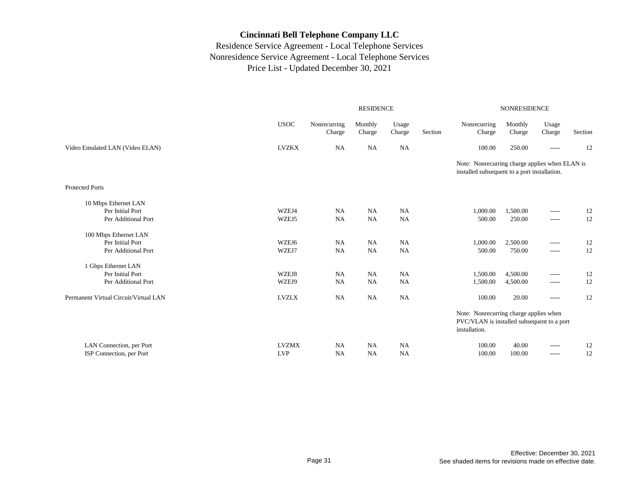|                                                                  |                            |                        | <b>RESIDENCE</b>       |                        |         | <b>NONRESIDENCE</b>                                                                                   |                      |                            |          |  |
|------------------------------------------------------------------|----------------------------|------------------------|------------------------|------------------------|---------|-------------------------------------------------------------------------------------------------------|----------------------|----------------------------|----------|--|
|                                                                  | <b>USOC</b>                | Nonrecurring<br>Charge | Monthly<br>Charge      | Usage<br>Charge        | Section | Nonrecurring<br>Charge                                                                                | Monthly<br>Charge    | Usage<br>Charge            | Section  |  |
| Video Emulated LAN (Video ELAN)                                  | <b>LVZKX</b>               | <b>NA</b>              | <b>NA</b>              | <b>NA</b>              |         | 100.00                                                                                                | 250.00               | $- - - - -$                | 12       |  |
|                                                                  |                            |                        |                        |                        |         | Note: Nonrecurring charge applies when ELAN is<br>installed subsequent to a port installation.        |                      |                            |          |  |
| <b>Protected Ports</b>                                           |                            |                        |                        |                        |         |                                                                                                       |                      |                            |          |  |
| 10 Mbps Ethernet LAN<br>Per Initial Port<br>Per Additional Port  | WZEJ4<br>WZEJ5             | NA<br><b>NA</b>        | NA<br><b>NA</b>        | <b>NA</b><br>NA        |         | 1,000.00<br>500.00                                                                                    | 1,500.00<br>250.00   | $- - - - -$<br>$-----$     | 12<br>12 |  |
| 100 Mbps Ethernet LAN<br>Per Initial Port<br>Per Additional Port | WZEJ6<br>WZEJ7             | <b>NA</b><br><b>NA</b> | <b>NA</b><br>NA        | <b>NA</b><br><b>NA</b> |         | 1,000.00<br>500.00                                                                                    | 2,500.00<br>750.00   | $-----$<br>$- - - - -$     | 12<br>12 |  |
| 1 Gbps Ethernet LAN<br>Per Initial Port<br>Per Additional Port   | WZEJ8<br>WZEJ9             | <b>NA</b><br><b>NA</b> | <b>NA</b><br><b>NA</b> | <b>NA</b><br><b>NA</b> |         | 1,500.00<br>1,500.00                                                                                  | 4,500.00<br>4,500.00 | $-----$<br>$-----$         | 12<br>12 |  |
| Permanent Virtual Circuit/Virtual LAN                            | <b>LVZLX</b>               | <b>NA</b>              | <b>NA</b>              | NA                     |         | 100.00                                                                                                | 20.00                | $---$                      | 12       |  |
|                                                                  |                            |                        |                        |                        |         | Note: Nonrecurring charge applies when<br>PVC/VLAN is installed subsequent to a port<br>installation. |                      |                            |          |  |
| LAN Connection, per Port<br>ISP Connection, per Port             | <b>LVZMX</b><br><b>LVP</b> | <b>NA</b><br><b>NA</b> | <b>NA</b><br>NA        | <b>NA</b><br><b>NA</b> |         | 100.00<br>100.00                                                                                      | 40.00<br>100.00      | $- - - - -$<br>$- - - - -$ | 12<br>12 |  |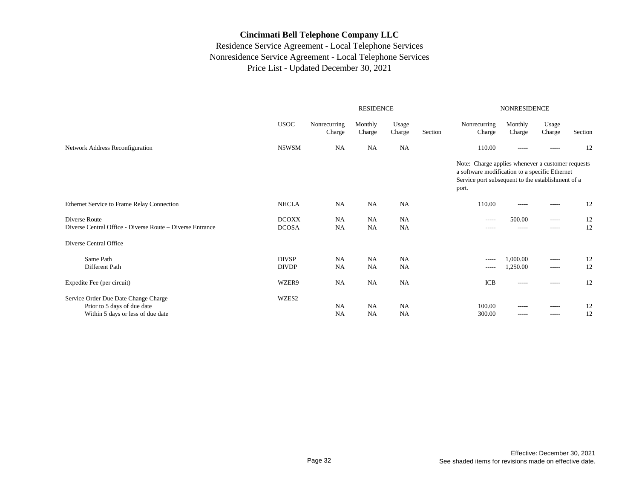|                                                                                                          | <b>RESIDENCE</b>                                                                         |                        |                        |                        |  | <b>NONRESIDENCE</b>                                                                                                                                               |                      |                       |          |  |
|----------------------------------------------------------------------------------------------------------|------------------------------------------------------------------------------------------|------------------------|------------------------|------------------------|--|-------------------------------------------------------------------------------------------------------------------------------------------------------------------|----------------------|-----------------------|----------|--|
|                                                                                                          | <b>USOC</b><br>Nonrecurring<br>Monthly<br>Usage<br>Section<br>Charge<br>Charge<br>Charge |                        |                        |                        |  | Nonrecurring<br>Charge                                                                                                                                            | Monthly<br>Charge    | Usage<br>Charge       | Section  |  |
| Network Address Reconfiguration                                                                          | N5WSM                                                                                    | <b>NA</b>              | <b>NA</b>              | <b>NA</b>              |  | 110.00                                                                                                                                                            | $- - - - -$          | -----                 | 12       |  |
|                                                                                                          |                                                                                          |                        |                        |                        |  | Note: Charge applies whenever a customer requests<br>a software modification to a specific Ethernet<br>Service port subsequent to the establishment of a<br>port. |                      |                       |          |  |
| Ethernet Service to Frame Relay Connection                                                               | <b>NHCLA</b>                                                                             | NA                     | <b>NA</b>              | <b>NA</b>              |  | 110.00                                                                                                                                                            | $- - - - -$          | ------                | 12       |  |
| Diverse Route<br>Diverse Central Office - Diverse Route – Diverse Entrance                               | <b>DCOXX</b><br><b>DCOSA</b>                                                             | NA<br><b>NA</b>        | NA<br><b>NA</b>        | <b>NA</b><br><b>NA</b> |  | $- - - - -$<br>$- - - - -$                                                                                                                                        | 500.00<br>-----      | $- - - - -$<br>------ | 12<br>12 |  |
| Diverse Central Office                                                                                   |                                                                                          |                        |                        |                        |  |                                                                                                                                                                   |                      |                       |          |  |
| Same Path<br>Different Path                                                                              | <b>DIVSP</b><br><b>DIVDP</b>                                                             | NA<br><b>NA</b>        | <b>NA</b><br><b>NA</b> | <b>NA</b><br><b>NA</b> |  | $-----$<br>$\cdots$                                                                                                                                               | 1,000.00<br>1,250.00 | -----<br>$- - - - -$  | 12<br>12 |  |
| Expedite Fee (per circuit)                                                                               | WZER9                                                                                    | NA                     | <b>NA</b>              | <b>NA</b>              |  | <b>ICB</b>                                                                                                                                                        | $- - - - -$          | $- - - - -$           | 12       |  |
| Service Order Due Date Change Charge<br>Prior to 5 days of due date<br>Within 5 days or less of due date | WZES2                                                                                    | <b>NA</b><br><b>NA</b> | <b>NA</b><br><b>NA</b> | <b>NA</b><br><b>NA</b> |  | 100.00<br>300.00                                                                                                                                                  | $- - - - -$<br>----- | -----<br>-----        | 12<br>12 |  |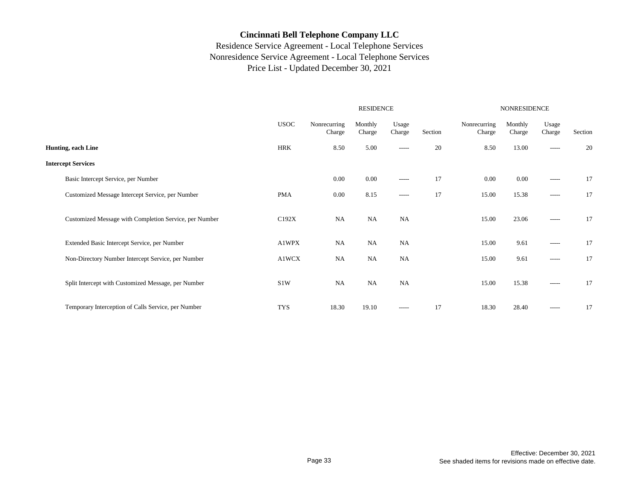|                                                        |                  |                        | <b>RESIDENCE</b>  |                 | NONRESIDENCE |                        |                   |                 |         |
|--------------------------------------------------------|------------------|------------------------|-------------------|-----------------|--------------|------------------------|-------------------|-----------------|---------|
|                                                        | <b>USOC</b>      | Nonrecurring<br>Charge | Monthly<br>Charge | Usage<br>Charge | Section      | Nonrecurring<br>Charge | Monthly<br>Charge | Usage<br>Charge | Section |
| Hunting, each Line                                     | HRK              | 8.50                   | 5.00              | $- - - - -$     | 20           | 8.50                   | 13.00             | $--- - - -$     | 20      |
| <b>Intercept Services</b>                              |                  |                        |                   |                 |              |                        |                   |                 |         |
| Basic Intercept Service, per Number                    |                  | 0.00                   | 0.00              | $- - - - -$     | 17           | 0.00                   | 0.00              | $- - - - -$     | 17      |
| Customized Message Intercept Service, per Number       | <b>PMA</b>       | 0.00                   | 8.15              | $\cdots$        | 17           | 15.00                  | 15.38             | $- - - - -$     | 17      |
| Customized Message with Completion Service, per Number | C192X            | <b>NA</b>              | NA                | NA              |              | 15.00                  | 23.06             | -----           | 17      |
| Extended Basic Intercept Service, per Number           | A1WPX            | NA                     | NA                | <b>NA</b>       |              | 15.00                  | 9.61              | $- - - - -$     | 17      |
| Non-Directory Number Intercept Service, per Number     | A1WCX            | <b>NA</b>              | NA                | NA              |              | 15.00                  | 9.61              | $- - - - -$     | 17      |
| Split Intercept with Customized Message, per Number    | S <sub>1</sub> W | NA                     | NA                | NA              |              | 15.00                  | 15.38             | $- - - - -$     | 17      |
| Temporary Interception of Calls Service, per Number    | <b>TYS</b>       | 18.30                  | 19.10             | $-----$         | 17           | 18.30                  | 28.40             | $- - - - -$     | 17      |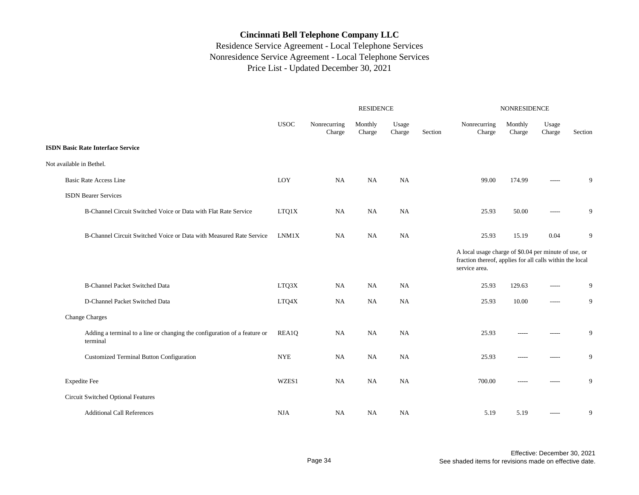|                                                                                       |             |                        | $\ensuremath{\mathsf{RESIDENCE}}$ |                 | NONRESIDENCE |                                                                                                                                   |                   |                 |         |
|---------------------------------------------------------------------------------------|-------------|------------------------|-----------------------------------|-----------------|--------------|-----------------------------------------------------------------------------------------------------------------------------------|-------------------|-----------------|---------|
|                                                                                       | <b>USOC</b> | Nonrecurring<br>Charge | Monthly<br>Charge                 | Usage<br>Charge | Section      | Nonrecurring<br>Charge                                                                                                            | Monthly<br>Charge | Usage<br>Charge | Section |
| <b>ISDN Basic Rate Interface Service</b>                                              |             |                        |                                   |                 |              |                                                                                                                                   |                   |                 |         |
| Not available in Bethel.                                                              |             |                        |                                   |                 |              |                                                                                                                                   |                   |                 |         |
| <b>Basic Rate Access Line</b>                                                         | LOY         | <b>NA</b>              | <b>NA</b>                         | <b>NA</b>       |              | 99.00                                                                                                                             | 174.99            | -----           | 9       |
| <b>ISDN</b> Bearer Services                                                           |             |                        |                                   |                 |              |                                                                                                                                   |                   |                 |         |
| B-Channel Circuit Switched Voice or Data with Flat Rate Service                       | LTQ1X       | NA                     | NA                                | NA              |              | 25.93                                                                                                                             | 50.00             | -----           | 9       |
| B-Channel Circuit Switched Voice or Data with Measured Rate Service                   | LNM1X       | NA                     | <b>NA</b>                         | <b>NA</b>       |              | 25.93                                                                                                                             | 15.19             | 0.04            | 9       |
|                                                                                       |             |                        |                                   |                 |              | A local usage charge of \$0.04 per minute of use, or<br>fraction thereof, applies for all calls within the local<br>service area. |                   |                 |         |
| <b>B-Channel Packet Switched Data</b>                                                 | LTQ3X       | NA                     | NA                                | <b>NA</b>       |              | 25.93                                                                                                                             | 129.63            | -----           | 9       |
| D-Channel Packet Switched Data                                                        | LTQ4X       | <b>NA</b>              | <b>NA</b>                         | <b>NA</b>       |              | 25.93                                                                                                                             | 10.00             | $-----$         | 9       |
| <b>Change Charges</b>                                                                 |             |                        |                                   |                 |              |                                                                                                                                   |                   |                 |         |
| Adding a terminal to a line or changing the configuration of a feature or<br>terminal | REA1Q       | <b>NA</b>              | NA                                | NA              |              | 25.93                                                                                                                             |                   | -----           | 9       |
| Customized Terminal Button Configuration                                              | <b>NYE</b>  | NA                     | <b>NA</b>                         | NA              |              | 25.93                                                                                                                             | $- - - - -$       | -----           | 9       |
| <b>Expedite Fee</b>                                                                   | WZES1       | <b>NA</b>              | <b>NA</b>                         | NA              |              | 700.00                                                                                                                            | $- - - - -$       | -----           | 9       |
| Circuit Switched Optional Features                                                    |             |                        |                                   |                 |              |                                                                                                                                   |                   |                 |         |
| <b>Additional Call References</b>                                                     | <b>NJA</b>  | NA                     | NA                                | NA              |              | 5.19                                                                                                                              | 5.19              | $- - - - -$     | 9       |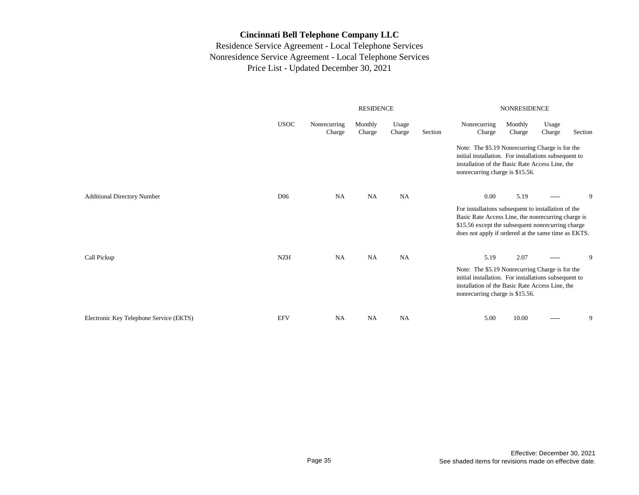|                                         |                 |                        | <b>RESIDENCE</b>  |                 |                                                                                                                                                                                                | <b>NONRESIDENCE</b>                                                                                                                                                                                                   |                   |                 |         |  |  |
|-----------------------------------------|-----------------|------------------------|-------------------|-----------------|------------------------------------------------------------------------------------------------------------------------------------------------------------------------------------------------|-----------------------------------------------------------------------------------------------------------------------------------------------------------------------------------------------------------------------|-------------------|-----------------|---------|--|--|
|                                         | <b>USOC</b>     | Nonrecurring<br>Charge | Monthly<br>Charge | Usage<br>Charge | Section                                                                                                                                                                                        | Nonrecurring<br>Charge                                                                                                                                                                                                | Monthly<br>Charge | Usage<br>Charge | Section |  |  |
|                                         |                 |                        |                   |                 | Note: The \$5.19 Nonrecurring Charge is for the<br>initial installation. For installations subsequent to<br>installation of the Basic Rate Access Line, the<br>nonrecurring charge is \$15.56. |                                                                                                                                                                                                                       |                   |                 |         |  |  |
| <b>Additional Directory Number</b>      | D <sub>06</sub> | <b>NA</b>              | NA                | <b>NA</b>       |                                                                                                                                                                                                | 0.00                                                                                                                                                                                                                  | 5.19              | -----           | 9       |  |  |
|                                         |                 |                        |                   |                 |                                                                                                                                                                                                | For installations subsequent to installation of the<br>Basic Rate Access Line, the nonrecurring charge is<br>\$15.56 except the subsequent nonrecurring charge<br>does not apply if ordered at the same time as EKTS. |                   |                 |         |  |  |
| Call Pickup                             | <b>NZH</b>      | <b>NA</b>              | <b>NA</b>         | <b>NA</b>       |                                                                                                                                                                                                | 5.19                                                                                                                                                                                                                  | 2.07              | $- - - - -$     | 9       |  |  |
|                                         |                 |                        |                   |                 |                                                                                                                                                                                                | Note: The \$5.19 Nonrecurring Charge is for the<br>initial installation. For installations subsequent to<br>installation of the Basic Rate Access Line, the<br>nonrecurring charge is \$15.56.                        |                   |                 |         |  |  |
| Electronic Key Telephone Service (EKTS) | <b>EFV</b>      | <b>NA</b>              | <b>NA</b>         | <b>NA</b>       |                                                                                                                                                                                                | 5.00                                                                                                                                                                                                                  | 10.00             | -----           | 9       |  |  |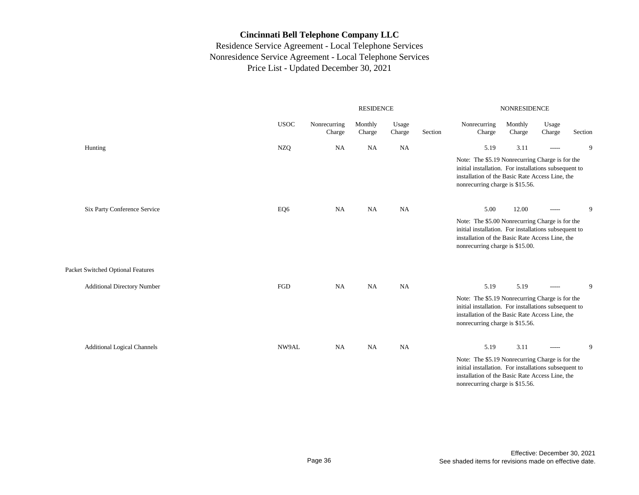|                                    |             |                        | <b>RESIDENCE</b>  |                 |         | <b>NONRESIDENCE</b>                                                                                                                                                                            |                   |                 |         |  |
|------------------------------------|-------------|------------------------|-------------------|-----------------|---------|------------------------------------------------------------------------------------------------------------------------------------------------------------------------------------------------|-------------------|-----------------|---------|--|
|                                    | <b>USOC</b> | Nonrecurring<br>Charge | Monthly<br>Charge | Usage<br>Charge | Section | Nonrecurring<br>Charge                                                                                                                                                                         | Monthly<br>Charge | Usage<br>Charge | Section |  |
| Hunting                            | <b>NZQ</b>  | <b>NA</b>              | <b>NA</b>         | <b>NA</b>       |         | 5.19                                                                                                                                                                                           | 3.11              | $-----$         | 9       |  |
|                                    |             |                        |                   |                 |         | Note: The \$5.19 Nonrecurring Charge is for the<br>initial installation. For installations subsequent to<br>installation of the Basic Rate Access Line, the<br>nonrecurring charge is \$15.56. |                   |                 |         |  |
| Six Party Conference Service       | EQ6         | NA                     | <b>NA</b>         | <b>NA</b>       |         | 5.00                                                                                                                                                                                           | 12.00             | $-----$         | 9       |  |
|                                    |             |                        |                   |                 |         | Note: The \$5.00 Nonrecurring Charge is for the<br>initial installation. For installations subsequent to<br>installation of the Basic Rate Access Line, the<br>nonrecurring charge is \$15.00. |                   |                 |         |  |
| Packet Switched Optional Features  |             |                        |                   |                 |         |                                                                                                                                                                                                |                   |                 |         |  |
| <b>Additional Directory Number</b> | FGD         | NA                     | NA                | <b>NA</b>       |         | 5.19                                                                                                                                                                                           | 5.19              | $\cdots$        | 9       |  |
|                                    |             |                        |                   |                 |         | Note: The \$5.19 Nonrecurring Charge is for the<br>initial installation. For installations subsequent to<br>installation of the Basic Rate Access Line, the<br>nonrecurring charge is \$15.56. |                   |                 |         |  |
| <b>Additional Logical Channels</b> | NW9AL       | NA                     | NA                | <b>NA</b>       |         | 5.19                                                                                                                                                                                           | 3.11              | $-----$         | 9       |  |
|                                    |             |                        |                   |                 |         | Note: The \$5.19 Nonrecurring Charge is for the<br>initial installation. For installations subsequent to<br>installation of the Basic Rate Access Line, the<br>nonrecurring charge is \$15.56. |                   |                 |         |  |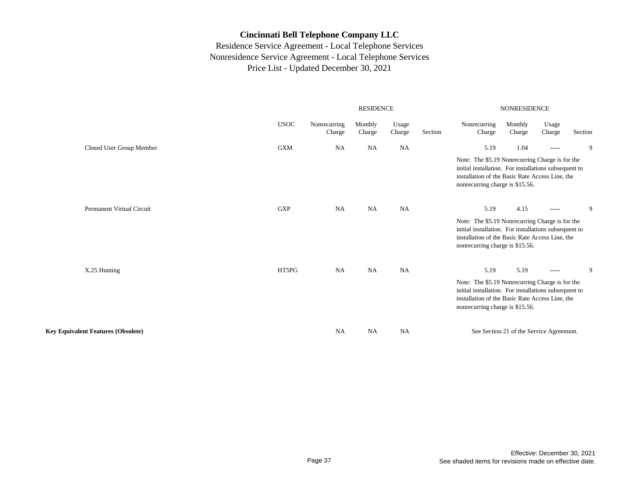|                                           |             |                        | <b>RESIDENCE</b>  |                 |         | <b>NONRESIDENCE</b>                                                                                                                                                                            |                                          |                 |         |  |  |
|-------------------------------------------|-------------|------------------------|-------------------|-----------------|---------|------------------------------------------------------------------------------------------------------------------------------------------------------------------------------------------------|------------------------------------------|-----------------|---------|--|--|
|                                           | <b>USOC</b> | Nonrecurring<br>Charge | Monthly<br>Charge | Usage<br>Charge | Section | Nonrecurring<br>Charge                                                                                                                                                                         | Monthly<br>Charge                        | Usage<br>Charge | Section |  |  |
| Closed User Group Member                  | <b>GXM</b>  | <b>NA</b>              | NA                | <b>NA</b>       |         | 5.19                                                                                                                                                                                           | 1.04                                     | $- - - - -$     | 9       |  |  |
|                                           |             |                        |                   |                 |         | Note: The \$5.19 Nonrecurring Charge is for the<br>initial installation. For installations subsequent to<br>installation of the Basic Rate Access Line, the<br>nonrecurring charge is \$15.56. |                                          |                 |         |  |  |
| Permanent Virtual Circuit                 | <b>GXP</b>  | <b>NA</b>              | NA                | NA              |         | 5.19                                                                                                                                                                                           | 4.15                                     | $-----$         | 9       |  |  |
|                                           |             |                        |                   |                 |         | Note: The \$5.19 Nonrecurring Charge is for the<br>initial installation. For installations subsequent to<br>installation of the Basic Rate Access Line, the<br>nonrecurring charge is \$15.56. |                                          |                 |         |  |  |
| X.25 Hunting                              | HT5PG       | <b>NA</b>              | NA                | <b>NA</b>       |         | 5.19                                                                                                                                                                                           | 5.19                                     | $\cdots$        | 9       |  |  |
|                                           |             |                        |                   |                 |         | Note: The \$5.19 Nonrecurring Charge is for the<br>initial installation. For installations subsequent to<br>installation of the Basic Rate Access Line, the<br>nonrecurring charge is \$15.56. |                                          |                 |         |  |  |
| <b>Key Equivalent Features (Obsolete)</b> |             | <b>NA</b>              | NA                | <b>NA</b>       |         |                                                                                                                                                                                                | See Section 21 of the Service Agreement. |                 |         |  |  |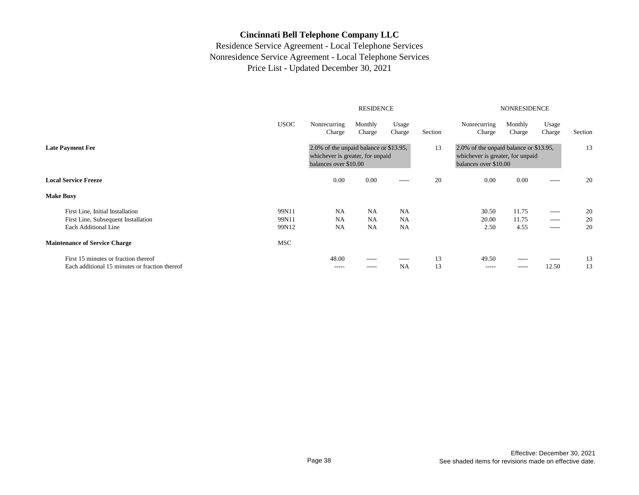|                                                                                        |             | <b>RESIDENCE</b><br><b>NONRESIDENCE</b>                                                             |                            |                 |          |                                                                                                     |                            |                 |          |
|----------------------------------------------------------------------------------------|-------------|-----------------------------------------------------------------------------------------------------|----------------------------|-----------------|----------|-----------------------------------------------------------------------------------------------------|----------------------------|-----------------|----------|
|                                                                                        | <b>USOC</b> | Nonrecurring<br>Charge                                                                              | Monthly<br>Charge          | Usage<br>Charge | Section  | Nonrecurring<br>Charge                                                                              | Monthly<br>Charge          | Usage<br>Charge | Section  |
| <b>Late Payment Fee</b><br><b>Local Service Freeze</b>                                 |             | 2.0% of the unpaid balance or \$13.95,<br>whichever is greater, for unpaid<br>balances over \$10.00 |                            |                 | 13       | 2.0% of the unpaid balance or \$13.95,<br>whichever is greater, for unpaid<br>balances over \$10.00 |                            |                 | 13       |
|                                                                                        |             | 0.00                                                                                                | 0.00                       | $- - - - -$     | 20       | 0.00                                                                                                | 0.00                       | -----           | 20       |
| <b>Make Busy</b>                                                                       |             |                                                                                                     |                            |                 |          |                                                                                                     |                            |                 |          |
| First Line, Initial Installation                                                       | 99N11       | NA                                                                                                  | <b>NA</b>                  | <b>NA</b>       |          | 30.50                                                                                               | 11.75                      | -----           | 20       |
| First Line, Subsequent Installation                                                    | 99N11       | NA                                                                                                  | <b>NA</b>                  | <b>NA</b>       |          | 20.00                                                                                               | 11.75                      | -----           | 20       |
| Each Additional Line                                                                   | 99N12       | <b>NA</b>                                                                                           | <b>NA</b>                  | <b>NA</b>       |          | 2.50                                                                                                | 4.55                       | -----           | 20       |
| <b>Maintenance of Service Charge</b>                                                   | MSC         |                                                                                                     |                            |                 |          |                                                                                                     |                            |                 |          |
| First 15 minutes or fraction thereof<br>Each additional 15 minutes or fraction thereof |             | 48.00<br>$- - - - -$                                                                                | $- - - - -$<br>$- - - - -$ | -----<br>NA     | 13<br>13 | 49.50<br>$- - - - -$                                                                                | $- - - - -$<br>$- - - - -$ | -----<br>12.50  | 13<br>13 |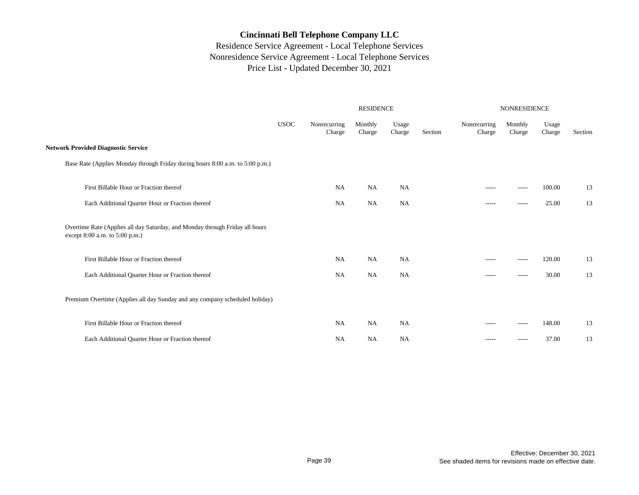|                                                                                                                |             |                        | <b>RESIDENCE</b>  |                 |         | NONRESIDENCE           |                   |                 |         |  |
|----------------------------------------------------------------------------------------------------------------|-------------|------------------------|-------------------|-----------------|---------|------------------------|-------------------|-----------------|---------|--|
|                                                                                                                | <b>USOC</b> | Nonrecurring<br>Charge | Monthly<br>Charge | Usage<br>Charge | Section | Nonrecurring<br>Charge | Monthly<br>Charge | Usage<br>Charge | Section |  |
| <b>Network Provided Diagnostic Service</b>                                                                     |             |                        |                   |                 |         |                        |                   |                 |         |  |
| Base Rate (Applies Monday through Friday during hours 8:00 a.m. to 5:00 p.m.)                                  |             |                        |                   |                 |         |                        |                   |                 |         |  |
| First Billable Hour or Fraction thereof                                                                        |             | NA                     | <b>NA</b>         | <b>NA</b>       |         | $- - - - -$            | $- - - - -$       | 100.00          | 13      |  |
| Each Additional Quarter Hour or Fraction thereof                                                               |             | <b>NA</b>              | <b>NA</b>         | <b>NA</b>       |         | -----                  |                   | 25.00           | 13      |  |
| Overtime Rate (Applies all day Saturday, and Monday through Friday all hours<br>except 8:00 a.m. to 5:00 p.m.) |             |                        |                   |                 |         |                        |                   |                 |         |  |
| First Billable Hour or Fraction thereof                                                                        |             | NA                     | <b>NA</b>         | <b>NA</b>       |         | $- - - - -$            | $- - - - -$       | 120.00          | 13      |  |
| Each Additional Quarter Hour or Fraction thereof                                                               |             | NA                     | NA                | <b>NA</b>       |         | -----                  | $- - - - -$       | 30.00           | 13      |  |
| Premium Overtime (Applies all day Sunday and any company scheduled holiday)                                    |             |                        |                   |                 |         |                        |                   |                 |         |  |
| First Billable Hour or Fraction thereof                                                                        |             | NA                     | NA                | NA              |         | $- - - - -$            | $- - - - -$       | 148.00          | 13      |  |
| Each Additional Quarter Hour or Fraction thereof                                                               |             | <b>NA</b>              | NA                | <b>NA</b>       |         | $- - - - -$            | $- - - - -$       | 37.00           | 13      |  |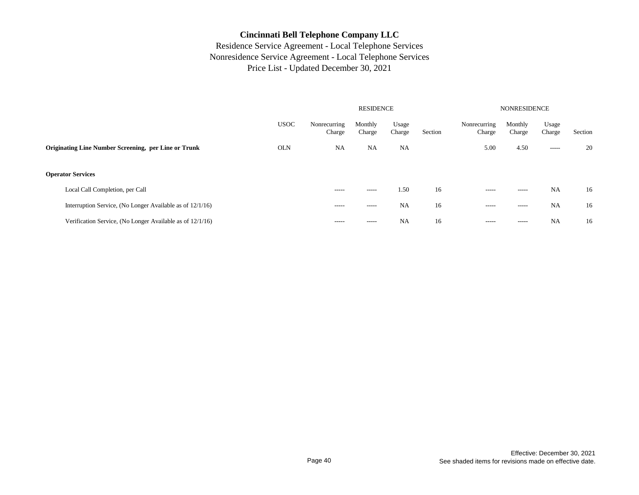|                                                           |             |                        | <b>RESIDENCE</b>  |                 | <b>NONRESIDENCE</b> |                        |                   |                 |         |
|-----------------------------------------------------------|-------------|------------------------|-------------------|-----------------|---------------------|------------------------|-------------------|-----------------|---------|
|                                                           | <b>USOC</b> | Nonrecurring<br>Charge | Monthly<br>Charge | Usage<br>Charge | Section             | Nonrecurring<br>Charge | Monthly<br>Charge | Usage<br>Charge | Section |
| Originating Line Number Screening, per Line or Trunk      | <b>OLN</b>  | <b>NA</b>              | <b>NA</b>         | <b>NA</b>       |                     | 5.00                   | 4.50              | $- - - - -$     | 20      |
| <b>Operator Services</b>                                  |             |                        |                   |                 |                     |                        |                   |                 |         |
| Local Call Completion, per Call                           |             | $- - - - -$            | -----             | 1.50            | 16                  | $- - - - -$            | $- - - - -$       | <b>NA</b>       | 16      |
| Interruption Service, (No Longer Available as of 12/1/16) |             | $- - - - -$            | -----             | <b>NA</b>       | 16                  | $- - - - -$            | $- - - - -$       | <b>NA</b>       | 16      |
| Verification Service, (No Longer Available as of 12/1/16) |             | $- - - - -$            | -----             | <b>NA</b>       | 16                  | $- - - - -$            | -----             | NA              | 16      |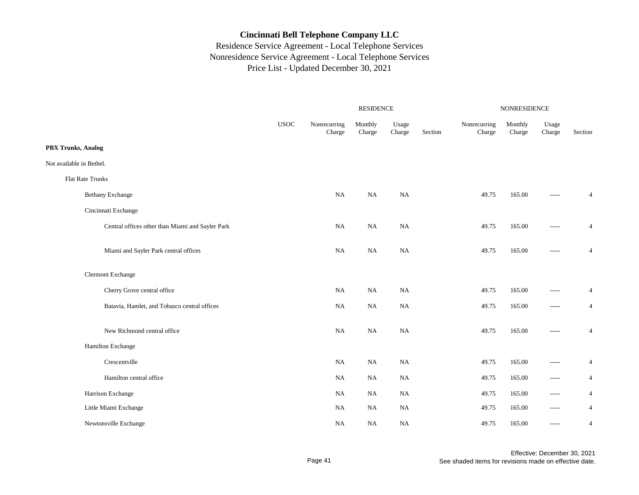|                                                  |             |                        | RESIDENCE         |                 |         | NONRESIDENCE           |                   |                 |                |  |
|--------------------------------------------------|-------------|------------------------|-------------------|-----------------|---------|------------------------|-------------------|-----------------|----------------|--|
|                                                  | <b>USOC</b> | Nonrecurring<br>Charge | Monthly<br>Charge | Usage<br>Charge | Section | Nonrecurring<br>Charge | Monthly<br>Charge | Usage<br>Charge | Section        |  |
| <b>PBX Trunks, Analog</b>                        |             |                        |                   |                 |         |                        |                   |                 |                |  |
| Not available in Bethel.                         |             |                        |                   |                 |         |                        |                   |                 |                |  |
| Flat Rate Trunks                                 |             |                        |                   |                 |         |                        |                   |                 |                |  |
| <b>Bethany Exchange</b>                          |             | <b>NA</b>              | NA                | NA              |         | 49.75                  | 165.00            | -----           | $\overline{4}$ |  |
| Cincinnati Exchange                              |             |                        |                   |                 |         |                        |                   |                 |                |  |
| Central offices other than Miami and Sayler Park |             | <b>NA</b>              | $_{\rm NA}$       | <b>NA</b>       |         | 49.75                  | 165.00            | -----           | $\overline{4}$ |  |
| Miami and Sayler Park central offices            |             | <b>NA</b>              | $_{\rm NA}$       | NA              |         | 49.75                  | 165.00            | -----           | $\overline{4}$ |  |
| <b>Clermont Exchange</b>                         |             |                        |                   |                 |         |                        |                   |                 |                |  |
| Cherry Grove central office                      |             | <b>NA</b>              | NA                | <b>NA</b>       |         | 49.75                  | 165.00            | -----           | 4              |  |
| Batavia, Hamlet, and Tobasco central offices     |             | NA                     | NA                | NA              |         | 49.75                  | 165.00            | $-----$         | $\overline{4}$ |  |
| New Richmond central office                      |             | NA                     | <b>NA</b>         | <b>NA</b>       |         | 49.75                  | 165.00            | -----           | $\overline{4}$ |  |
| Hamilton Exchange                                |             |                        |                   |                 |         |                        |                   |                 |                |  |
| Crescentville                                    |             | NA                     | $_{\rm NA}$       | NA              |         | 49.75                  | 165.00            | $-----$         | 4              |  |
| Hamilton central office                          |             | NA                     | NA                | $_{\rm NA}$     |         | 49.75                  | 165.00            | $-----$         | $\overline{4}$ |  |
| Harrison Exchange                                |             | NA                     | NA                | NA              |         | 49.75                  | 165.00            | $- - - - -$     | $\overline{4}$ |  |
| Little Miami Exchange                            |             | NA                     | NA                | NA              |         | 49.75                  | 165.00            | $- - - - -$     | $\overline{4}$ |  |
| Newtonsville Exchange                            |             | NA                     | NA                | NA              |         | 49.75                  | 165.00            | $-----$         | 4              |  |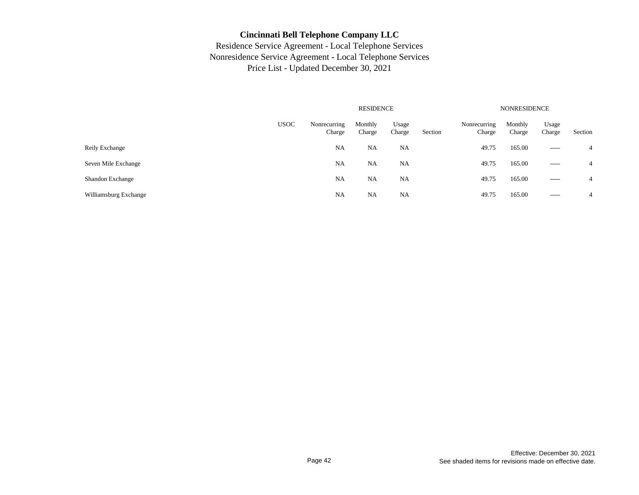|                       |             |                        | <b>RESIDENCE</b>  |                 |         | <b>NONRESIDENCE</b>    |                   |                 |                |  |
|-----------------------|-------------|------------------------|-------------------|-----------------|---------|------------------------|-------------------|-----------------|----------------|--|
|                       | <b>USOC</b> | Nonrecurring<br>Charge | Monthly<br>Charge | Usage<br>Charge | Section | Nonrecurring<br>Charge | Monthly<br>Charge | Usage<br>Charge | Section        |  |
| Reily Exchange        |             | NA                     | NA                | NA              |         | 49.75                  | 165.00            | $- - - - -$     | $\overline{4}$ |  |
| Seven Mile Exchange   |             | <b>NA</b>              | <b>NA</b>         | NA              |         | 49.75                  | 165.00            | $- - - - -$     | $\overline{4}$ |  |
| Shandon Exchange      |             | NA                     | <b>NA</b>         | NA              |         | 49.75                  | 165.00            | $\cdots$        | $\overline{4}$ |  |
| Williamsburg Exchange |             | NA                     | NA                | NA              |         | 49.75                  | 165.00            | -----           | $\overline{4}$ |  |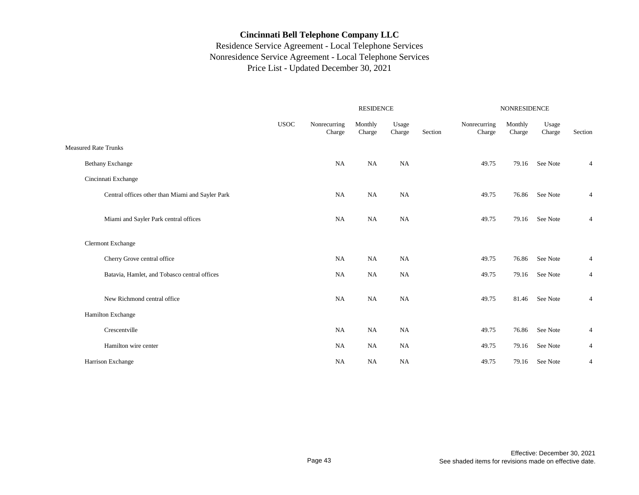|                             |                                                  |             |                        |                   | <b>NONRESIDENCE</b> |         |                        |                   |                 |                |
|-----------------------------|--------------------------------------------------|-------------|------------------------|-------------------|---------------------|---------|------------------------|-------------------|-----------------|----------------|
|                             |                                                  | <b>USOC</b> | Nonrecurring<br>Charge | Monthly<br>Charge | Usage<br>Charge     | Section | Nonrecurring<br>Charge | Monthly<br>Charge | Usage<br>Charge | Section        |
| <b>Measured Rate Trunks</b> |                                                  |             |                        |                   |                     |         |                        |                   |                 |                |
| <b>Bethany Exchange</b>     |                                                  |             | NA                     | NA                | <b>NA</b>           |         | 49.75                  | 79.16             | See Note        | $\overline{4}$ |
| Cincinnati Exchange         |                                                  |             |                        |                   |                     |         |                        |                   |                 |                |
|                             | Central offices other than Miami and Sayler Park |             | <b>NA</b>              | NA                | NA                  |         | 49.75                  | 76.86             | See Note        | $\overline{4}$ |
|                             | Miami and Sayler Park central offices            |             | <b>NA</b>              | NA                | NA                  |         | 49.75                  | 79.16             | See Note        | $\overline{4}$ |
| <b>Clermont Exchange</b>    |                                                  |             |                        |                   |                     |         |                        |                   |                 |                |
|                             | Cherry Grove central office                      |             | <b>NA</b>              | <b>NA</b>         | NA                  |         | 49.75                  | 76.86             | See Note        | $\overline{4}$ |
|                             | Batavia, Hamlet, and Tobasco central offices     |             | <b>NA</b>              | NA                | <b>NA</b>           |         | 49.75                  | 79.16             | See Note        | 4              |
|                             | New Richmond central office                      |             | <b>NA</b>              | NA                | NA                  |         | 49.75                  | 81.46             | See Note        | 4              |
| Hamilton Exchange           |                                                  |             |                        |                   |                     |         |                        |                   |                 |                |
|                             | Crescentville                                    |             | <b>NA</b>              | NA                | <b>NA</b>           |         | 49.75                  | 76.86             | See Note        | 4              |
|                             | Hamilton wire center                             |             | NA                     | NA                | NA                  |         | 49.75                  | 79.16             | See Note        | $\overline{4}$ |
| Harrison Exchange           |                                                  |             | NA                     | NA                | <b>NA</b>           |         | 49.75                  | 79.16             | See Note        | 4              |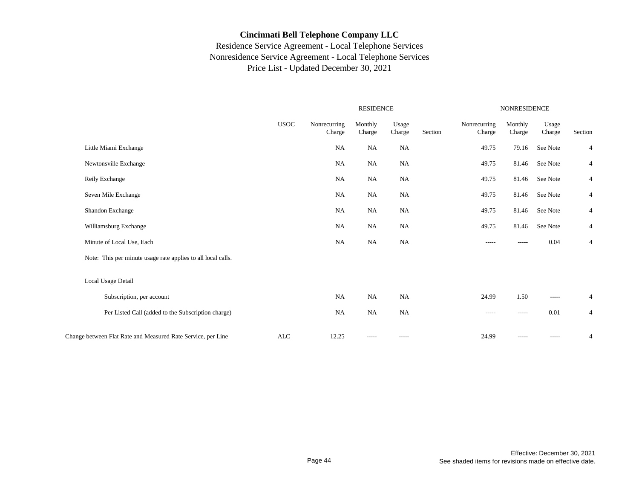|                                                              |             |                        | <b>RESIDENCE</b>  |                 |         | <b>NONRESIDENCE</b>    |                   |                 |                |  |
|--------------------------------------------------------------|-------------|------------------------|-------------------|-----------------|---------|------------------------|-------------------|-----------------|----------------|--|
|                                                              | <b>USOC</b> | Nonrecurring<br>Charge | Monthly<br>Charge | Usage<br>Charge | Section | Nonrecurring<br>Charge | Monthly<br>Charge | Usage<br>Charge | Section        |  |
| Little Miami Exchange                                        |             | NA                     | <b>NA</b>         | NA              |         | 49.75                  | 79.16             | See Note        | $\overline{4}$ |  |
| Newtonsville Exchange                                        |             | NA                     | <b>NA</b>         | <b>NA</b>       |         | 49.75                  | 81.46             | See Note        | $\overline{4}$ |  |
| Reily Exchange                                               |             | NA                     | NA                | NA              |         | 49.75                  | 81.46             | See Note        | $\overline{4}$ |  |
| Seven Mile Exchange                                          |             | <b>NA</b>              | NA                | NA              |         | 49.75                  | 81.46             | See Note        | $\overline{4}$ |  |
| Shandon Exchange                                             |             | NA                     | NA                | <b>NA</b>       |         | 49.75                  | 81.46             | See Note        | $\overline{4}$ |  |
| Williamsburg Exchange                                        |             | <b>NA</b>              | NA                | <b>NA</b>       |         | 49.75                  | 81.46             | See Note        | $\overline{4}$ |  |
| Minute of Local Use, Each                                    |             | <b>NA</b>              | NA                | <b>NA</b>       |         | $-----$                | -----             | 0.04            | $\overline{4}$ |  |
| Note: This per minute usage rate applies to all local calls. |             |                        |                   |                 |         |                        |                   |                 |                |  |
| Local Usage Detail                                           |             |                        |                   |                 |         |                        |                   |                 |                |  |
| Subscription, per account                                    |             | NA                     | NA                | <b>NA</b>       |         | 24.99                  | 1.50              | -----           | $\overline{4}$ |  |
| Per Listed Call (added to the Subscription charge)           |             | NA                     | NA                | <b>NA</b>       |         | $- - - - -$            | $- - - - -$       | 0.01            | $\overline{4}$ |  |
| Change between Flat Rate and Measured Rate Service, per Line | ALC         | 12.25                  | -----             | -----           |         | 24.99                  | $- - - - -$       | -----           | $\overline{4}$ |  |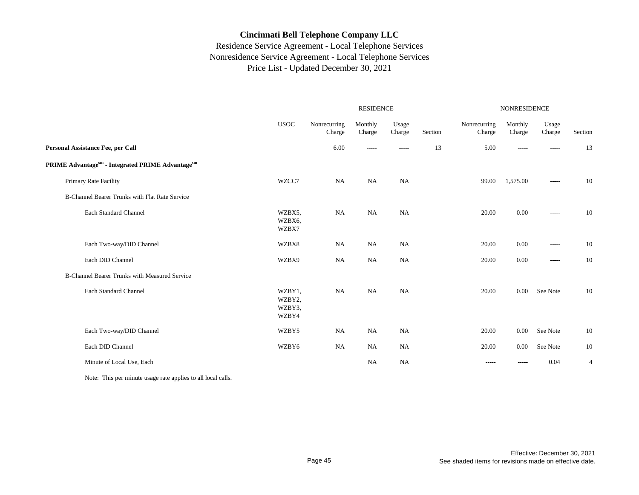## Residence Service Agreement - Local Telephone Services Nonresidence Service Agreement - Local Telephone Services Price List - Updated December 30, 2021

|                                                      |                                     |                        | <b>RESIDENCE</b>  |                 |         | <b>NONRESIDENCE</b>    |                   |                 |                |  |
|------------------------------------------------------|-------------------------------------|------------------------|-------------------|-----------------|---------|------------------------|-------------------|-----------------|----------------|--|
|                                                      | <b>USOC</b>                         | Nonrecurring<br>Charge | Monthly<br>Charge | Usage<br>Charge | Section | Nonrecurring<br>Charge | Monthly<br>Charge | Usage<br>Charge | Section        |  |
| Personal Assistance Fee, per Call                    |                                     | 6.00                   | -----             | -----           | 13      | 5.00                   | $- - - - -$       | $- - - - -$     | 13             |  |
| PRIME Advantagesm - Integrated PRIME Advantagesm     |                                     |                        |                   |                 |         |                        |                   |                 |                |  |
| <b>Primary Rate Facility</b>                         | WZCC7                               | NA                     | NA                | NA              |         | 99.00                  | 1,575.00          | $- - - - -$     | 10             |  |
| B-Channel Bearer Trunks with Flat Rate Service       |                                     |                        |                   |                 |         |                        |                   |                 |                |  |
| Each Standard Channel                                | WZBX5,<br>WZBX6,<br>WZBX7           | NA                     | NA                | <b>NA</b>       |         | 20.00                  | 0.00              | $-----$         | 10             |  |
| Each Two-way/DID Channel                             | WZBX8                               | NA                     | <b>NA</b>         | <b>NA</b>       |         | 20.00                  | 0.00              | -----           | 10             |  |
| Each DID Channel                                     | WZBX9                               | <b>NA</b>              | <b>NA</b>         | <b>NA</b>       |         | 20.00                  | 0.00              | $-----$         | 10             |  |
| <b>B-Channel Bearer Trunks with Measured Service</b> |                                     |                        |                   |                 |         |                        |                   |                 |                |  |
| Each Standard Channel                                | WZBY1,<br>WZBY2,<br>WZBY3,<br>WZBY4 | <b>NA</b>              | <b>NA</b>         | <b>NA</b>       |         | 20.00                  | 0.00              | See Note        | 10             |  |
| Each Two-way/DID Channel                             | WZBY5                               | <b>NA</b>              | <b>NA</b>         | <b>NA</b>       |         | 20.00                  | 0.00              | See Note        | 10             |  |
| Each DID Channel                                     | WZBY6                               | NA                     | NA                | NA              |         | 20.00                  | 0.00              | See Note        | 10             |  |
| Minute of Local Use, Each                            |                                     |                        | <b>NA</b>         | NA              |         | -----                  |                   | 0.04            | $\overline{4}$ |  |

Note: This per minute usage rate applies to all local calls.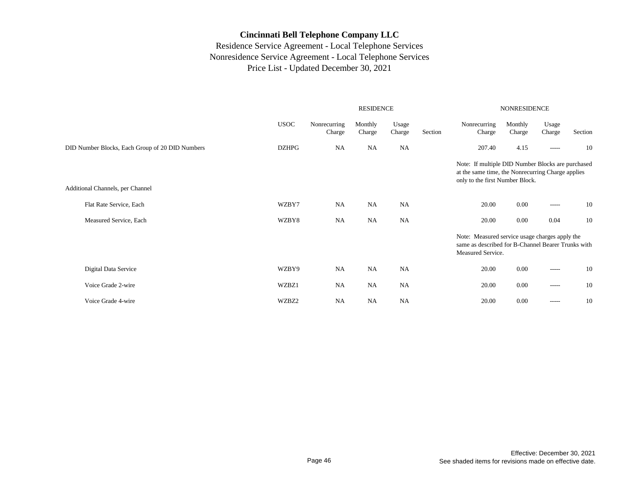|                                                 |              | <b>RESIDENCE</b>       |                   |                 |         | <b>NONRESIDENCE</b>                                                                                                                       |                   |                 |         |
|-------------------------------------------------|--------------|------------------------|-------------------|-----------------|---------|-------------------------------------------------------------------------------------------------------------------------------------------|-------------------|-----------------|---------|
|                                                 | <b>USOC</b>  | Nonrecurring<br>Charge | Monthly<br>Charge | Usage<br>Charge | Section | Nonrecurring<br>Charge                                                                                                                    | Monthly<br>Charge | Usage<br>Charge | Section |
| DID Number Blocks, Each Group of 20 DID Numbers | <b>DZHPG</b> | <b>NA</b>              | <b>NA</b>         | <b>NA</b>       |         | 207.40                                                                                                                                    | 4.15              | $- - - - -$     | 10      |
| Additional Channels, per Channel                |              |                        |                   |                 |         | Note: If multiple DID Number Blocks are purchased<br>at the same time, the Nonrecurring Charge applies<br>only to the first Number Block. |                   |                 |         |
| Flat Rate Service, Each                         | WZBY7        | <b>NA</b>              | <b>NA</b>         | NA              |         | 20.00                                                                                                                                     | 0.00              | $- - - - -$     | 10      |
| Measured Service, Each                          | WZBY8        | <b>NA</b>              | NA                | NA              |         | 20.00                                                                                                                                     | 0.00              | 0.04            | 10      |
|                                                 |              |                        |                   |                 |         | Note: Measured service usage charges apply the<br>same as described for B-Channel Bearer Trunks with<br>Measured Service.                 |                   |                 |         |
| Digital Data Service                            | WZBY9        | <b>NA</b>              | <b>NA</b>         | <b>NA</b>       |         | 20.00                                                                                                                                     | 0.00              | $-----$         | 10      |
| Voice Grade 2-wire                              | WZBZ1        | <b>NA</b>              | NA                | <b>NA</b>       |         | 20.00                                                                                                                                     | 0.00              | $-----$         | 10      |
| Voice Grade 4-wire                              | WZBZ2        | <b>NA</b>              | <b>NA</b>         | NA              |         | 20.00                                                                                                                                     | 0.00              | $- - - - -$     | 10      |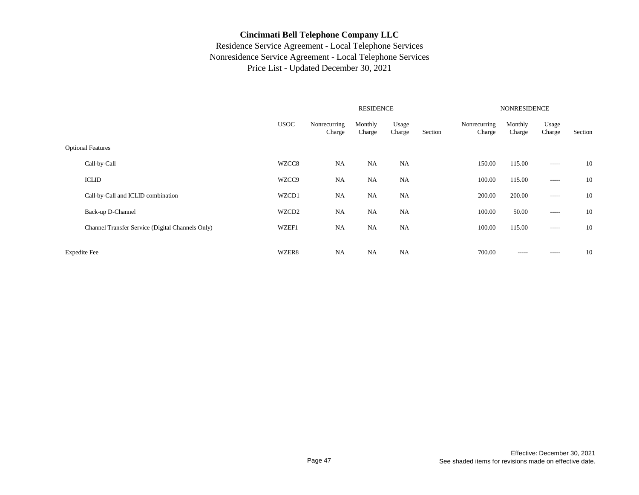|                                                  |             |                        |                   | <b>NONRESIDENCE</b> |         |                        |                   |                 |         |
|--------------------------------------------------|-------------|------------------------|-------------------|---------------------|---------|------------------------|-------------------|-----------------|---------|
|                                                  | <b>USOC</b> | Nonrecurring<br>Charge | Monthly<br>Charge | Usage<br>Charge     | Section | Nonrecurring<br>Charge | Monthly<br>Charge | Usage<br>Charge | Section |
| <b>Optional Features</b>                         |             |                        |                   |                     |         |                        |                   |                 |         |
| Call-by-Call                                     | WZCC8       | NA                     | <b>NA</b>         | NA                  |         | 150.00                 | 115.00            | $- - - - -$     | 10      |
| <b>ICLID</b>                                     | WZCC9       | NA                     | <b>NA</b>         | NA                  |         | 100.00                 | 115.00            | $\cdots$        | 10      |
| Call-by-Call and ICLID combination               | WZCD1       | NA                     | <b>NA</b>         | NA                  |         | 200.00                 | 200.00            | $- - - - -$     | 10      |
| Back-up D-Channel                                | WZCD2       | NA                     | <b>NA</b>         | NA                  |         | 100.00                 | 50.00             | $----$          | 10      |
| Channel Transfer Service (Digital Channels Only) | WZEF1       | NA                     | <b>NA</b>         | NA                  |         | 100.00                 | 115.00            | $- - - - -$     | 10      |
| <b>Expedite Fee</b><br>WZER8                     |             | <b>NA</b>              | <b>NA</b>         | <b>NA</b>           |         | 700.00                 | $- - - - -$       | $- - - - -$     | 10      |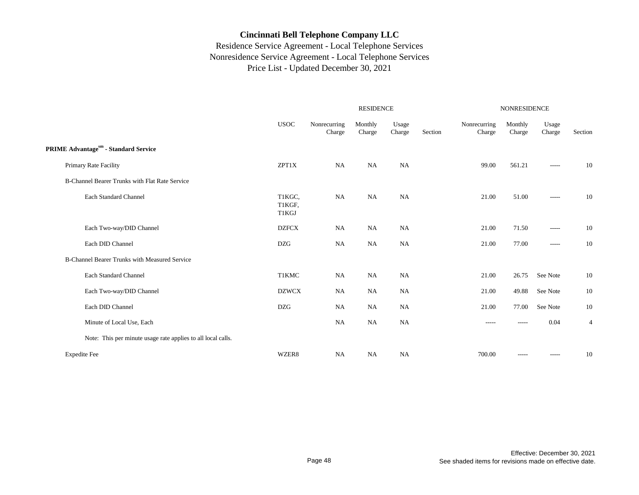|                                                              |                           |                        | <b>RESIDENCE</b>  |                 |         | NONRESIDENCE           |                   |                 |                |  |
|--------------------------------------------------------------|---------------------------|------------------------|-------------------|-----------------|---------|------------------------|-------------------|-----------------|----------------|--|
|                                                              | $_{\rm USOC}$             | Nonrecurring<br>Charge | Monthly<br>Charge | Usage<br>Charge | Section | Nonrecurring<br>Charge | Monthly<br>Charge | Usage<br>Charge | Section        |  |
| PRIME Advantagesm - Standard Service                         |                           |                        |                   |                 |         |                        |                   |                 |                |  |
| Primary Rate Facility                                        | ZPT1X                     | NA                     | NA                | NA              |         | 99.00                  | 561.21            | -----           | 10             |  |
| B-Channel Bearer Trunks with Flat Rate Service               |                           |                        |                   |                 |         |                        |                   |                 |                |  |
| Each Standard Channel                                        | T1KGC,<br>T1KGF,<br>T1KGJ | <b>NA</b>              | NA                | NA              |         | 21.00                  | 51.00             | -----           | 10             |  |
| Each Two-way/DID Channel                                     | <b>DZFCX</b>              | <b>NA</b>              | <b>NA</b>         | <b>NA</b>       |         | 21.00                  | 71.50             | -----           | 10             |  |
| Each DID Channel                                             | <b>DZG</b>                | NA                     | NA                | NA              |         | 21.00                  | 77.00             | -----           | 10             |  |
| <b>B-Channel Bearer Trunks with Measured Service</b>         |                           |                        |                   |                 |         |                        |                   |                 |                |  |
| Each Standard Channel                                        | <b>T1KMC</b>              | <b>NA</b>              | <b>NA</b>         | <b>NA</b>       |         | 21.00                  | 26.75             | See Note        | 10             |  |
| Each Two-way/DID Channel                                     | <b>DZWCX</b>              | NA                     | NA                | NA              |         | 21.00                  | 49.88             | See Note        | 10             |  |
| Each DID Channel                                             | <b>DZG</b>                | NA                     | <b>NA</b>         | NA              |         | 21.00                  | 77.00             | See Note        | 10             |  |
| Minute of Local Use, Each                                    |                           | <b>NA</b>              | NA                | NA              |         | -----                  |                   | 0.04            | $\overline{4}$ |  |
| Note: This per minute usage rate applies to all local calls. |                           |                        |                   |                 |         |                        |                   |                 |                |  |
| <b>Expedite Fee</b>                                          | WZER8                     | <b>NA</b>              | <b>NA</b>         | NA              |         | 700.00                 | $- - - - -$       | -----           | 10             |  |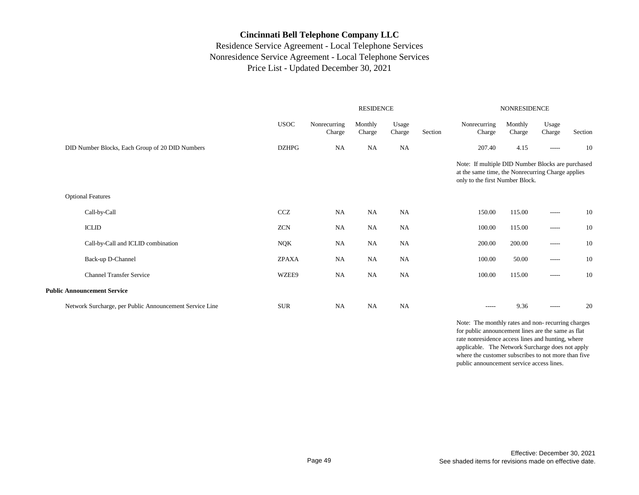## Residence Service Agreement - Local Telephone Services Nonresidence Service Agreement - Local Telephone Services Price List - Updated December 30, 2021

|                                                         | <b>RESIDENCE</b> |                        |                   |                 |         | NONRESIDENCE                                                                                                                              |                   |                 |         |  |
|---------------------------------------------------------|------------------|------------------------|-------------------|-----------------|---------|-------------------------------------------------------------------------------------------------------------------------------------------|-------------------|-----------------|---------|--|
|                                                         | <b>USOC</b>      | Nonrecurring<br>Charge | Monthly<br>Charge | Usage<br>Charge | Section | Nonrecurring<br>Charge                                                                                                                    | Monthly<br>Charge | Usage<br>Charge | Section |  |
| DID Number Blocks, Each Group of 20 DID Numbers         | <b>DZHPG</b>     | <b>NA</b>              | <b>NA</b>         | <b>NA</b>       |         | 207.40                                                                                                                                    | 4.15              | -----           | 10      |  |
|                                                         |                  |                        |                   |                 |         | Note: If multiple DID Number Blocks are purchased<br>at the same time, the Nonrecurring Charge applies<br>only to the first Number Block. |                   |                 |         |  |
| <b>Optional Features</b>                                |                  |                        |                   |                 |         |                                                                                                                                           |                   |                 |         |  |
| Call-by-Call                                            | <b>CCZ</b>       | NA                     | NA                | <b>NA</b>       |         | 150.00                                                                                                                                    | 115.00            | $--- - - -$     | 10      |  |
| <b>ICLID</b>                                            | <b>ZCN</b>       | <b>NA</b>              | <b>NA</b>         | <b>NA</b>       |         | 100.00                                                                                                                                    | 115.00            | $-----$         | 10      |  |
| Call-by-Call and ICLID combination                      | NQK              | NA                     | NA                | <b>NA</b>       |         | 200.00                                                                                                                                    | 200.00            | -----           | 10      |  |
| Back-up D-Channel                                       | <b>ZPAXA</b>     | NA                     | NA                | <b>NA</b>       |         | 100.00                                                                                                                                    | 50.00             | $- - - - -$     | 10      |  |
| <b>Channel Transfer Service</b>                         | WZEE9            | NA                     | NA                | <b>NA</b>       |         | 100.00                                                                                                                                    | 115.00            | $- - - - -$     | 10      |  |
| <b>Public Announcement Service</b>                      |                  |                        |                   |                 |         |                                                                                                                                           |                   |                 |         |  |
| Network Surcharge, per Public Announcement Service Line | <b>SUR</b>       | NA                     | NA                | NA              |         | $- - - - -$                                                                                                                               | 9.36              | $- - - - -$     | 20      |  |

Note: The monthly rates and non- recurring charges for public announcement lines are the same as flat rate nonresidence access lines and hunting, where applicable. The Network Surcharge does not apply where the customer subscribes to not more than five public announcement service access lines.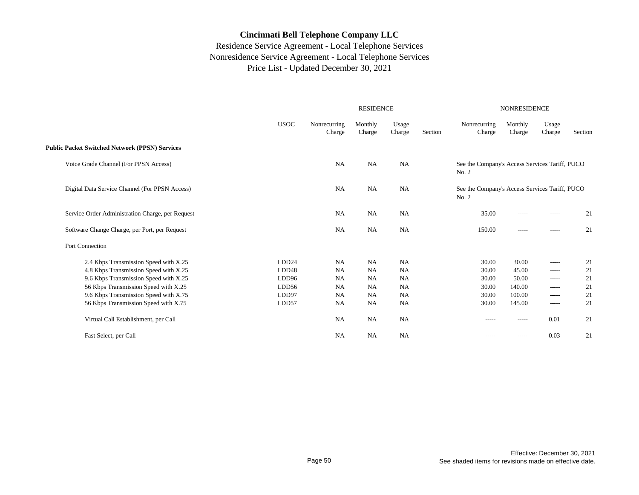|                                                       |                   |                        | <b>RESIDENCE</b>  |                 |         | <b>NONRESIDENCE</b>                                     |                   |                 |         |  |
|-------------------------------------------------------|-------------------|------------------------|-------------------|-----------------|---------|---------------------------------------------------------|-------------------|-----------------|---------|--|
|                                                       | <b>USOC</b>       | Nonrecurring<br>Charge | Monthly<br>Charge | Usage<br>Charge | Section | Nonrecurring<br>Charge                                  | Monthly<br>Charge | Usage<br>Charge | Section |  |
| <b>Public Packet Switched Network (PPSN) Services</b> |                   |                        |                   |                 |         |                                                         |                   |                 |         |  |
| Voice Grade Channel (For PPSN Access)                 |                   | <b>NA</b>              | <b>NA</b>         | <b>NA</b>       |         | See the Company's Access Services Tariff, PUCO<br>No. 2 |                   |                 |         |  |
| Digital Data Service Channel (For PPSN Access)        |                   | NA                     | <b>NA</b>         | <b>NA</b>       |         | See the Company's Access Services Tariff, PUCO<br>No. 2 |                   |                 |         |  |
| Service Order Administration Charge, per Request      |                   | <b>NA</b>              | <b>NA</b>         | <b>NA</b>       |         | 35.00                                                   | -----             | $\cdots$        | 21      |  |
| Software Change Charge, per Port, per Request         |                   | <b>NA</b>              | NA                | NA              |         | 150.00                                                  | -----             | $-----$         | 21      |  |
| Port Connection                                       |                   |                        |                   |                 |         |                                                         |                   |                 |         |  |
| 2.4 Kbps Transmission Speed with X.25                 | LDD24             | <b>NA</b>              | <b>NA</b>         | <b>NA</b>       |         | 30.00                                                   | 30.00             | $\cdots$        | 21      |  |
| 4.8 Kbps Transmission Speed with X.25                 | LDD <sub>48</sub> | <b>NA</b>              | NA                | <b>NA</b>       |         | 30.00                                                   | 45.00             | $- - - - -$     | 21      |  |
| 9.6 Kbps Transmission Speed with X.25                 | LDD <sub>96</sub> | <b>NA</b>              | <b>NA</b>         | NA              |         | 30.00                                                   | 50.00             | $- - - - -$     | 21      |  |
| 56 Kbps Transmission Speed with X.25                  | LDD56             | NA                     | NA                | <b>NA</b>       |         | 30.00                                                   | 140.00            | $- - - - -$     | 21      |  |
| 9.6 Kbps Transmission Speed with X.75                 | LDD97             | <b>NA</b>              | <b>NA</b>         | <b>NA</b>       |         | 30.00                                                   | 100.00            | $- - - - -$     | 21      |  |
| 56 Kbps Transmission Speed with X.75                  | LDD57             | <b>NA</b>              | NA                | NA              |         | 30.00                                                   | 145.00            | $-----$         | 21      |  |
| Virtual Call Establishment, per Call                  |                   | <b>NA</b>              | <b>NA</b>         | <b>NA</b>       |         | $- - - - -$                                             | $- - - - -$       | 0.01            | 21      |  |
| Fast Select, per Call                                 |                   | <b>NA</b>              | <b>NA</b>         | <b>NA</b>       |         | -----                                                   | -----             | 0.03            | 21      |  |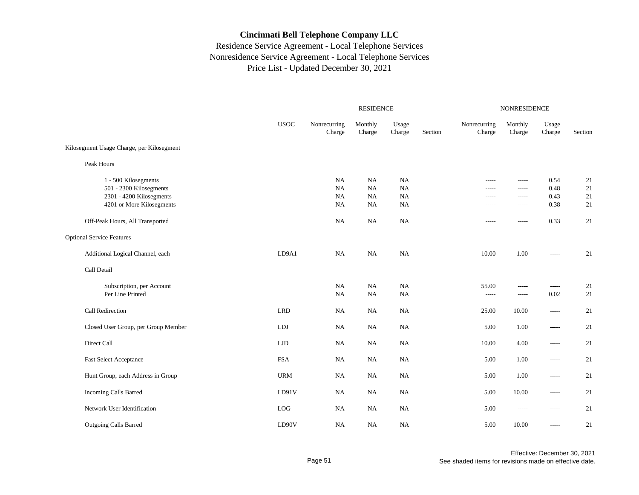|                                                                                                          |             | <b>RESIDENCE</b>                   |                                    |                                           |         | NONRESIDENCE                                 |                                        |                              |                      |
|----------------------------------------------------------------------------------------------------------|-------------|------------------------------------|------------------------------------|-------------------------------------------|---------|----------------------------------------------|----------------------------------------|------------------------------|----------------------|
|                                                                                                          | <b>USOC</b> | Nonrecurring<br>Charge             | Monthly<br>Charge                  | Usage<br>Charge                           | Section | Nonrecurring<br>Charge                       | Monthly<br>Charge                      | Usage<br>Charge              | Section              |
| Kilosegment Usage Charge, per Kilosegment                                                                |             |                                    |                                    |                                           |         |                                              |                                        |                              |                      |
| Peak Hours                                                                                               |             |                                    |                                    |                                           |         |                                              |                                        |                              |                      |
| 1 - 500 Kilosegments<br>501 - 2300 Kilosegments<br>2301 - 4200 Kilosegments<br>4201 or More Kilosegments |             | <b>NA</b><br>NA<br>NA<br><b>NA</b> | NA<br><b>NA</b><br>NA<br><b>NA</b> | NA<br><b>NA</b><br><b>NA</b><br><b>NA</b> |         | $- - - - -$<br>-----<br>$- - - - -$<br>----- | -----<br>-----<br>$- - - - -$<br>----- | 0.54<br>0.48<br>0.43<br>0.38 | 21<br>21<br>21<br>21 |
| Off-Peak Hours, All Transported                                                                          |             | <b>NA</b>                          | NA                                 | NA                                        |         | -----                                        | -----                                  | 0.33                         | 21                   |
| <b>Optional Service Features</b>                                                                         |             |                                    |                                    |                                           |         |                                              |                                        |                              |                      |
| Additional Logical Channel, each                                                                         | LD9A1       | NA                                 | <b>NA</b>                          | NA                                        |         | 10.00                                        | 1.00                                   | -----                        | 21                   |
| Call Detail                                                                                              |             |                                    |                                    |                                           |         |                                              |                                        |                              |                      |
| Subscription, per Account<br>Per Line Printed                                                            |             | NA<br><b>NA</b>                    | NA<br>NA                           | <b>NA</b><br>$_{\rm NA}$                  |         | 55.00<br>$100 - 100 - 100$                   | -----<br>-----                         | -----<br>0.02                | 21<br>21             |
| Call Redirection                                                                                         | <b>LRD</b>  | NA                                 | NA                                 | NA                                        |         | 25.00                                        | 10.00                                  | -----                        | 21                   |
| Closed User Group, per Group Member                                                                      | <b>LDJ</b>  | <b>NA</b>                          | NA                                 | NA                                        |         | 5.00                                         | 1.00                                   | -----                        | 21                   |
| Direct Call                                                                                              | <b>LJD</b>  | NA                                 | <b>NA</b>                          | <b>NA</b>                                 |         | 10.00                                        | 4.00                                   | -----                        | 21                   |
| <b>Fast Select Acceptance</b>                                                                            | <b>FSA</b>  | NA                                 | <b>NA</b>                          | NA                                        |         | 5.00                                         | 1.00                                   | -----                        | 21                   |
| Hunt Group, each Address in Group                                                                        | <b>URM</b>  | NA                                 | <b>NA</b>                          | NA                                        |         | 5.00                                         | 1.00                                   | -----                        | 21                   |
| Incoming Calls Barred                                                                                    | LD91V       | <b>NA</b>                          | NA                                 | <b>NA</b>                                 |         | 5.00                                         | 10.00                                  | -----                        | 21                   |
| Network User Identification                                                                              | LOG         | NA                                 | NA                                 | NA                                        |         | 5.00                                         |                                        | -----                        | 21                   |
| Outgoing Calls Barred                                                                                    | LD90V       | NA                                 | NA                                 | NA                                        |         | 5.00                                         | 10.00                                  | -----                        | 21                   |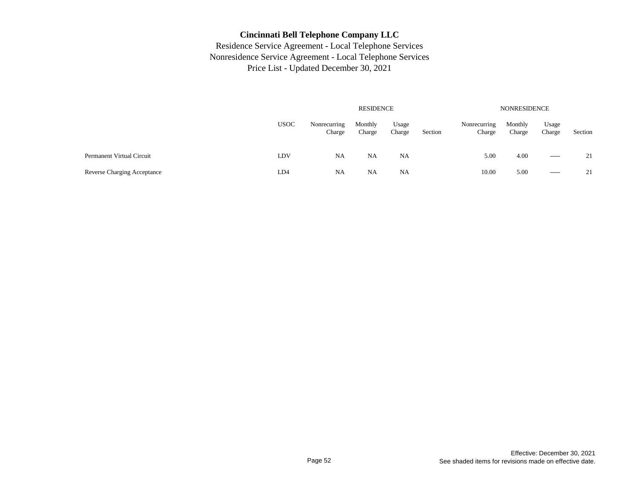|                             |             |                        | RESIDENCE         |                 |         | NONRESIDENCE           |                   |                 |         |  |  |
|-----------------------------|-------------|------------------------|-------------------|-----------------|---------|------------------------|-------------------|-----------------|---------|--|--|
|                             | <b>USOC</b> | Nonrecurring<br>Charge | Monthly<br>Charge | Usage<br>Charge | Section | Nonrecurring<br>Charge | Monthly<br>Charge | Usage<br>Charge | Section |  |  |
| Permanent Virtual Circuit   | LDV         | <b>NA</b>              | NA                | <b>NA</b>       |         | 5.00                   | 4.00              | $- - - - -$     | 21      |  |  |
| Reverse Charging Acceptance | LD4         | NA                     | NA                | NA              |         | 10.00                  | 5.00              | $\cdots$        | 21      |  |  |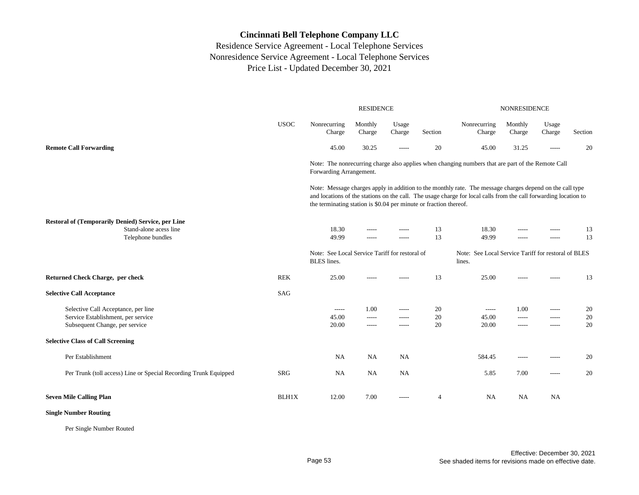Residence Service Agreement - Local Telephone Services Nonresidence Service Agreement - Local Telephone Services Price List - Updated December 30, 2021

|                                                                                                             |              |                                                                      | <b>RESIDENCE</b>       |                         |                | <b>NONRESIDENCE</b>                                                                                                                                                                                                          |                                    |                         |                |  |
|-------------------------------------------------------------------------------------------------------------|--------------|----------------------------------------------------------------------|------------------------|-------------------------|----------------|------------------------------------------------------------------------------------------------------------------------------------------------------------------------------------------------------------------------------|------------------------------------|-------------------------|----------------|--|
|                                                                                                             | <b>USOC</b>  | Nonrecurring<br>Charge                                               | Monthly<br>Charge      | Usage<br>Charge         | Section        | Nonrecurring<br>Charge                                                                                                                                                                                                       | Monthly<br>Charge                  | Usage<br>Charge         | Section        |  |
| <b>Remote Call Forwarding</b>                                                                               |              | 45.00                                                                | 30.25                  | -----                   | 20             | 45.00                                                                                                                                                                                                                        | 31.25                              | -----                   | 20             |  |
|                                                                                                             |              | Forwarding Arrangement.                                              |                        |                         |                | Note: The nonrecurring charge also applies when changing numbers that are part of the Remote Call                                                                                                                            |                                    |                         |                |  |
|                                                                                                             |              | the terminating station is \$0.04 per minute or fraction thereof.    |                        |                         |                | Note: Message charges apply in addition to the monthly rate. The message charges depend on the call type<br>and locations of the stations on the call. The usage charge for local calls from the call forwarding location to |                                    |                         |                |  |
| <b>Restoral of (Temporarily Denied) Service, per Line</b><br>Stand-alone acess line<br>Telephone bundles    |              | 18.30<br>49.99                                                       | -----<br>$--- -$       | -----<br>-----          | 13<br>13       | 18.30<br>49.99                                                                                                                                                                                                               | $- - - - -$                        | -----<br>-----          | 13<br>13       |  |
|                                                                                                             |              | Note: See Local Service Tariff for restoral of<br><b>BLES</b> lines. |                        |                         |                | Note: See Local Service Tariff for restoral of BLES<br>lines.                                                                                                                                                                |                                    |                         |                |  |
| <b>Returned Check Charge, per check</b>                                                                     | <b>REK</b>   | 25.00                                                                |                        |                         | 13             | 25.00                                                                                                                                                                                                                        |                                    |                         | 13             |  |
| <b>Selective Call Acceptance</b>                                                                            | <b>SAG</b>   |                                                                      |                        |                         |                |                                                                                                                                                                                                                              |                                    |                         |                |  |
| Selective Call Acceptance, per line<br>Service Establishment, per service<br>Subsequent Change, per service |              | -----<br>45.00<br>20.00                                              | 1.00<br>-----<br>----- | -----<br>-----<br>----- | 20<br>20<br>20 | $-----$<br>45.00<br>20.00                                                                                                                                                                                                    | 1.00<br>$- - - - -$<br>$- - - - -$ | -----<br>-----<br>----- | 20<br>20<br>20 |  |
| <b>Selective Class of Call Screening</b>                                                                    |              |                                                                      |                        |                         |                |                                                                                                                                                                                                                              |                                    |                         |                |  |
| Per Establishment                                                                                           |              | <b>NA</b>                                                            | NA                     | <b>NA</b>               |                | 584.45                                                                                                                                                                                                                       | $- - - - -$                        | -----                   | 20             |  |
| Per Trunk (toll access) Line or Special Recording Trunk Equipped                                            | <b>SRG</b>   | <b>NA</b>                                                            | NA                     | <b>NA</b>               |                | 5.85                                                                                                                                                                                                                         | 7.00                               | -----                   | 20             |  |
| <b>Seven Mile Calling Plan</b>                                                                              | <b>BLH1X</b> | 12.00                                                                | 7.00                   | -----                   | 4              | <b>NA</b>                                                                                                                                                                                                                    | NA                                 | NA                      |                |  |

**Single Number Routing**

Per Single Number Routed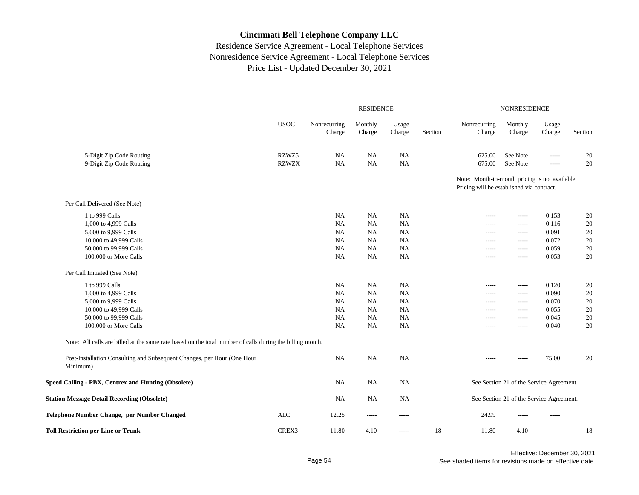|                                                                                                          | <b>RESIDENCE</b> |                        |                   |                 |         | <b>NONRESIDENCE</b>                                                                         |                                          |                 |         |  |
|----------------------------------------------------------------------------------------------------------|------------------|------------------------|-------------------|-----------------|---------|---------------------------------------------------------------------------------------------|------------------------------------------|-----------------|---------|--|
|                                                                                                          | <b>USOC</b>      | Nonrecurring<br>Charge | Monthly<br>Charge | Usage<br>Charge | Section | Nonrecurring<br>Charge                                                                      | Monthly<br>Charge                        | Usage<br>Charge | Section |  |
| 5-Digit Zip Code Routing                                                                                 | RZWZ5            | NA                     | NA                | <b>NA</b>       |         | 625.00                                                                                      | See Note                                 | $- - - - -$     | 20      |  |
| 9-Digit Zip Code Routing                                                                                 | <b>RZWZX</b>     | NA                     | NA                | <b>NA</b>       |         | 675.00                                                                                      | See Note                                 | $- - - - -$     | 20      |  |
|                                                                                                          |                  |                        |                   |                 |         | Note: Month-to-month pricing is not available.<br>Pricing will be established via contract. |                                          |                 |         |  |
| Per Call Delivered (See Note)                                                                            |                  |                        |                   |                 |         |                                                                                             |                                          |                 |         |  |
| 1 to 999 Calls                                                                                           |                  | NA                     | NA                | <b>NA</b>       |         | $- - - - -$                                                                                 | -----                                    | 0.153           | 20      |  |
| 1,000 to 4,999 Calls                                                                                     |                  | NA                     | <b>NA</b>         | <b>NA</b>       |         | -----                                                                                       | -----                                    | 0.116           | 20      |  |
| 5,000 to 9,999 Calls                                                                                     |                  | NA                     | NA                | <b>NA</b>       |         | $- - - - -$                                                                                 | $- - - - -$                              | 0.091           | 20      |  |
| 10,000 to 49,999 Calls                                                                                   |                  | NA                     | NA                | NA              |         | $- - - - -$                                                                                 | $- - - - -$                              | 0.072           | 20      |  |
| 50,000 to 99,999 Calls                                                                                   |                  | NA                     | <b>NA</b>         | <b>NA</b>       |         | -----                                                                                       | -----                                    | 0.059           | 20      |  |
| 100,000 or More Calls                                                                                    |                  | $\rm NA$               | NA                | NA              |         |                                                                                             | -----                                    | 0.053           | 20      |  |
| Per Call Initiated (See Note)                                                                            |                  |                        |                   |                 |         |                                                                                             |                                          |                 |         |  |
| 1 to 999 Calls                                                                                           |                  | NA                     | NA                | NA              |         | $- - - - -$                                                                                 | $- - - - -$                              | 0.120           | 20      |  |
| 1,000 to 4,999 Calls                                                                                     |                  | NA                     | NA                | NA              |         | -----                                                                                       | $- - - - -$                              | 0.090           | 20      |  |
| 5,000 to 9,999 Calls                                                                                     |                  | NA                     | NA                | NA              |         | -----                                                                                       | $- - - - -$                              | 0.070           | 20      |  |
| 10,000 to 49,999 Calls                                                                                   |                  | NA                     | NA                | <b>NA</b>       |         | -----                                                                                       | -----                                    | 0.055           | 20      |  |
| 50,000 to 99,999 Calls                                                                                   |                  | NA                     | NA                | NA              |         | $- - - - -$                                                                                 | $- - - - -$                              | 0.045           | 20      |  |
| 100,000 or More Calls                                                                                    |                  | <b>NA</b>              | <b>NA</b>         | <b>NA</b>       |         | $- - - - -$                                                                                 | $- - - - -$                              | 0.040           | 20      |  |
| Note: All calls are billed at the same rate based on the total number of calls during the billing month. |                  |                        |                   |                 |         |                                                                                             |                                          |                 |         |  |
| Post-Installation Consulting and Subsequent Changes, per Hour (One Hour<br>Minimum)                      |                  | NA                     | NA                | <b>NA</b>       |         | $- - - - -$                                                                                 | -----                                    | 75.00           | 20      |  |
| Speed Calling - PBX, Centrex and Hunting (Obsolete)                                                      |                  | <b>NA</b>              | <b>NA</b>         | NA              |         |                                                                                             | See Section 21 of the Service Agreement. |                 |         |  |
| <b>Station Message Detail Recording (Obsolete)</b>                                                       |                  | NA                     | NA                | NA              |         |                                                                                             | See Section 21 of the Service Agreement. |                 |         |  |
| Telephone Number Change, per Number Changed                                                              | ALC              | 12.25                  | -----             | -----           |         | 24.99                                                                                       |                                          |                 |         |  |
| <b>Toll Restriction per Line or Trunk</b>                                                                | CREX3            | 11.80                  | 4.10              | -----           | 18      | 11.80                                                                                       | 4.10                                     |                 | 18      |  |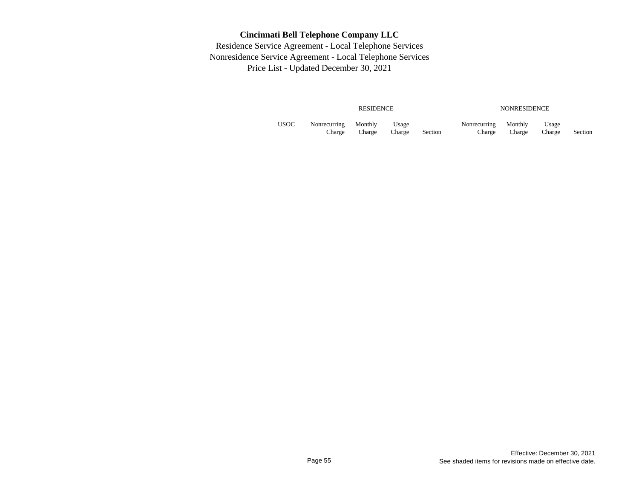|      |                        | <b>RESIDENCE</b>  |                 |         |                        | <b>NONRESIDENCE</b> |                 |         |
|------|------------------------|-------------------|-----------------|---------|------------------------|---------------------|-----------------|---------|
| USOC | Nonrecurring<br>Charge | Monthly<br>Charge | Usage<br>Charge | Section | Nonrecurring<br>Charge | Monthly<br>Charge   | Usage<br>Charge | Section |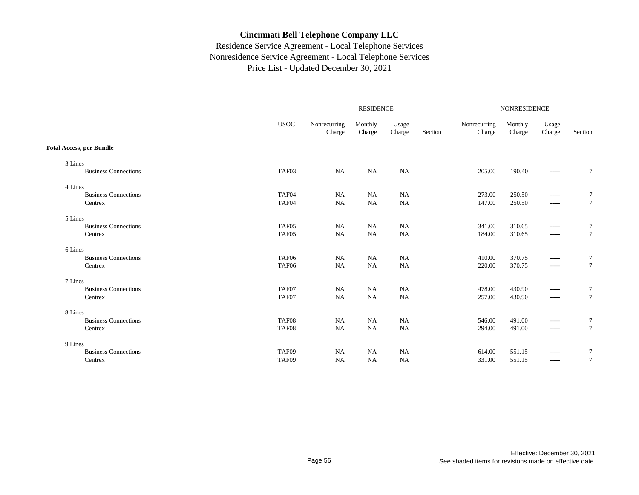|                                 |                   |                        | <b>RESIDENCE</b>  |                 |         | <b>NONRESIDENCE</b>    |                   |                 |         |
|---------------------------------|-------------------|------------------------|-------------------|-----------------|---------|------------------------|-------------------|-----------------|---------|
|                                 | <b>USOC</b>       | Nonrecurring<br>Charge | Monthly<br>Charge | Usage<br>Charge | Section | Nonrecurring<br>Charge | Monthly<br>Charge | Usage<br>Charge | Section |
| <b>Total Access, per Bundle</b> |                   |                        |                   |                 |         |                        |                   |                 |         |
| 3 Lines                         |                   |                        |                   |                 |         |                        |                   |                 |         |
| <b>Business Connections</b>     | TAF03             | <b>NA</b>              | <b>NA</b>         | NA              |         | 205.00                 | 190.40            | $- - - - -$     | $\tau$  |
| 4 Lines                         |                   |                        |                   |                 |         |                        |                   |                 |         |
| <b>Business Connections</b>     | TAF04             | NA                     | <b>NA</b>         | NA              |         | 273.00                 | 250.50            | -----           | 7       |
| Centrex                         | TAF04             | NA                     | NA                | $\rm NA$        |         | 147.00                 | 250.50            | $\cdots$        | $\tau$  |
| 5 Lines                         |                   |                        |                   |                 |         |                        |                   |                 |         |
| <b>Business Connections</b>     | TAF <sub>05</sub> | <b>NA</b>              | <b>NA</b>         | NA              |         | 341.00                 | 310.65            | -----           | 7       |
| Centrex                         | TAF05             | <b>NA</b>              | <b>NA</b>         | NA              |         | 184.00                 | 310.65            | $\cdots$        | $\tau$  |
| 6 Lines                         |                   |                        |                   |                 |         |                        |                   |                 |         |
| <b>Business Connections</b>     | TAF <sub>06</sub> | NA                     | <b>NA</b>         | NA              |         | 410.00                 | 370.75            | $-----$         | $\tau$  |
| Centrex                         | TAF06             | NA                     | <b>NA</b>         | <b>NA</b>       |         | 220.00                 | 370.75            | $- - - - -$     | $\tau$  |
| 7 Lines                         |                   |                        |                   |                 |         |                        |                   |                 |         |
| <b>Business Connections</b>     | TAF07             | NA                     | NA                | <b>NA</b>       |         | 478.00                 | 430.90            | -----           | 7       |
| Centrex                         | TAF07             | NA                     | NA                | NA              |         | 257.00                 | 430.90            | $- - - - -$     | $\tau$  |
| 8 Lines                         |                   |                        |                   |                 |         |                        |                   |                 |         |
| <b>Business Connections</b>     | TAF08             | NA                     | <b>NA</b>         | NA              |         | 546.00                 | 491.00            | -----           | 7       |
| Centrex                         | TAF08             | NA                     | <b>NA</b>         | <b>NA</b>       |         | 294.00                 | 491.00            | $-----$         | $\tau$  |
| 9 Lines                         |                   |                        |                   |                 |         |                        |                   |                 |         |
| <b>Business Connections</b>     | TAF09             | NA                     | <b>NA</b>         | NA              |         | 614.00                 | 551.15            | -----           | $\tau$  |
| Centrex                         | TAF09             | NA                     | <b>NA</b>         | NA              |         | 331.00                 | 551.15            | $-----$         | $\tau$  |
|                                 |                   |                        |                   |                 |         |                        |                   |                 |         |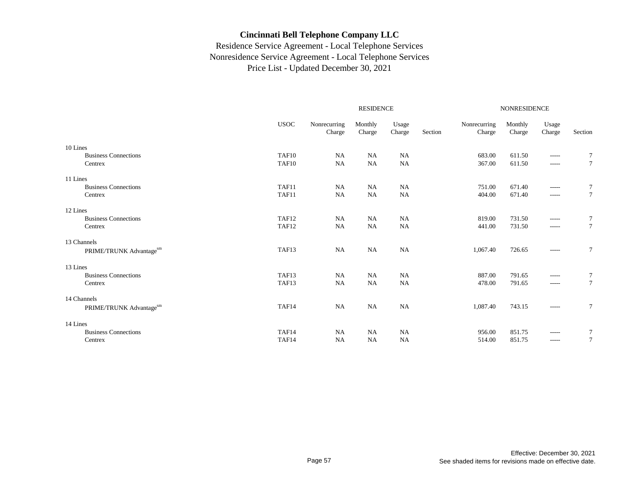|                             |                   |                        |                   | NONRESIDENCE    |         |                        |                   |                 |                 |
|-----------------------------|-------------------|------------------------|-------------------|-----------------|---------|------------------------|-------------------|-----------------|-----------------|
|                             | <b>USOC</b>       | Nonrecurring<br>Charge | Monthly<br>Charge | Usage<br>Charge | Section | Nonrecurring<br>Charge | Monthly<br>Charge | Usage<br>Charge | Section         |
| 10 Lines                    |                   |                        |                   |                 |         |                        |                   |                 |                 |
| <b>Business Connections</b> | TAF10             | NA                     | NA                | NA              |         | 683.00                 | 611.50            | $- - - - -$     | 7               |
| Centrex                     | TAF10             | NA                     | NA                | NA              |         | 367.00                 | 611.50            | $\cdots$        | $\tau$          |
| 11 Lines                    |                   |                        |                   |                 |         |                        |                   |                 |                 |
| <b>Business Connections</b> | TAF11             | NA                     | NA                | <b>NA</b>       |         | 751.00                 | 671.40            | $- - - - -$     | 7               |
| Centrex                     | TAF11             | <b>NA</b>              | NA                | NA              |         | 404.00                 | 671.40            | $-----$         | $\tau$          |
| 12 Lines                    |                   |                        |                   |                 |         |                        |                   |                 |                 |
| <b>Business Connections</b> | TAF <sub>12</sub> | <b>NA</b>              | NA                | <b>NA</b>       |         | 819.00                 | 731.50            | $-----$         | 7               |
| Centrex                     | TAF12             | NA                     | <b>NA</b>         | NA              |         | 441.00                 | 731.50            | $-----$         | $\tau$          |
| 13 Channels                 |                   |                        |                   |                 |         |                        |                   |                 |                 |
| PRIME/TRUNK Advantagesm     | TAF13             | <b>NA</b>              | NA                | <b>NA</b>       |         | 1,067.40               | 726.65            | $--- -$         | 7               |
| 13 Lines                    |                   |                        |                   |                 |         |                        |                   |                 |                 |
| <b>Business Connections</b> | TAF13             | NA                     | NA                | NA              |         | 887.00                 | 791.65            | $- - - - -$     | 7               |
| Centrex                     | TAF13             | <b>NA</b>              | <b>NA</b>         | NA              |         | 478.00                 | 791.65            | $\cdots$        | $7\phantom{.0}$ |
| 14 Channels                 |                   |                        |                   |                 |         |                        |                   |                 |                 |
| PRIME/TRUNK Advantagesm     | TAF14             | NA                     | NA                | NA              |         | 1,087.40               | 743.15            | $- - - - -$     | $\tau$          |
| 14 Lines                    |                   |                        |                   |                 |         |                        |                   |                 |                 |
| <b>Business Connections</b> | TAF14             | NA                     | NA                | <b>NA</b>       |         | 956.00                 | 851.75            | $--- -$         | 7               |
| Centrex                     | TAF14             | <b>NA</b>              | <b>NA</b>         | <b>NA</b>       |         | 514.00                 | 851.75            | $- - - - -$     | 7               |
|                             |                   |                        |                   |                 |         |                        |                   |                 |                 |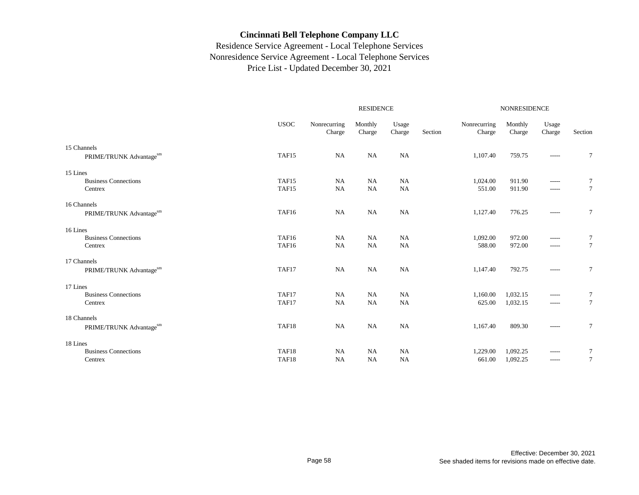|                             |                   |                        | <b>RESIDENCE</b>  |                 |         | <b>NONRESIDENCE</b>    |                   |                 |                 |  |
|-----------------------------|-------------------|------------------------|-------------------|-----------------|---------|------------------------|-------------------|-----------------|-----------------|--|
|                             | <b>USOC</b>       | Nonrecurring<br>Charge | Monthly<br>Charge | Usage<br>Charge | Section | Nonrecurring<br>Charge | Monthly<br>Charge | Usage<br>Charge | Section         |  |
| 15 Channels                 |                   |                        |                   |                 |         |                        |                   |                 |                 |  |
| PRIME/TRUNK Advantagesm     | TAF <sub>15</sub> | NA                     | <b>NA</b>         | NA              |         | 1,107.40               | 759.75            | -----           | 7               |  |
| 15 Lines                    |                   |                        |                   |                 |         |                        |                   |                 |                 |  |
| <b>Business Connections</b> | TAF15             | NA                     | <b>NA</b>         | <b>NA</b>       |         | 1,024.00               | 911.90            | -----           | 7               |  |
| Centrex                     | TAF15             | <b>NA</b>              | NA                | <b>NA</b>       |         | 551.00                 | 911.90            | -----           | $7\phantom{.0}$ |  |
| 16 Channels                 |                   |                        |                   |                 |         |                        |                   |                 |                 |  |
| PRIME/TRUNK Advantagesm     | TAF16             | <b>NA</b>              | NA                | NA              |         | 1,127.40               | 776.25            | -----           | $\tau$          |  |
| 16 Lines                    |                   |                        |                   |                 |         |                        |                   |                 |                 |  |
| <b>Business Connections</b> | TAF16             | <b>NA</b>              | <b>NA</b>         | <b>NA</b>       |         | 1,092.00               | 972.00            | -----           | $\tau$          |  |
| Centrex                     | TAF16             | <b>NA</b>              | NA                | <b>NA</b>       |         | 588.00                 | 972.00            | -----           | $\tau$          |  |
| 17 Channels                 |                   |                        |                   |                 |         |                        |                   |                 |                 |  |
| PRIME/TRUNK Advantagesm     | TAF17             | <b>NA</b>              | <b>NA</b>         | <b>NA</b>       |         | 1,147.40               | 792.75            | -----           | $\tau$          |  |
| 17 Lines                    |                   |                        |                   |                 |         |                        |                   |                 |                 |  |
| <b>Business Connections</b> | TAF17             | <b>NA</b>              | NA                | <b>NA</b>       |         | 1,160.00               | 1,032.15          | -----           | 7               |  |
| Centrex                     | TAF17             | <b>NA</b>              | NA                | NA              |         | 625.00                 | 1,032.15          | -----           | $7\phantom{.0}$ |  |
| 18 Channels                 |                   |                        |                   |                 |         |                        |                   |                 |                 |  |
| PRIME/TRUNK Advantagesm     | TAF18             | NA                     | NA                | <b>NA</b>       |         | 1,167.40               | 809.30            | -----           | $\tau$          |  |
| 18 Lines                    |                   |                        |                   |                 |         |                        |                   |                 |                 |  |
| <b>Business Connections</b> | TAF18             | NA                     | NA                | NA              |         | 1,229.00               | 1,092.25          | $-----$         | 7               |  |
| Centrex                     | TAF18             | NA                     | NA                | <b>NA</b>       |         | 661.00                 | 1,092.25          | -----           | $7\phantom{.0}$ |  |
|                             |                   |                        |                   |                 |         |                        |                   |                 |                 |  |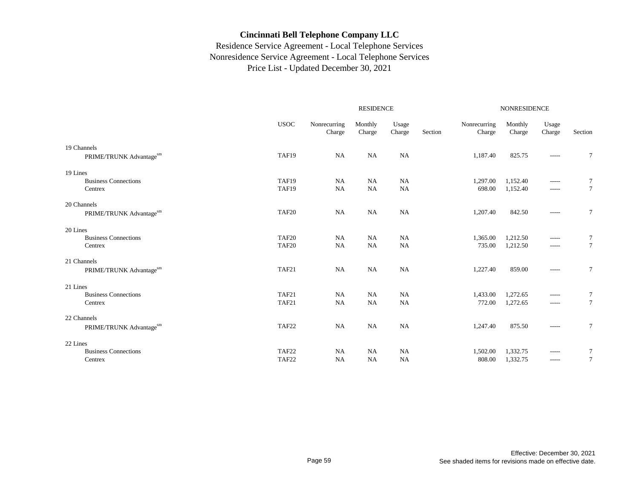|                             |             |                        | <b>RESIDENCE</b>  |                 | <b>NONRESIDENCE</b> |                        |                   |                 |                 |
|-----------------------------|-------------|------------------------|-------------------|-----------------|---------------------|------------------------|-------------------|-----------------|-----------------|
|                             | <b>USOC</b> | Nonrecurring<br>Charge | Monthly<br>Charge | Usage<br>Charge | Section             | Nonrecurring<br>Charge | Monthly<br>Charge | Usage<br>Charge | Section         |
| 19 Channels                 |             |                        |                   |                 |                     |                        |                   |                 |                 |
| PRIME/TRUNK Advantagesm     | TAF19       | NA                     | <b>NA</b>         | NA              |                     | 1,187.40               | 825.75            | -----           | 7               |
| 19 Lines                    |             |                        |                   |                 |                     |                        |                   |                 |                 |
| <b>Business Connections</b> | TAF19       | NA                     | <b>NA</b>         | <b>NA</b>       |                     | 1,297.00               | 1,152.40          | -----           | 7               |
| Centrex                     | TAF19       | <b>NA</b>              | NA                | <b>NA</b>       |                     | 698.00                 | 1,152.40          | -----           | $7\phantom{.0}$ |
| 20 Channels                 |             |                        |                   |                 |                     |                        |                   |                 |                 |
| PRIME/TRUNK Advantagesm     | TAF20       | <b>NA</b>              | NA                | NA              |                     | 1,207.40               | 842.50            | -----           | $\tau$          |
| 20 Lines                    |             |                        |                   |                 |                     |                        |                   |                 |                 |
| <b>Business Connections</b> | TAF20       | <b>NA</b>              | <b>NA</b>         | <b>NA</b>       |                     | 1,365.00               | 1,212.50          | $-----$         | $\tau$          |
| Centrex                     | TAF20       | <b>NA</b>              | NA                | <b>NA</b>       |                     | 735.00                 | 1,212.50          | -----           | $\tau$          |
| 21 Channels                 |             |                        |                   |                 |                     |                        |                   |                 |                 |
| PRIME/TRUNK Advantagesm     | TAF21       | <b>NA</b>              | <b>NA</b>         | <b>NA</b>       |                     | 1,227.40               | 859.00            | -----           | $\tau$          |
| 21 Lines                    |             |                        |                   |                 |                     |                        |                   |                 |                 |
| <b>Business Connections</b> | TAF21       | <b>NA</b>              | <b>NA</b>         | <b>NA</b>       |                     | 1,433.00               | 1,272.65          | -----           | 7               |
| Centrex                     | TAF21       | NA                     | NA                | NA              |                     | 772.00                 | 1,272.65          | -----           | $7\phantom{.0}$ |
| 22 Channels                 |             |                        |                   |                 |                     |                        |                   |                 |                 |
| PRIME/TRUNK Advantagesm     | TAF22       | NA                     | NA                | <b>NA</b>       |                     | 1,247.40               | 875.50            | -----           | $\tau$          |
| 22 Lines                    |             |                        |                   |                 |                     |                        |                   |                 |                 |
| <b>Business Connections</b> | TAF22       | NA                     | NA                | NA              |                     | 1,502.00               | 1,332.75          | $-----$         | 7               |
| Centrex                     | TAF22       | <b>NA</b>              | <b>NA</b>         | <b>NA</b>       |                     | 808.00                 | 1,332.75          | -----           | $7\phantom{.0}$ |
|                             |             |                        |                   |                 |                     |                        |                   |                 |                 |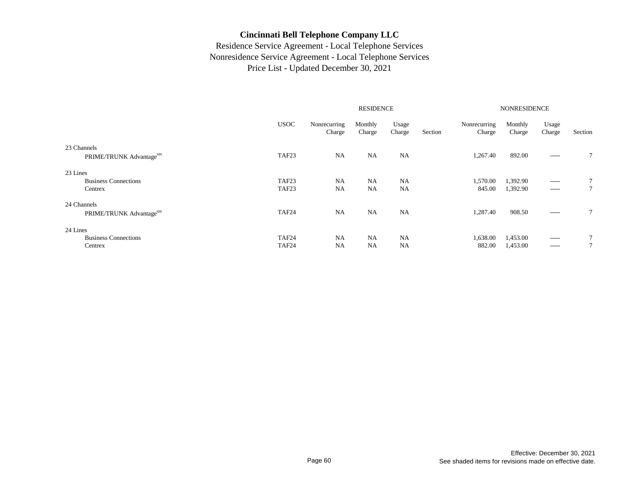|                                                    |                                        |                        | <b>RESIDENCE</b>       |                        |         | <b>NONRESIDENCE</b>    |                      |                            |         |
|----------------------------------------------------|----------------------------------------|------------------------|------------------------|------------------------|---------|------------------------|----------------------|----------------------------|---------|
|                                                    | <b>USOC</b>                            | Nonrecurring<br>Charge | Monthly<br>Charge      | Usage<br>Charge        | Section | Nonrecurring<br>Charge | Monthly<br>Charge    | Usage<br>Charge            | Section |
| 23 Channels<br>PRIME/TRUNK Advantagesm             | TAF <sub>23</sub>                      | NA                     | NA                     | <b>NA</b>              |         | 1,267.40               | 892.00               | $- - - - -$                | 7       |
| 23 Lines<br><b>Business Connections</b><br>Centrex | TAF <sub>23</sub><br>TAF <sub>23</sub> | <b>NA</b><br><b>NA</b> | <b>NA</b><br><b>NA</b> | <b>NA</b><br><b>NA</b> |         | 1,570.00<br>845.00     | 1,392.90<br>1,392.90 | $- - - - -$<br>$- - - - -$ |         |
| 24 Channels<br>PRIME/TRUNK Advantagesm             | TAF <sub>24</sub>                      | <b>NA</b>              | <b>NA</b>              | <b>NA</b>              |         | 1,287.40               | 908.50               | $- - - - -$                |         |
| 24 Lines<br><b>Business Connections</b><br>Centrex | TAF <sub>24</sub><br>TAF <sub>24</sub> | NA<br><b>NA</b>        | <b>NA</b><br><b>NA</b> | NA<br><b>NA</b>        |         | 1,638.00<br>882.00     | 1,453.00<br>1,453.00 | $- - - - -$<br>$- - - - -$ |         |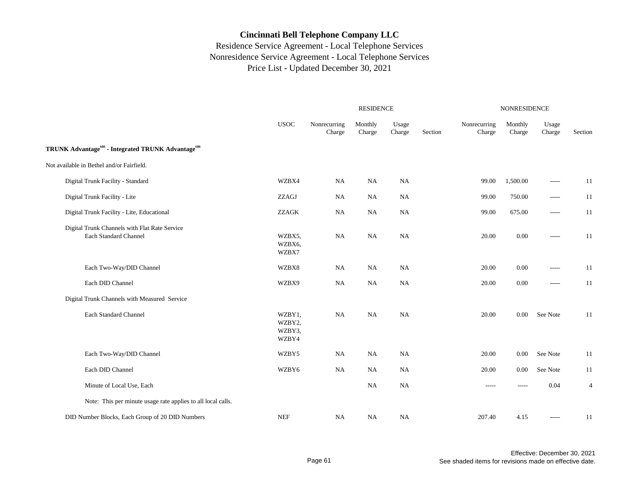|                                                                        |                                     | <b>RESIDENCE</b>       |                   |                 |         |                        | NONRESIDENCE      |                 |                |  |  |
|------------------------------------------------------------------------|-------------------------------------|------------------------|-------------------|-----------------|---------|------------------------|-------------------|-----------------|----------------|--|--|
|                                                                        | <b>USOC</b>                         | Nonrecurring<br>Charge | Monthly<br>Charge | Usage<br>Charge | Section | Nonrecurring<br>Charge | Monthly<br>Charge | Usage<br>Charge | Section        |  |  |
| TRUNK Advantagesm - Integrated TRUNK Advantagesm                       |                                     |                        |                   |                 |         |                        |                   |                 |                |  |  |
| Not available in Bethel and/or Fairfield.                              |                                     |                        |                   |                 |         |                        |                   |                 |                |  |  |
| Digital Trunk Facility - Standard                                      | WZBX4                               | NA                     | <b>NA</b>         | <b>NA</b>       |         | 99.00                  | 1,500.00          | $- - - - -$     | 11             |  |  |
| Digital Trunk Facility - Lite                                          | ZZAGJ                               | NA                     | <b>NA</b>         | <b>NA</b>       |         | 99.00                  | 750.00            | $- - - - -$     | 11             |  |  |
| Digital Trunk Facility - Lite, Educational                             | <b>ZZAGK</b>                        | NA                     | <b>NA</b>         | NA              |         | 99.00                  | 675.00            | $\cdots$        | 11             |  |  |
| Digital Trunk Channels with Flat Rate Service<br>Each Standard Channel | WZBX5,<br>WZBX6,<br>WZBX7           | NA                     | NA                | NA              |         | 20.00                  | $0.00\,$          | $\cdots$        | 11             |  |  |
| Each Two-Way/DID Channel                                               | WZBX8                               | NA                     | <b>NA</b>         | NA              |         | 20.00                  | 0.00              | -----           | 11             |  |  |
| Each DID Channel                                                       | WZBX9                               | NA                     | <b>NA</b>         | <b>NA</b>       |         | 20.00                  | 0.00              | -----           | 11             |  |  |
| Digital Trunk Channels with Measured Service                           |                                     |                        |                   |                 |         |                        |                   |                 |                |  |  |
| Each Standard Channel                                                  | WZBY1,<br>WZBY2,<br>WZBY3,<br>WZBY4 | NA                     | NA                | NA              |         | 20.00                  | 0.00              | See Note        | 11             |  |  |
| Each Two-Way/DID Channel                                               | WZBY5                               | NA                     | <b>NA</b>         | NA              |         | 20.00                  | 0.00              | See Note        | 11             |  |  |
| Each DID Channel                                                       | WZBY6                               | NA                     | <b>NA</b>         | NA              |         | 20.00                  | 0.00              | See Note        | 11             |  |  |
| Minute of Local Use, Each                                              |                                     |                        | <b>NA</b>         | <b>NA</b>       |         | -----                  | -----             | 0.04            | $\overline{4}$ |  |  |
| Note: This per minute usage rate applies to all local calls.           |                                     |                        |                   |                 |         |                        |                   |                 |                |  |  |
| DID Number Blocks, Each Group of 20 DID Numbers                        | $\operatorname{NEF}$                | <b>NA</b>              | NA                | NA              |         | 207.40                 | 4.15              | $- - - - -$     | 11             |  |  |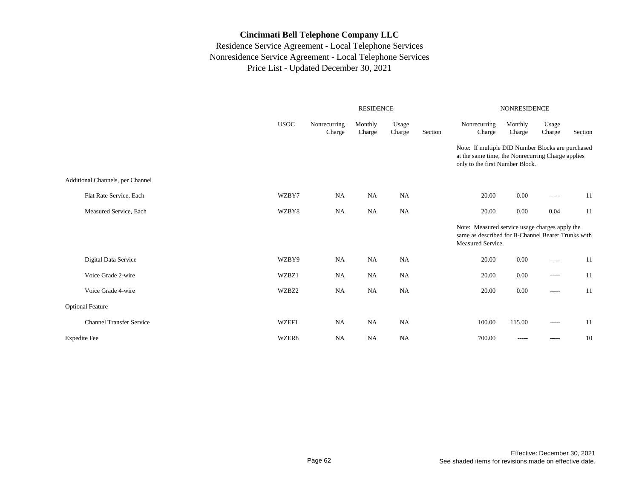|                                  |             | <b>RESIDENCE</b>       |                                                                                                                           |                 |         | <b>NONRESIDENCE</b>                                                                                                                       |                   |                 |         |  |
|----------------------------------|-------------|------------------------|---------------------------------------------------------------------------------------------------------------------------|-----------------|---------|-------------------------------------------------------------------------------------------------------------------------------------------|-------------------|-----------------|---------|--|
|                                  | <b>USOC</b> | Nonrecurring<br>Charge | Monthly<br>Charge                                                                                                         | Usage<br>Charge | Section | Nonrecurring<br>Charge                                                                                                                    | Monthly<br>Charge | Usage<br>Charge | Section |  |
|                                  |             |                        |                                                                                                                           |                 |         | Note: If multiple DID Number Blocks are purchased<br>at the same time, the Nonrecurring Charge applies<br>only to the first Number Block. |                   |                 |         |  |
| Additional Channels, per Channel |             |                        |                                                                                                                           |                 |         |                                                                                                                                           |                   |                 |         |  |
| Flat Rate Service, Each          | WZBY7       | <b>NA</b>              | <b>NA</b>                                                                                                                 | NA              |         | 20.00                                                                                                                                     | 0.00              | -----           | 11      |  |
| Measured Service, Each           | WZBY8       | <b>NA</b>              | <b>NA</b>                                                                                                                 | NA              |         | 20.00                                                                                                                                     | 0.00              | 0.04            | 11      |  |
|                                  |             |                        | Note: Measured service usage charges apply the<br>same as described for B-Channel Bearer Trunks with<br>Measured Service. |                 |         |                                                                                                                                           |                   |                 |         |  |
| Digital Data Service             | WZBY9       | NA                     | <b>NA</b>                                                                                                                 | NA              |         | 20.00                                                                                                                                     | 0.00              | $\cdots$        | 11      |  |
| Voice Grade 2-wire               | WZBZ1       | NA                     | <b>NA</b>                                                                                                                 | <b>NA</b>       |         | 20.00                                                                                                                                     | 0.00              | $\cdots$        | 11      |  |
| Voice Grade 4-wire               | WZBZ2       | NA                     | <b>NA</b>                                                                                                                 | NA              |         | 20.00                                                                                                                                     | 0.00              | $\cdots$        | 11      |  |
| <b>Optional Feature</b>          |             |                        |                                                                                                                           |                 |         |                                                                                                                                           |                   |                 |         |  |
| <b>Channel Transfer Service</b>  | WZEF1       | NA                     | <b>NA</b>                                                                                                                 | NA              |         | 100.00                                                                                                                                    | 115.00            | -----           | 11      |  |
| <b>Expedite Fee</b>              | WZER8       | NA                     | <b>NA</b>                                                                                                                 | <b>NA</b>       |         | 700.00                                                                                                                                    | $- - - - -$       | -----           | 10      |  |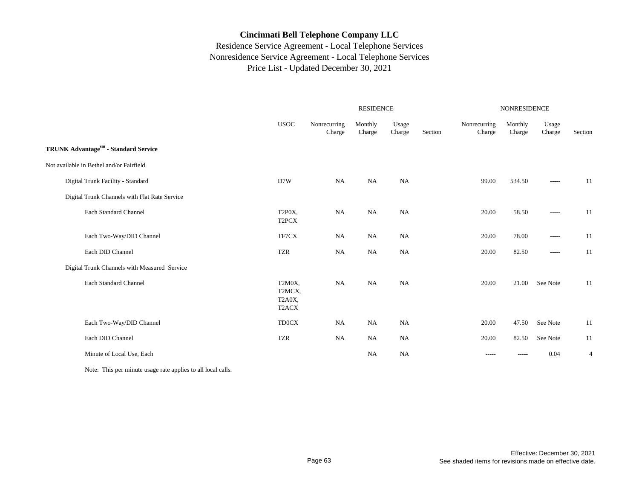## Residence Service Agreement - Local Telephone Services Nonresidence Service Agreement - Local Telephone Services Price List - Updated December 30, 2021

|                                               |                                                  | <b>RESIDENCE</b>       |                   |                 |         | <b>NONRESIDENCE</b>    |                   |                 |                |
|-----------------------------------------------|--------------------------------------------------|------------------------|-------------------|-----------------|---------|------------------------|-------------------|-----------------|----------------|
|                                               | <b>USOC</b>                                      | Nonrecurring<br>Charge | Monthly<br>Charge | Usage<br>Charge | Section | Nonrecurring<br>Charge | Monthly<br>Charge | Usage<br>Charge | Section        |
| TRUNK Advantagesm - Standard Service          |                                                  |                        |                   |                 |         |                        |                   |                 |                |
| Not available in Bethel and/or Fairfield.     |                                                  |                        |                   |                 |         |                        |                   |                 |                |
| Digital Trunk Facility - Standard             | D7W                                              | NA                     | NA                | <b>NA</b>       |         | 99.00                  | 534.50            | $- - - - -$     | 11             |
| Digital Trunk Channels with Flat Rate Service |                                                  |                        |                   |                 |         |                        |                   |                 |                |
| Each Standard Channel                         | T2P0X,<br>T <sub>2</sub> PCX                     | NA                     | <b>NA</b>         | <b>NA</b>       |         | 20.00                  | 58.50             | $\cdots$        | 11             |
| Each Two-Way/DID Channel                      | TF7CX                                            | <b>NA</b>              | <b>NA</b>         | <b>NA</b>       |         | 20.00                  | 78.00             | $\cdots$        | 11             |
| Each DID Channel                              | <b>TZR</b>                                       | <b>NA</b>              | <b>NA</b>         | NA              |         | 20.00                  | 82.50             | $\cdots$        | 11             |
| Digital Trunk Channels with Measured Service  |                                                  |                        |                   |                 |         |                        |                   |                 |                |
| <b>Each Standard Channel</b>                  | T2M0X,<br>T2MCX,<br>T2A0X,<br>T <sub>2</sub> ACX | NA                     | <b>NA</b>         | <b>NA</b>       |         | 20.00                  | 21.00             | See Note        | 11             |
| Each Two-Way/DID Channel                      | <b>TD0CX</b>                                     | <b>NA</b>              | <b>NA</b>         | NA              |         | 20.00                  | 47.50             | See Note        | 11             |
| Each DID Channel                              | <b>TZR</b>                                       | <b>NA</b>              | <b>NA</b>         | <b>NA</b>       |         | 20.00                  | 82.50             | See Note        | 11             |
| Minute of Local Use, Each                     |                                                  |                        | <b>NA</b>         | <b>NA</b>       |         | $- - - - -$            | -----             | 0.04            | $\overline{4}$ |

Note: This per minute usage rate applies to all local calls.